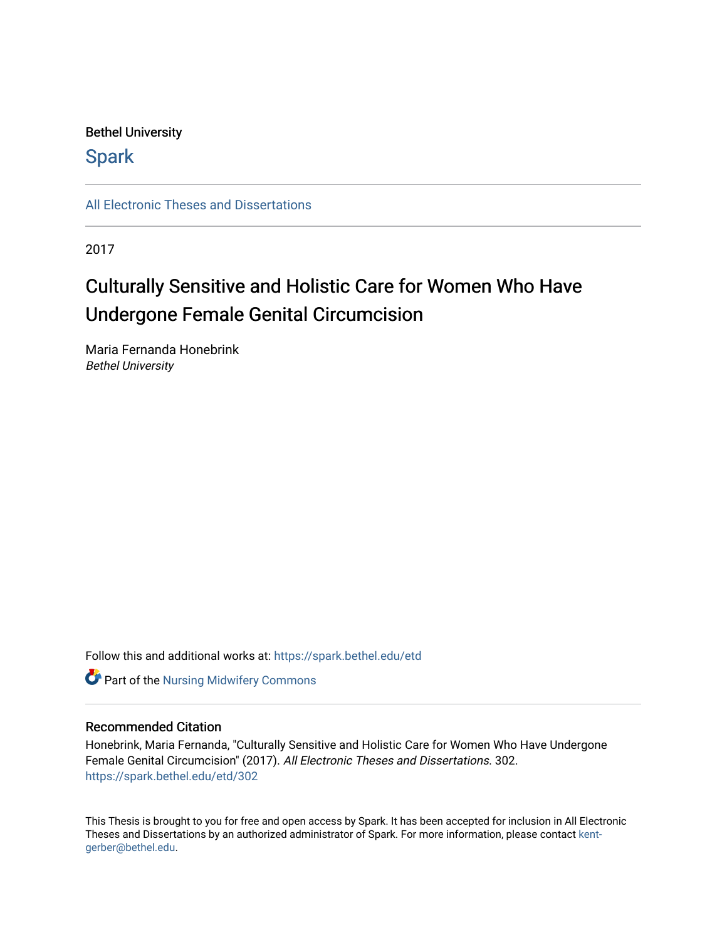# Bethel University

# **Spark**

[All Electronic Theses and Dissertations](https://spark.bethel.edu/etd) 

2017

# Culturally Sensitive and Holistic Care for Women Who Have Undergone Female Genital Circumcision

Maria Fernanda Honebrink Bethel University

Follow this and additional works at: [https://spark.bethel.edu/etd](https://spark.bethel.edu/etd?utm_source=spark.bethel.edu%2Fetd%2F302&utm_medium=PDF&utm_campaign=PDFCoverPages)



# Recommended Citation

Honebrink, Maria Fernanda, "Culturally Sensitive and Holistic Care for Women Who Have Undergone Female Genital Circumcision" (2017). All Electronic Theses and Dissertations. 302. [https://spark.bethel.edu/etd/302](https://spark.bethel.edu/etd/302?utm_source=spark.bethel.edu%2Fetd%2F302&utm_medium=PDF&utm_campaign=PDFCoverPages)

This Thesis is brought to you for free and open access by Spark. It has been accepted for inclusion in All Electronic Theses and Dissertations by an authorized administrator of Spark. For more information, please contact [kent](mailto:kent-gerber@bethel.edu)[gerber@bethel.edu.](mailto:kent-gerber@bethel.edu)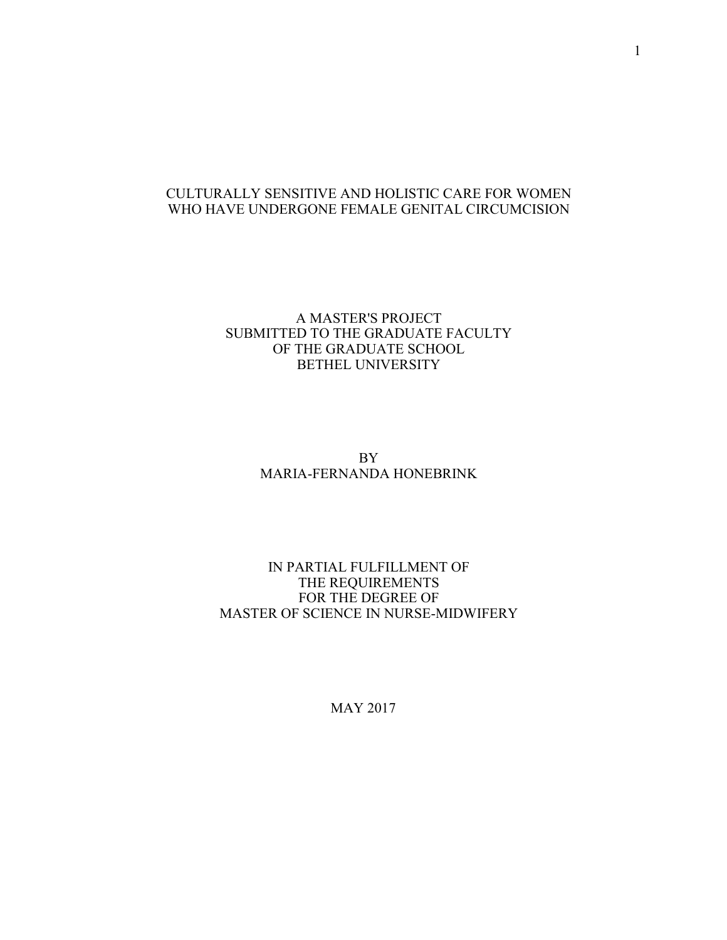# CULTURALLY SENSITIVE AND HOLISTIC CARE FOR WOMEN WHO HAVE UNDERGONE FEMALE GENITAL CIRCUMCISION

# A MASTER'S PROJECT SUBMITTED TO THE GRADUATE FACULTY OF THE GRADUATE SCHOOL BETHEL UNIVERSITY

# BY MARIA-FERNANDA HONEBRINK

# IN PARTIAL FULFILLMENT OF THE REQUIREMENTS FOR THE DEGREE OF MASTER OF SCIENCE IN NURSE-MIDWIFERY

MAY 2017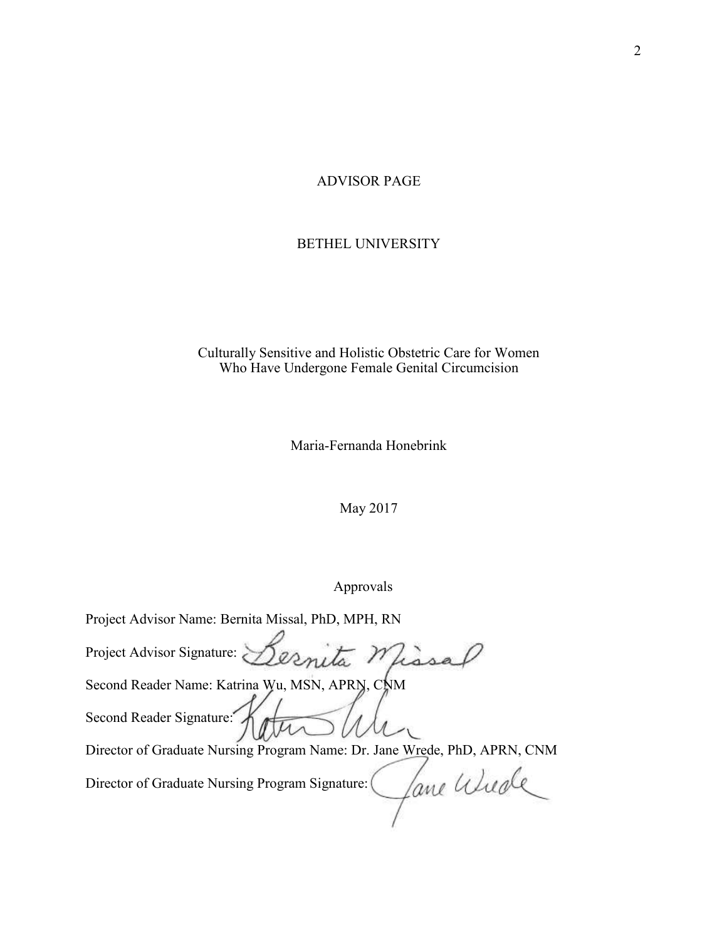### ADVISOR PAGE

### BETHEL UNIVERSITY

# Culturally Sensitive and Holistic Obstetric Care for Women Who Have Undergone Female Genital Circumcision

Maria-Fernanda Honebrink

May 2017

Approvals

Project Advisor Name: Bernita Missal, PhD, MPH, RN Project Advisor Signature: esnita n Second Reader Name: Katrina Wu, MSN, APRN, CNM Second Reader Signature: Director of Graduate Nursing Program Name: Dr. Jane Wrede, PhD, APRN, CNM Jane Wiede Director of Graduate Nursing Program Signature: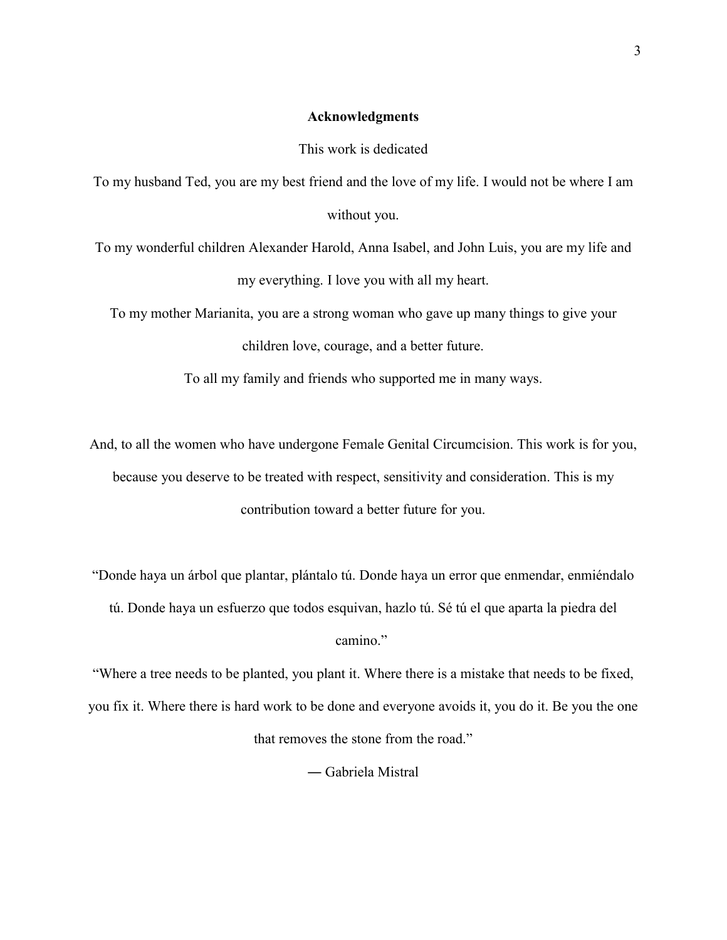# **Acknowledgments**

This work is dedicated

To my husband Ted, you are my best friend and the love of my life. I would not be where I am without you.

To my wonderful children Alexander Harold, Anna Isabel, and John Luis, you are my life and my everything. I love you with all my heart.

To my mother Marianita, you are a strong woman who gave up many things to give your children love, courage, and a better future.

To all my family and friends who supported me in many ways.

And, to all the women who have undergone Female Genital Circumcision. This work is for you, because you deserve to be treated with respect, sensitivity and consideration. This is my contribution toward a better future for you.

"Donde haya un árbol que plantar, plántalo tú. Donde haya un error que enmendar, enmiéndalo

tú. Donde haya un esfuerzo que todos esquivan, hazlo tú. Sé tú el que aparta la piedra del

camino."

"Where a tree needs to be planted, you plant it. Where there is a mistake that needs to be fixed, you fix it. Where there is hard work to be done and everyone avoids it, you do it. Be you the one that removes the stone from the road."

― Gabriela Mistral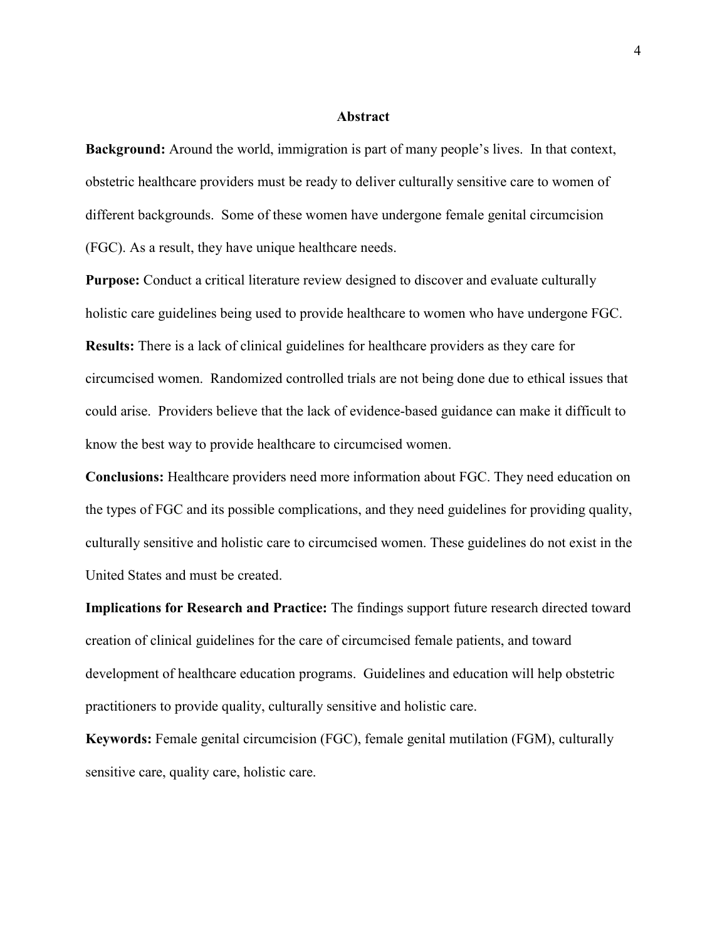### **Abstract**

**Background:** Around the world, immigration is part of many people's lives. In that context, obstetric healthcare providers must be ready to deliver culturally sensitive care to women of different backgrounds. Some of these women have undergone female genital circumcision (FGC). As a result, they have unique healthcare needs.

**Purpose:** Conduct a critical literature review designed to discover and evaluate culturally holistic care guidelines being used to provide healthcare to women who have undergone FGC. **Results:** There is a lack of clinical guidelines for healthcare providers as they care for circumcised women. Randomized controlled trials are not being done due to ethical issues that could arise. Providers believe that the lack of evidence-based guidance can make it difficult to know the best way to provide healthcare to circumcised women.

**Conclusions:** Healthcare providers need more information about FGC. They need education on the types of FGC and its possible complications, and they need guidelines for providing quality, culturally sensitive and holistic care to circumcised women. These guidelines do not exist in the United States and must be created.

**Implications for Research and Practice:** The findings support future research directed toward creation of clinical guidelines for the care of circumcised female patients, and toward development of healthcare education programs. Guidelines and education will help obstetric practitioners to provide quality, culturally sensitive and holistic care.

**Keywords:** Female genital circumcision (FGC), female genital mutilation (FGM), culturally sensitive care, quality care, holistic care.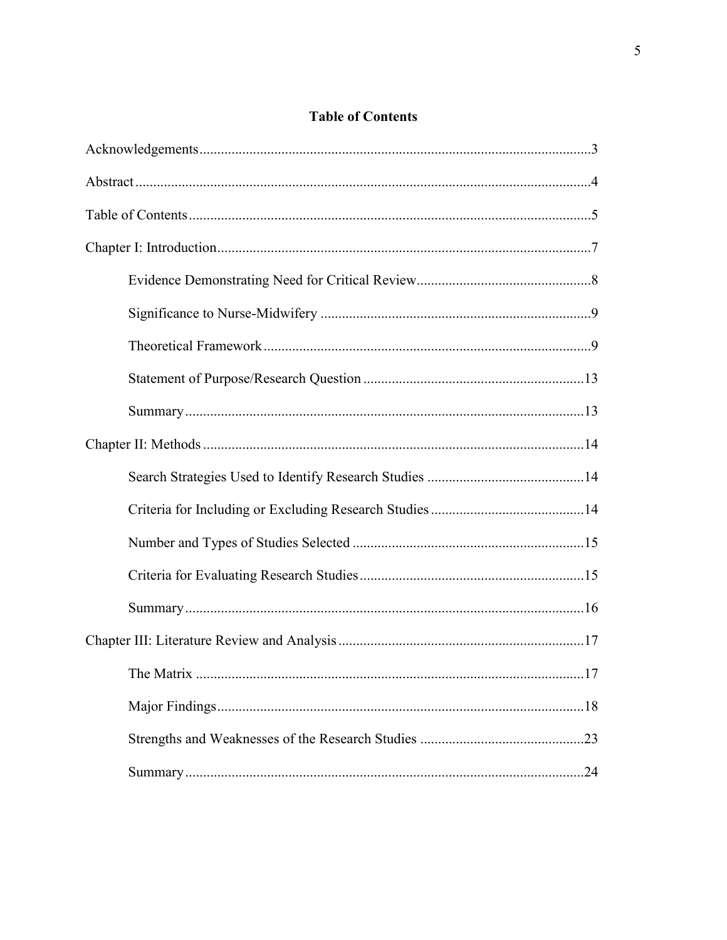# **Table of Contents**

| .17 |
|-----|
|     |
|     |
|     |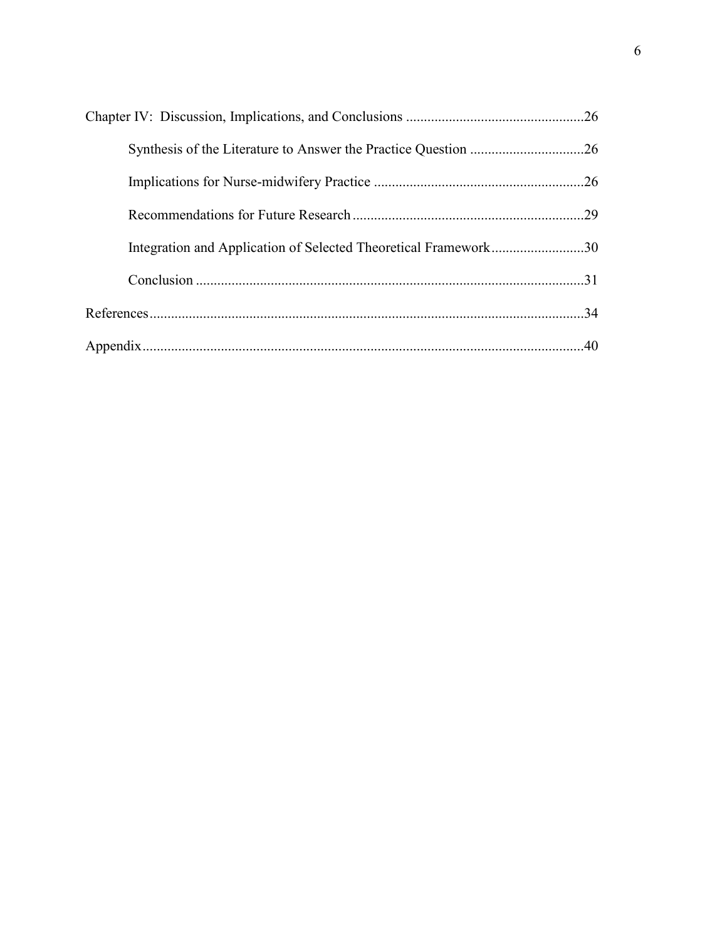| Integration and Application of Selected Theoretical Framework30 |  |
|-----------------------------------------------------------------|--|
|                                                                 |  |
|                                                                 |  |
|                                                                 |  |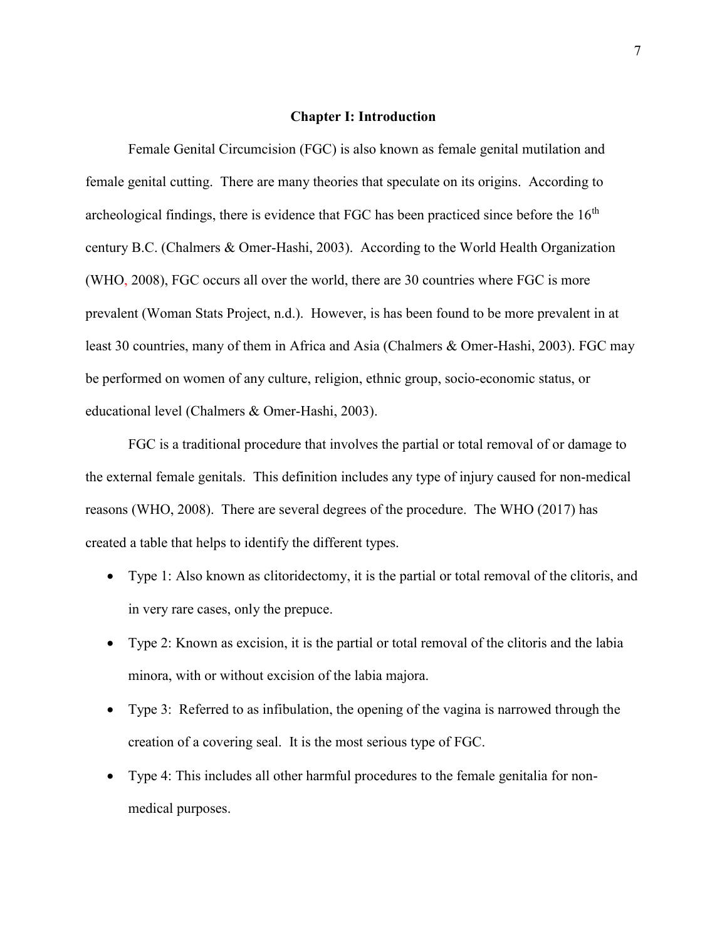#### **Chapter I: Introduction**

Female Genital Circumcision (FGC) is also known as female genital mutilation and female genital cutting. There are many theories that speculate on its origins. According to archeological findings, there is evidence that FGC has been practiced since before the  $16<sup>th</sup>$ century B.C. (Chalmers & Omer-Hashi, 2003). According to the World Health Organization (WHO, 2008), FGC occurs all over the world, there are 30 countries where FGC is more prevalent (Woman Stats Project, n.d.). However, is has been found to be more prevalent in at least 30 countries, many of them in Africa and Asia (Chalmers & Omer-Hashi, 2003). FGC may be performed on women of any culture, religion, ethnic group, socio-economic status, or educational level (Chalmers & Omer-Hashi, 2003).

FGC is a traditional procedure that involves the partial or total removal of or damage to the external female genitals. This definition includes any type of injury caused for non-medical reasons (WHO, 2008). There are several degrees of the procedure. The WHO (2017) has created a table that helps to identify the different types.

- Type 1: Also known as clitoridectomy, it is the partial or total removal of the clitoris, and in very rare cases, only the prepuce.
- Type 2: Known as excision, it is the partial or total removal of the clitoris and the labia minora, with or without excision of the labia majora.
- Type 3: Referred to as infibulation, the opening of the vagina is narrowed through the creation of a covering seal. It is the most serious type of FGC.
- Type 4: This includes all other harmful procedures to the female genitalia for nonmedical purposes.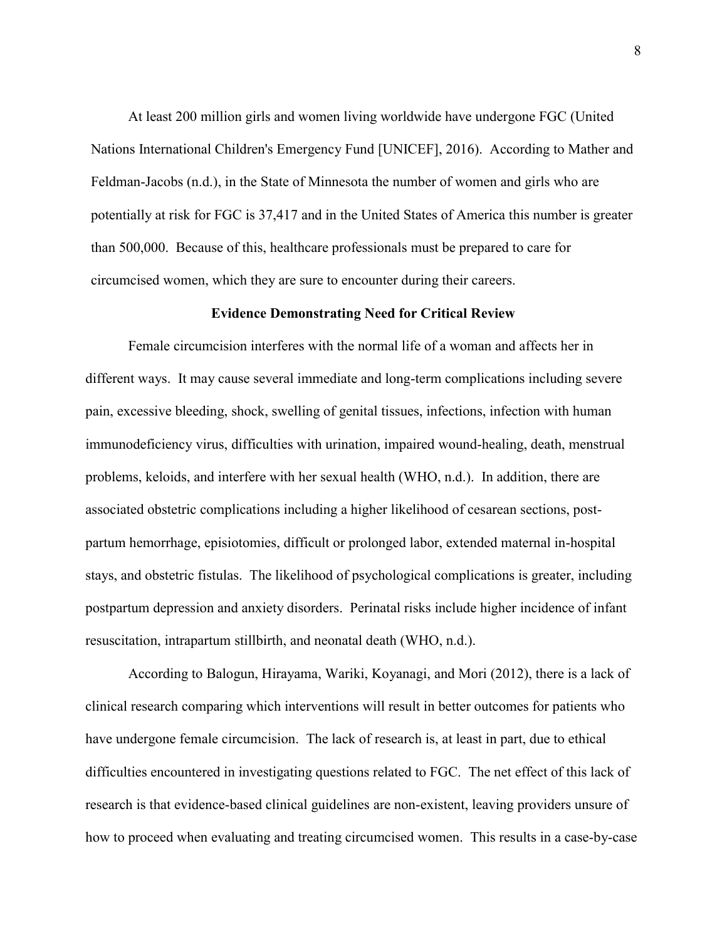At least 200 million girls and women living worldwide have undergone FGC (United Nations International Children's Emergency Fund [UNICEF], 2016). According to Mather and Feldman-Jacobs (n.d.), in the State of Minnesota the number of women and girls who are potentially at risk for FGC is 37,417 and in the United States of America this number is greater than 500,000. Because of this, healthcare professionals must be prepared to care for circumcised women, which they are sure to encounter during their careers.

#### **Evidence Demonstrating Need for Critical Review**

Female circumcision interferes with the normal life of a woman and affects her in different ways. It may cause several immediate and long-term complications including severe pain, excessive bleeding, shock, swelling of genital tissues, infections, infection with human immunodeficiency virus, difficulties with urination, impaired wound-healing, death, menstrual problems, keloids, and interfere with her sexual health (WHO, n.d.). In addition, there are associated obstetric complications including a higher likelihood of cesarean sections, postpartum hemorrhage, episiotomies, difficult or prolonged labor, extended maternal in-hospital stays, and obstetric fistulas. The likelihood of psychological complications is greater, including postpartum depression and anxiety disorders. Perinatal risks include higher incidence of infant resuscitation, intrapartum stillbirth, and neonatal death (WHO, n.d.).

According to Balogun, Hirayama, Wariki, Koyanagi, and Mori (2012), there is a lack of clinical research comparing which interventions will result in better outcomes for patients who have undergone female circumcision. The lack of research is, at least in part, due to ethical difficulties encountered in investigating questions related to FGC. The net effect of this lack of research is that evidence-based clinical guidelines are non-existent, leaving providers unsure of how to proceed when evaluating and treating circumcised women. This results in a case-by-case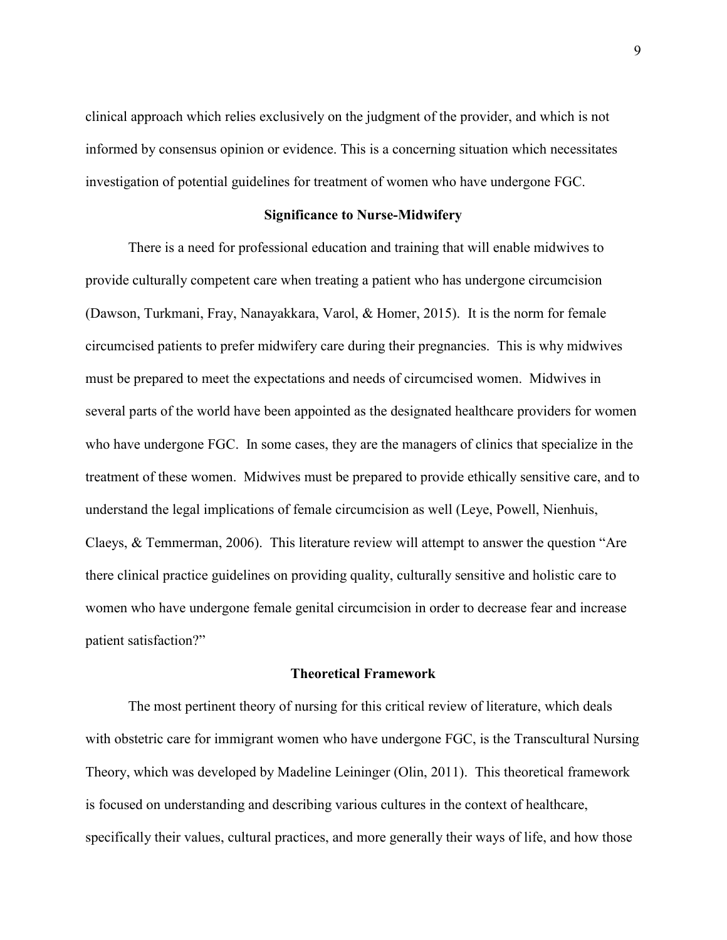clinical approach which relies exclusively on the judgment of the provider, and which is not informed by consensus opinion or evidence. This is a concerning situation which necessitates investigation of potential guidelines for treatment of women who have undergone FGC.

# **Significance to Nurse-Midwifery**

There is a need for professional education and training that will enable midwives to provide culturally competent care when treating a patient who has undergone circumcision (Dawson, Turkmani, Fray, Nanayakkara, Varol, & Homer, 2015). It is the norm for female circumcised patients to prefer midwifery care during their pregnancies. This is why midwives must be prepared to meet the expectations and needs of circumcised women. Midwives in several parts of the world have been appointed as the designated healthcare providers for women who have undergone FGC. In some cases, they are the managers of clinics that specialize in the treatment of these women. Midwives must be prepared to provide ethically sensitive care, and to understand the legal implications of female circumcision as well (Leye, Powell, Nienhuis, Claeys, & Temmerman, 2006). This literature review will attempt to answer the question "Are there clinical practice guidelines on providing quality, culturally sensitive and holistic care to women who have undergone female genital circumcision in order to decrease fear and increase patient satisfaction?"

#### **Theoretical Framework**

The most pertinent theory of nursing for this critical review of literature, which deals with obstetric care for immigrant women who have undergone FGC, is the Transcultural Nursing Theory, which was developed by Madeline Leininger (Olin, 2011). This theoretical framework is focused on understanding and describing various cultures in the context of healthcare, specifically their values, cultural practices, and more generally their ways of life, and how those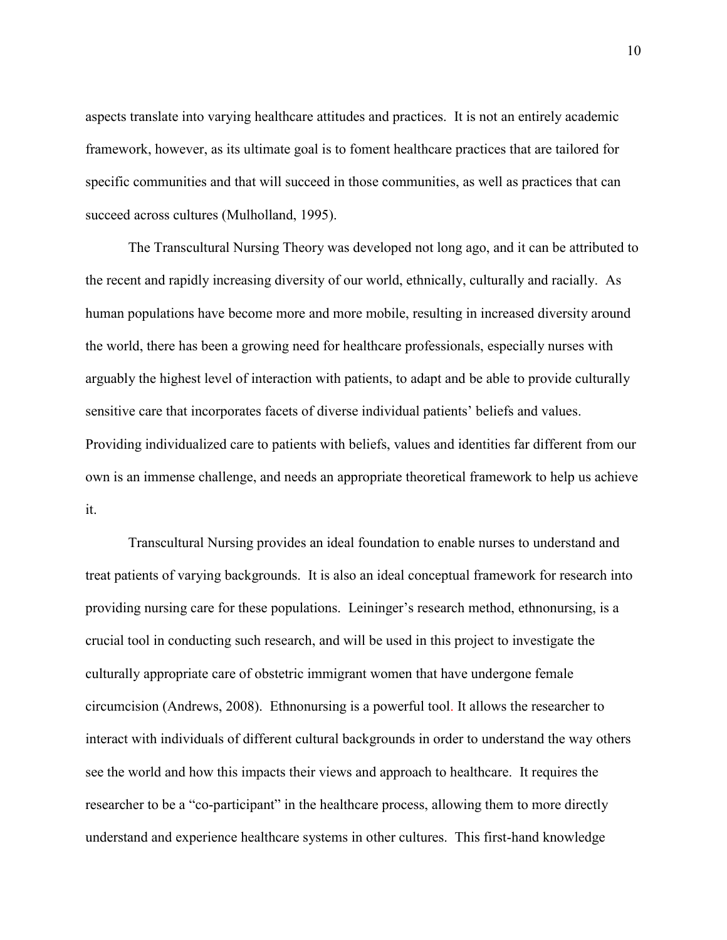aspects translate into varying healthcare attitudes and practices. It is not an entirely academic framework, however, as its ultimate goal is to foment healthcare practices that are tailored for specific communities and that will succeed in those communities, as well as practices that can succeed across cultures (Mulholland, 1995).

The Transcultural Nursing Theory was developed not long ago, and it can be attributed to the recent and rapidly increasing diversity of our world, ethnically, culturally and racially. As human populations have become more and more mobile, resulting in increased diversity around the world, there has been a growing need for healthcare professionals, especially nurses with arguably the highest level of interaction with patients, to adapt and be able to provide culturally sensitive care that incorporates facets of diverse individual patients' beliefs and values. Providing individualized care to patients with beliefs, values and identities far different from our own is an immense challenge, and needs an appropriate theoretical framework to help us achieve it.

Transcultural Nursing provides an ideal foundation to enable nurses to understand and treat patients of varying backgrounds. It is also an ideal conceptual framework for research into providing nursing care for these populations. Leininger's research method, ethnonursing, is a crucial tool in conducting such research, and will be used in this project to investigate the culturally appropriate care of obstetric immigrant women that have undergone female circumcision (Andrews, 2008). Ethnonursing is a powerful tool. It allows the researcher to interact with individuals of different cultural backgrounds in order to understand the way others see the world and how this impacts their views and approach to healthcare. It requires the researcher to be a "co-participant" in the healthcare process, allowing them to more directly understand and experience healthcare systems in other cultures. This first-hand knowledge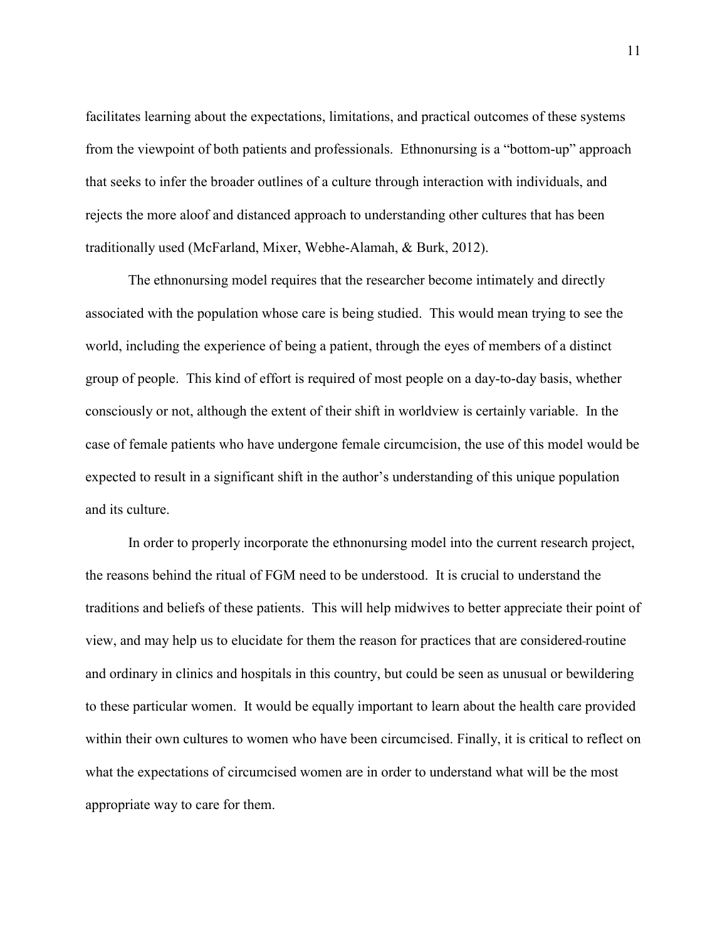facilitates learning about the expectations, limitations, and practical outcomes of these systems from the viewpoint of both patients and professionals. Ethnonursing is a "bottom-up" approach that seeks to infer the broader outlines of a culture through interaction with individuals, and rejects the more aloof and distanced approach to understanding other cultures that has been traditionally used (McFarland, Mixer, Webhe-Alamah, & Burk, 2012).

The ethnonursing model requires that the researcher become intimately and directly associated with the population whose care is being studied. This would mean trying to see the world, including the experience of being a patient, through the eyes of members of a distinct group of people. This kind of effort is required of most people on a day-to-day basis, whether consciously or not, although the extent of their shift in worldview is certainly variable. In the case of female patients who have undergone female circumcision, the use of this model would be expected to result in a significant shift in the author's understanding of this unique population and its culture.

In order to properly incorporate the ethnonursing model into the current research project, the reasons behind the ritual of FGM need to be understood. It is crucial to understand the traditions and beliefs of these patients. This will help midwives to better appreciate their point of view, and may help us to elucidate for them the reason for practices that are considered routine and ordinary in clinics and hospitals in this country, but could be seen as unusual or bewildering to these particular women. It would be equally important to learn about the health care provided within their own cultures to women who have been circumcised. Finally, it is critical to reflect on what the expectations of circumcised women are in order to understand what will be the most appropriate way to care for them.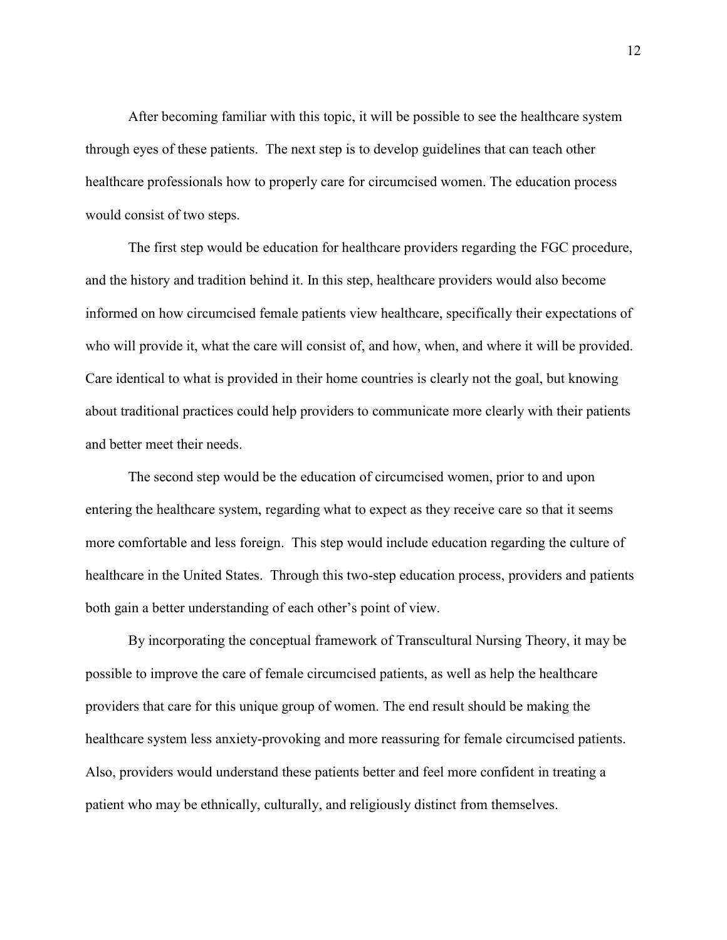After becoming familiar with this topic, it will be possible to see the healthcare system through eyes of these patients. The next step is to develop guidelines that can teach other healthcare professionals how to properly care for circumcised women. The education process would consist of two steps.

The first step would be education for healthcare providers regarding the FGC procedure, and the history and tradition behind it. In this step, healthcare providers would also become informed on how circumcised female patients view healthcare, specifically their expectations of who will provide it, what the care will consist of, and how, when, and where it will be provided. Care identical to what is provided in their home countries is clearly not the goal, but knowing about traditional practices could help providers to communicate more clearly with their patients and better meet their needs.

The second step would be the education of circumcised women, prior to and upon entering the healthcare system, regarding what to expect as they receive care so that it seems more comfortable and less foreign. This step would include education regarding the culture of healthcare in the United States. Through this two-step education process, providers and patients both gain a better understanding of each other's point of view.

By incorporating the conceptual framework of Transcultural Nursing Theory, it may be possible to improve the care of female circumcised patients, as well as help the healthcare providers that care for this unique group of women. The end result should be making the healthcare system less anxiety-provoking and more reassuring for female circumcised patients. Also, providers would understand these patients better and feel more confident in treating a patient who may be ethnically, culturally, and religiously distinct from themselves.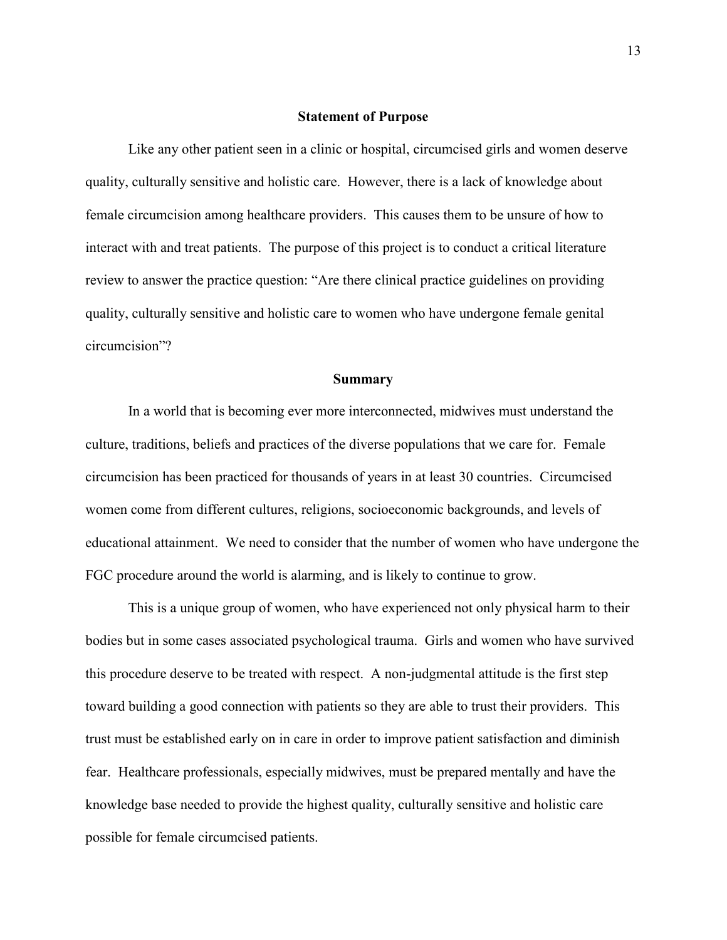#### **Statement of Purpose**

Like any other patient seen in a clinic or hospital, circumcised girls and women deserve quality, culturally sensitive and holistic care. However, there is a lack of knowledge about female circumcision among healthcare providers. This causes them to be unsure of how to interact with and treat patients. The purpose of this project is to conduct a critical literature review to answer the practice question: "Are there clinical practice guidelines on providing quality, culturally sensitive and holistic care to women who have undergone female genital circumcision"?

### **Summary**

In a world that is becoming ever more interconnected, midwives must understand the culture, traditions, beliefs and practices of the diverse populations that we care for. Female circumcision has been practiced for thousands of years in at least 30 countries. Circumcised women come from different cultures, religions, socioeconomic backgrounds, and levels of educational attainment. We need to consider that the number of women who have undergone the FGC procedure around the world is alarming, and is likely to continue to grow.

This is a unique group of women, who have experienced not only physical harm to their bodies but in some cases associated psychological trauma. Girls and women who have survived this procedure deserve to be treated with respect. A non-judgmental attitude is the first step toward building a good connection with patients so they are able to trust their providers. This trust must be established early on in care in order to improve patient satisfaction and diminish fear. Healthcare professionals, especially midwives, must be prepared mentally and have the knowledge base needed to provide the highest quality, culturally sensitive and holistic care possible for female circumcised patients.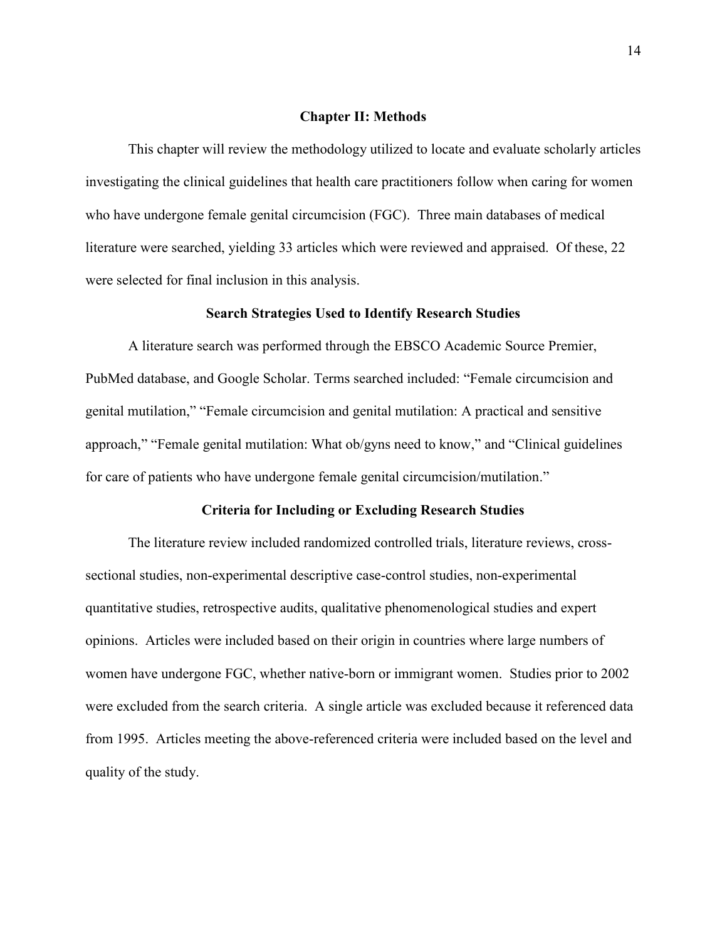#### **Chapter II: Methods**

This chapter will review the methodology utilized to locate and evaluate scholarly articles investigating the clinical guidelines that health care practitioners follow when caring for women who have undergone female genital circumcision (FGC). Three main databases of medical literature were searched, yielding 33 articles which were reviewed and appraised. Of these, 22 were selected for final inclusion in this analysis.

#### **Search Strategies Used to Identify Research Studies**

A literature search was performed through the EBSCO Academic Source Premier, PubMed database, and Google Scholar. Terms searched included: "Female circumcision and genital mutilation," "Female circumcision and genital mutilation: A practical and sensitive approach," "Female genital mutilation: What ob/gyns need to know," and "Clinical guidelines for care of patients who have undergone female genital circumcision/mutilation."

### **Criteria for Including or Excluding Research Studies**

The literature review included randomized controlled trials, literature reviews, crosssectional studies, non-experimental descriptive case-control studies, non-experimental quantitative studies, retrospective audits, qualitative phenomenological studies and expert opinions. Articles were included based on their origin in countries where large numbers of women have undergone FGC, whether native-born or immigrant women. Studies prior to 2002 were excluded from the search criteria. A single article was excluded because it referenced data from 1995. Articles meeting the above-referenced criteria were included based on the level and quality of the study.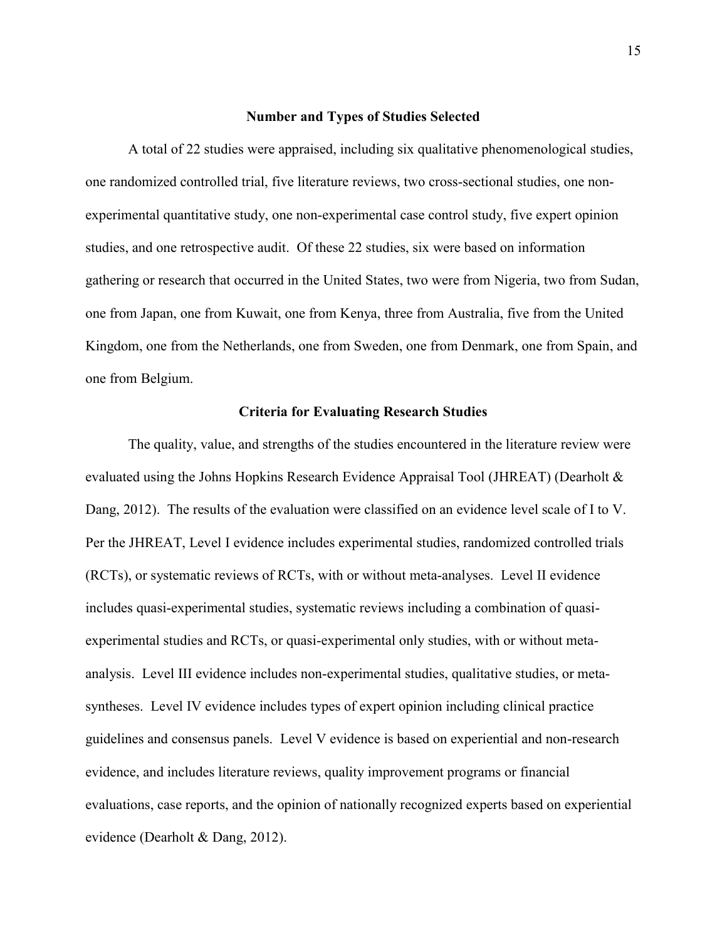#### **Number and Types of Studies Selected**

A total of 22 studies were appraised, including six qualitative phenomenological studies, one randomized controlled trial, five literature reviews, two cross-sectional studies, one nonexperimental quantitative study, one non-experimental case control study, five expert opinion studies, and one retrospective audit. Of these 22 studies, six were based on information gathering or research that occurred in the United States, two were from Nigeria, two from Sudan, one from Japan, one from Kuwait, one from Kenya, three from Australia, five from the United Kingdom, one from the Netherlands, one from Sweden, one from Denmark, one from Spain, and one from Belgium.

# **Criteria for Evaluating Research Studies**

The quality, value, and strengths of the studies encountered in the literature review were evaluated using the Johns Hopkins Research Evidence Appraisal Tool (JHREAT) (Dearholt & Dang, 2012). The results of the evaluation were classified on an evidence level scale of I to V. Per the JHREAT, Level I evidence includes experimental studies, randomized controlled trials (RCTs), or systematic reviews of RCTs, with or without meta-analyses. Level II evidence includes quasi-experimental studies, systematic reviews including a combination of quasiexperimental studies and RCTs, or quasi-experimental only studies, with or without metaanalysis. Level III evidence includes non-experimental studies, qualitative studies, or metasyntheses. Level IV evidence includes types of expert opinion including clinical practice guidelines and consensus panels. Level V evidence is based on experiential and non-research evidence, and includes literature reviews, quality improvement programs or financial evaluations, case reports, and the opinion of nationally recognized experts based on experiential evidence (Dearholt & Dang, 2012).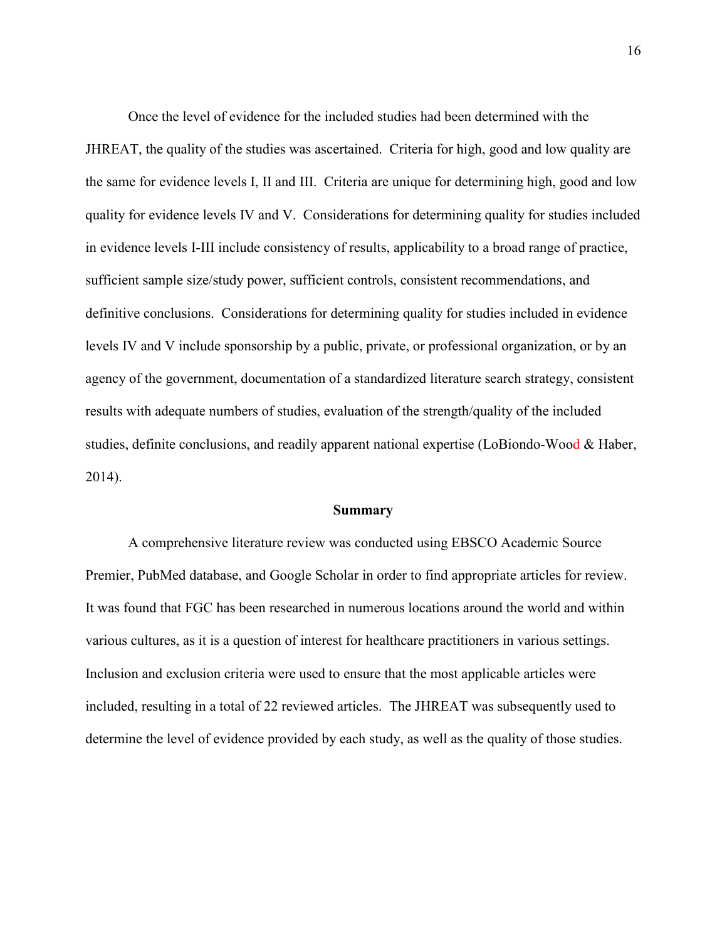Once the level of evidence for the included studies had been determined with the JHREAT, the quality of the studies was ascertained. Criteria for high, good and low quality are the same for evidence levels I, II and III. Criteria are unique for determining high, good and low quality for evidence levels IV and V. Considerations for determining quality for studies included in evidence levels I-III include consistency of results, applicability to a broad range of practice, sufficient sample size/study power, sufficient controls, consistent recommendations, and definitive conclusions. Considerations for determining quality for studies included in evidence levels IV and V include sponsorship by a public, private, or professional organization, or by an agency of the government, documentation of a standardized literature search strategy, consistent results with adequate numbers of studies, evaluation of the strength/quality of the included studies, definite conclusions, and readily apparent national expertise (LoBiondo-Wood  $\&$  Haber, 2014).

#### **Summary**

A comprehensive literature review was conducted using EBSCO Academic Source Premier, PubMed database, and Google Scholar in order to find appropriate articles for review. It was found that FGC has been researched in numerous locations around the world and within various cultures, as it is a question of interest for healthcare practitioners in various settings. Inclusion and exclusion criteria were used to ensure that the most applicable articles were included, resulting in a total of 22 reviewed articles. The JHREAT was subsequently used to determine the level of evidence provided by each study, as well as the quality of those studies.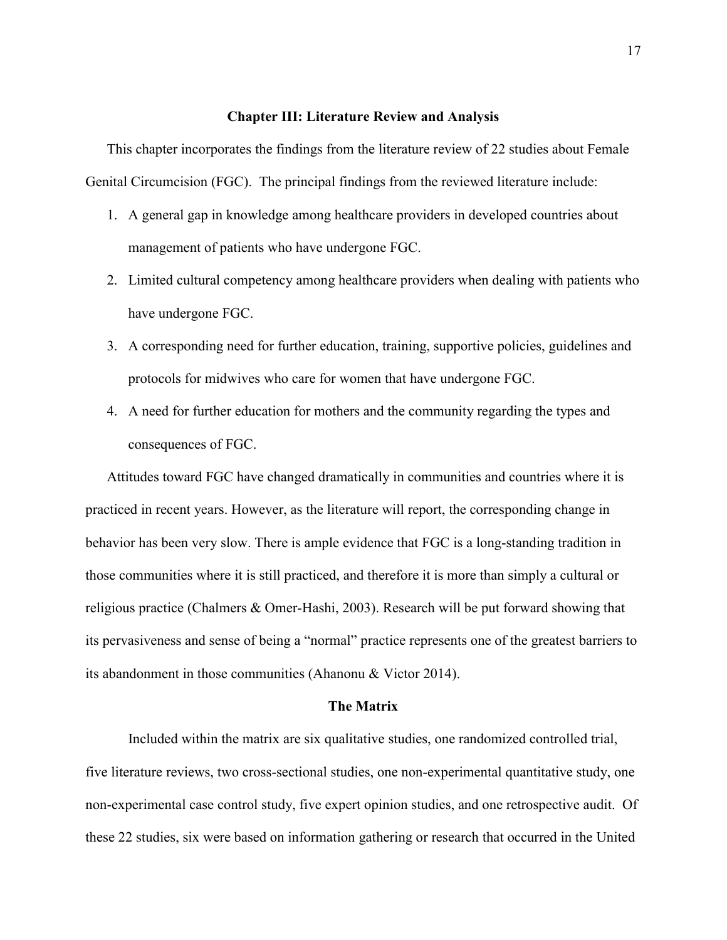#### **Chapter III: Literature Review and Analysis**

This chapter incorporates the findings from the literature review of 22 studies about Female Genital Circumcision (FGC). The principal findings from the reviewed literature include:

- 1. A general gap in knowledge among healthcare providers in developed countries about management of patients who have undergone FGC.
- 2. Limited cultural competency among healthcare providers when dealing with patients who have undergone FGC.
- 3. A corresponding need for further education, training, supportive policies, guidelines and protocols for midwives who care for women that have undergone FGC.
- 4. A need for further education for mothers and the community regarding the types and consequences of FGC.

Attitudes toward FGC have changed dramatically in communities and countries where it is practiced in recent years. However, as the literature will report, the corresponding change in behavior has been very slow. There is ample evidence that FGC is a long-standing tradition in those communities where it is still practiced, and therefore it is more than simply a cultural or religious practice (Chalmers & Omer-Hashi, 2003). Research will be put forward showing that its pervasiveness and sense of being a "normal" practice represents one of the greatest barriers to its abandonment in those communities (Ahanonu & Victor 2014).

## **The Matrix**

Included within the matrix are six qualitative studies, one randomized controlled trial, five literature reviews, two cross-sectional studies, one non-experimental quantitative study, one non-experimental case control study, five expert opinion studies, and one retrospective audit. Of these 22 studies, six were based on information gathering or research that occurred in the United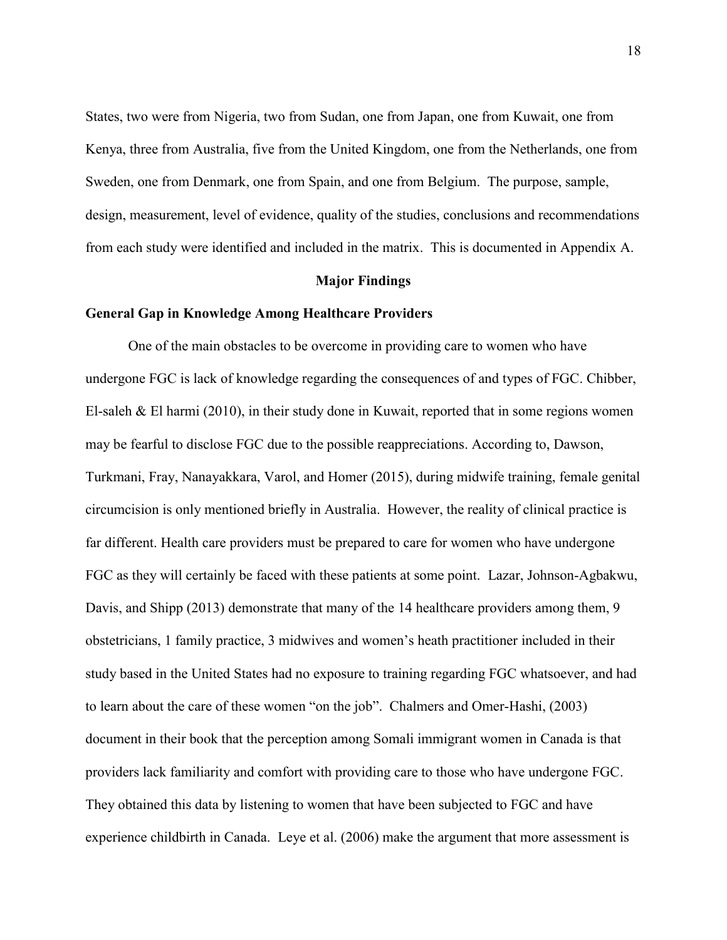States, two were from Nigeria, two from Sudan, one from Japan, one from Kuwait, one from Kenya, three from Australia, five from the United Kingdom, one from the Netherlands, one from Sweden, one from Denmark, one from Spain, and one from Belgium. The purpose, sample, design, measurement, level of evidence, quality of the studies, conclusions and recommendations from each study were identified and included in the matrix. This is documented in Appendix A.

### **Major Findings**

# **General Gap in Knowledge Among Healthcare Providers**

One of the main obstacles to be overcome in providing care to women who have undergone FGC is lack of knowledge regarding the consequences of and types of FGC. Chibber, El-saleh & El harmi (2010), in their study done in Kuwait, reported that in some regions women may be fearful to disclose FGC due to the possible reappreciations. According to, Dawson, Turkmani, Fray, Nanayakkara, Varol, and Homer (2015), during midwife training, female genital circumcision is only mentioned briefly in Australia. However, the reality of clinical practice is far different. Health care providers must be prepared to care for women who have undergone FGC as they will certainly be faced with these patients at some point. Lazar, Johnson-Agbakwu, Davis, and Shipp (2013) demonstrate that many of the 14 healthcare providers among them, 9 obstetricians, 1 family practice, 3 midwives and women's heath practitioner included in their study based in the United States had no exposure to training regarding FGC whatsoever, and had to learn about the care of these women "on the job". Chalmers and Omer-Hashi, (2003) document in their book that the perception among Somali immigrant women in Canada is that providers lack familiarity and comfort with providing care to those who have undergone FGC. They obtained this data by listening to women that have been subjected to FGC and have experience childbirth in Canada. Leye et al. (2006) make the argument that more assessment is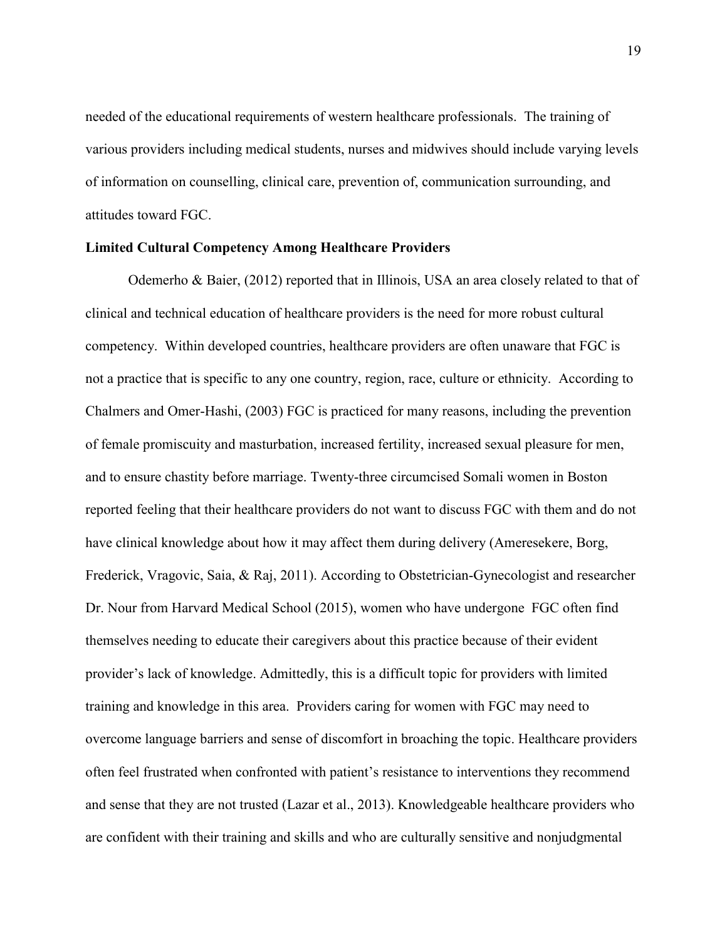needed of the educational requirements of western healthcare professionals. The training of various providers including medical students, nurses and midwives should include varying levels of information on counselling, clinical care, prevention of, communication surrounding, and attitudes toward FGC.

# **Limited Cultural Competency Among Healthcare Providers**

Odemerho & Baier, (2012) reported that in Illinois, USA an area closely related to that of clinical and technical education of healthcare providers is the need for more robust cultural competency. Within developed countries, healthcare providers are often unaware that FGC is not a practice that is specific to any one country, region, race, culture or ethnicity. According to Chalmers and Omer-Hashi, (2003) FGC is practiced for many reasons, including the prevention of female promiscuity and masturbation, increased fertility, increased sexual pleasure for men, and to ensure chastity before marriage. Twenty-three circumcised Somali women in Boston reported feeling that their healthcare providers do not want to discuss FGC with them and do not have clinical knowledge about how it may affect them during delivery (Ameresekere, Borg, Frederick, Vragovic, Saia, & Raj, 2011). According to Obstetrician-Gynecologist and researcher Dr. Nour from Harvard Medical School (2015), women who have undergone FGC often find themselves needing to educate their caregivers about this practice because of their evident provider's lack of knowledge. Admittedly, this is a difficult topic for providers with limited training and knowledge in this area. Providers caring for women with FGC may need to overcome language barriers and sense of discomfort in broaching the topic. Healthcare providers often feel frustrated when confronted with patient's resistance to interventions they recommend and sense that they are not trusted (Lazar et al., 2013). Knowledgeable healthcare providers who are confident with their training and skills and who are culturally sensitive and nonjudgmental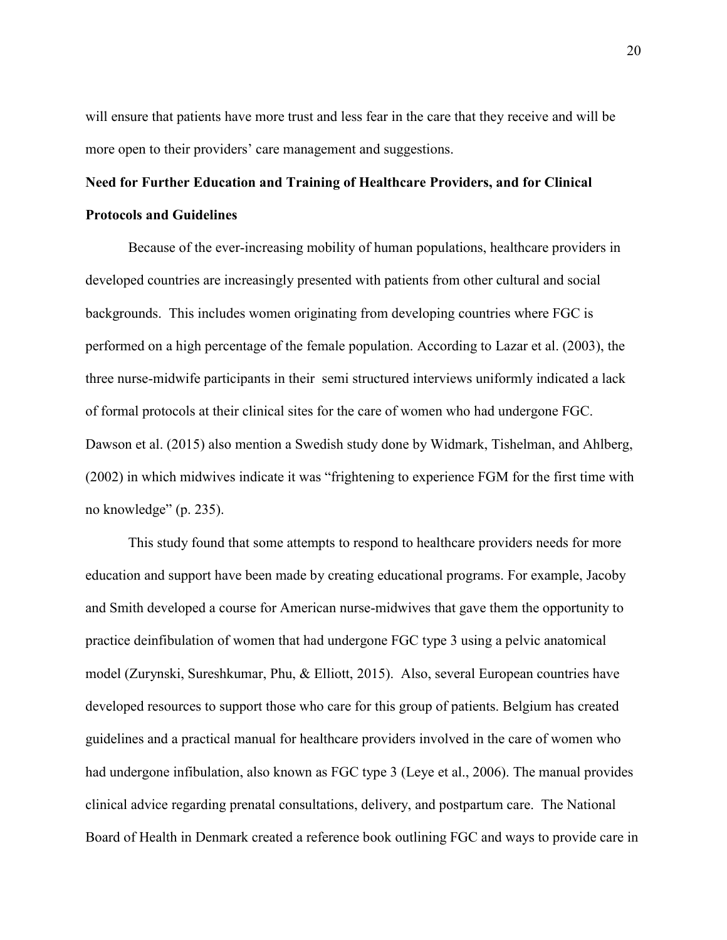will ensure that patients have more trust and less fear in the care that they receive and will be more open to their providers' care management and suggestions.

# **Need for Further Education and Training of Healthcare Providers, and for Clinical Protocols and Guidelines**

Because of the ever-increasing mobility of human populations, healthcare providers in developed countries are increasingly presented with patients from other cultural and social backgrounds. This includes women originating from developing countries where FGC is performed on a high percentage of the female population. According to Lazar et al. (2003), the three nurse-midwife participants in their semi structured interviews uniformly indicated a lack of formal protocols at their clinical sites for the care of women who had undergone FGC. Dawson et al. (2015) also mention a Swedish study done by Widmark, Tishelman, and Ahlberg, (2002) in which midwives indicate it was "frightening to experience FGM for the first time with no knowledge" (p. 235).

This study found that some attempts to respond to healthcare providers needs for more education and support have been made by creating educational programs. For example, Jacoby and Smith developed a course for American nurse-midwives that gave them the opportunity to practice deinfibulation of women that had undergone FGC type 3 using a pelvic anatomical model (Zurynski, Sureshkumar, Phu, & Elliott, 2015). Also, several European countries have developed resources to support those who care for this group of patients. Belgium has created guidelines and a practical manual for healthcare providers involved in the care of women who had undergone infibulation, also known as FGC type 3 (Leye et al., 2006). The manual provides clinical advice regarding prenatal consultations, delivery, and postpartum care. The National Board of Health in Denmark created a reference book outlining FGC and ways to provide care in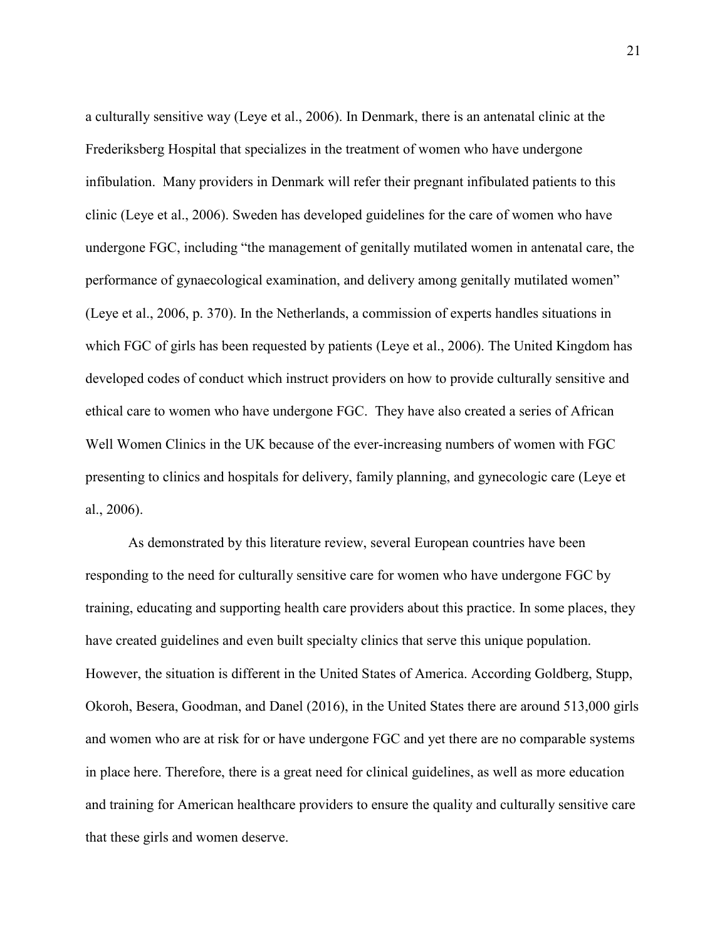a culturally sensitive way (Leye et al., 2006). In Denmark, there is an antenatal clinic at the Frederiksberg Hospital that specializes in the treatment of women who have undergone infibulation. Many providers in Denmark will refer their pregnant infibulated patients to this clinic (Leye et al., 2006). Sweden has developed guidelines for the care of women who have undergone FGC, including "the management of genitally mutilated women in antenatal care, the performance of gynaecological examination, and delivery among genitally mutilated women" (Leye et al., 2006, p. 370). In the Netherlands, a commission of experts handles situations in which FGC of girls has been requested by patients (Leye et al., 2006). The United Kingdom has developed codes of conduct which instruct providers on how to provide culturally sensitive and ethical care to women who have undergone FGC. They have also created a series of African Well Women Clinics in the UK because of the ever-increasing numbers of women with FGC presenting to clinics and hospitals for delivery, family planning, and gynecologic care (Leye et al., 2006).

As demonstrated by this literature review, several European countries have been responding to the need for culturally sensitive care for women who have undergone FGC by training, educating and supporting health care providers about this practice. In some places, they have created guidelines and even built specialty clinics that serve this unique population. However, the situation is different in the United States of America. According Goldberg, Stupp, Okoroh, Besera, Goodman, and Danel (2016), in the United States there are around 513,000 girls and women who are at risk for or have undergone FGC and yet there are no comparable systems in place here. Therefore, there is a great need for clinical guidelines, as well as more education and training for American healthcare providers to ensure the quality and culturally sensitive care that these girls and women deserve.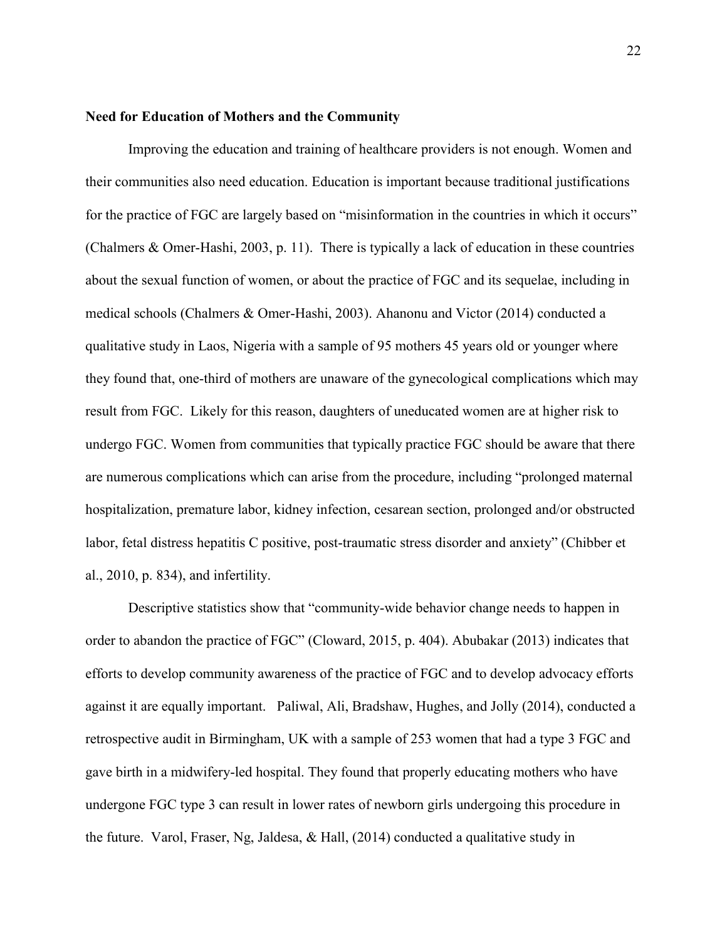# **Need for Education of Mothers and the Community**

Improving the education and training of healthcare providers is not enough. Women and their communities also need education. Education is important because traditional justifications for the practice of FGC are largely based on "misinformation in the countries in which it occurs" (Chalmers & Omer-Hashi, 2003, p. 11). There is typically a lack of education in these countries about the sexual function of women, or about the practice of FGC and its sequelae, including in medical schools (Chalmers & Omer-Hashi, 2003). Ahanonu and Victor (2014) conducted a qualitative study in Laos, Nigeria with a sample of 95 mothers 45 years old or younger where they found that, one-third of mothers are unaware of the gynecological complications which may result from FGC. Likely for this reason, daughters of uneducated women are at higher risk to undergo FGC. Women from communities that typically practice FGC should be aware that there are numerous complications which can arise from the procedure, including "prolonged maternal hospitalization, premature labor, kidney infection, cesarean section, prolonged and/or obstructed labor, fetal distress hepatitis C positive, post-traumatic stress disorder and anxiety" (Chibber et al., 2010, p. 834), and infertility.

Descriptive statistics show that "community-wide behavior change needs to happen in order to abandon the practice of FGC" (Cloward, 2015, p. 404). Abubakar (2013) indicates that efforts to develop community awareness of the practice of FGC and to develop advocacy efforts against it are equally important. Paliwal, Ali, Bradshaw, Hughes, and Jolly (2014), conducted a retrospective audit in Birmingham, UK with a sample of 253 women that had a type 3 FGC and gave birth in a midwifery-led hospital. They found that properly educating mothers who have undergone FGC type 3 can result in lower rates of newborn girls undergoing this procedure in the future. Varol, Fraser, Ng, Jaldesa, & Hall,  $(2014)$  conducted a qualitative study in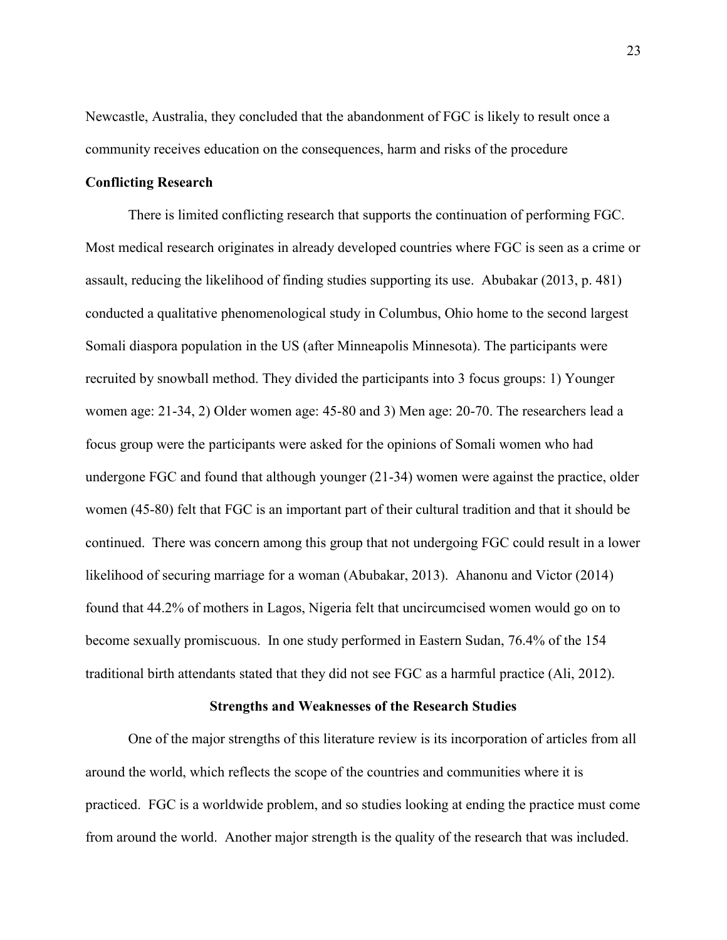Newcastle, Australia, they concluded that the abandonment of FGC is likely to result once a community receives education on the consequences, harm and risks of the procedure

### **Conflicting Research**

There is limited conflicting research that supports the continuation of performing FGC. Most medical research originates in already developed countries where FGC is seen as a crime or assault, reducing the likelihood of finding studies supporting its use. Abubakar (2013, p. 481) conducted a qualitative phenomenological study in Columbus, Ohio home to the second largest Somali diaspora population in the US (after Minneapolis Minnesota). The participants were recruited by snowball method. They divided the participants into 3 focus groups: 1) Younger women age: 21-34, 2) Older women age: 45-80 and 3) Men age: 20-70. The researchers lead a focus group were the participants were asked for the opinions of Somali women who had undergone FGC and found that although younger (21-34) women were against the practice, older women (45-80) felt that FGC is an important part of their cultural tradition and that it should be continued. There was concern among this group that not undergoing FGC could result in a lower likelihood of securing marriage for a woman (Abubakar, 2013). Ahanonu and Victor (2014) found that 44.2% of mothers in Lagos, Nigeria felt that uncircumcised women would go on to become sexually promiscuous. In one study performed in Eastern Sudan, 76.4% of the 154 traditional birth attendants stated that they did not see FGC as a harmful practice (Ali, 2012).

## **Strengths and Weaknesses of the Research Studies**

One of the major strengths of this literature review is its incorporation of articles from all around the world, which reflects the scope of the countries and communities where it is practiced. FGC is a worldwide problem, and so studies looking at ending the practice must come from around the world. Another major strength is the quality of the research that was included.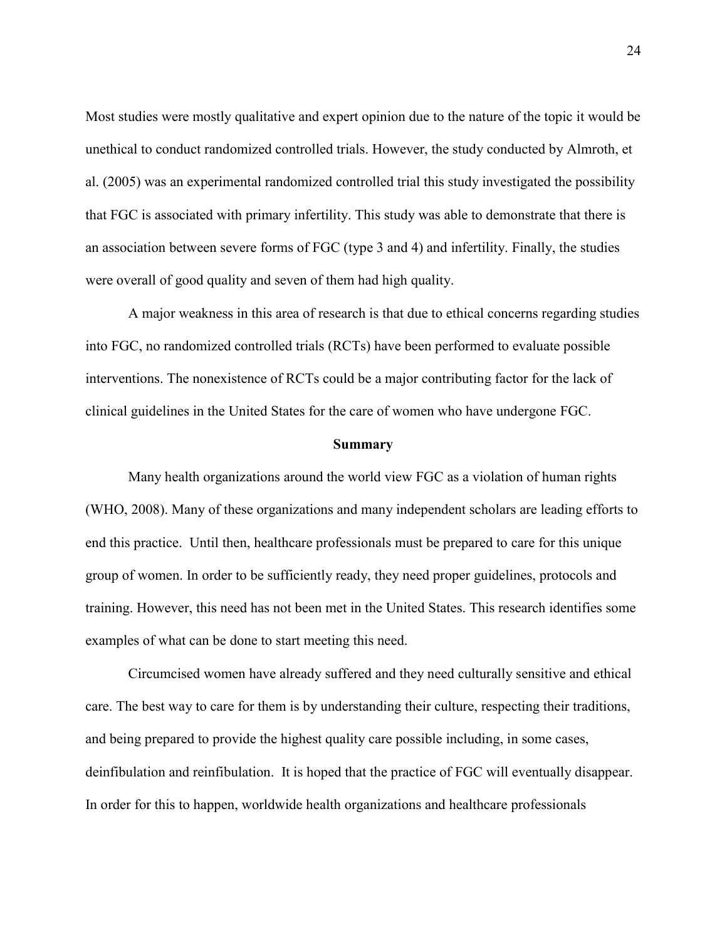Most studies were mostly qualitative and expert opinion due to the nature of the topic it would be unethical to conduct randomized controlled trials. However, the study conducted by Almroth, et al. (2005) was an experimental randomized controlled trial this study investigated the possibility that FGC is associated with primary infertility. This study was able to demonstrate that there is an association between severe forms of FGC (type 3 and 4) and infertility. Finally, the studies were overall of good quality and seven of them had high quality.

A major weakness in this area of research is that due to ethical concerns regarding studies into FGC, no randomized controlled trials (RCTs) have been performed to evaluate possible interventions. The nonexistence of RCTs could be a major contributing factor for the lack of clinical guidelines in the United States for the care of women who have undergone FGC.

#### **Summary**

Many health organizations around the world view FGC as a violation of human rights (WHO, 2008). Many of these organizations and many independent scholars are leading efforts to end this practice. Until then, healthcare professionals must be prepared to care for this unique group of women. In order to be sufficiently ready, they need proper guidelines, protocols and training. However, this need has not been met in the United States. This research identifies some examples of what can be done to start meeting this need.

Circumcised women have already suffered and they need culturally sensitive and ethical care. The best way to care for them is by understanding their culture, respecting their traditions, and being prepared to provide the highest quality care possible including, in some cases, deinfibulation and reinfibulation. It is hoped that the practice of FGC will eventually disappear. In order for this to happen, worldwide health organizations and healthcare professionals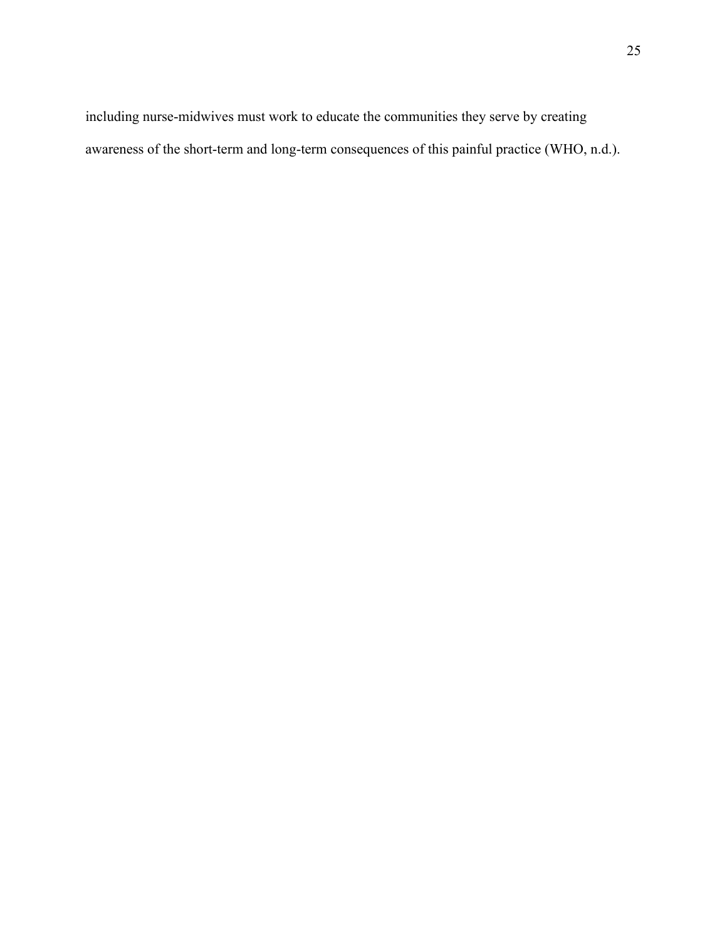including nurse-midwives must work to educate the communities they serve by creating awareness of the short-term and long-term consequences of this painful practice (WHO, n.d.).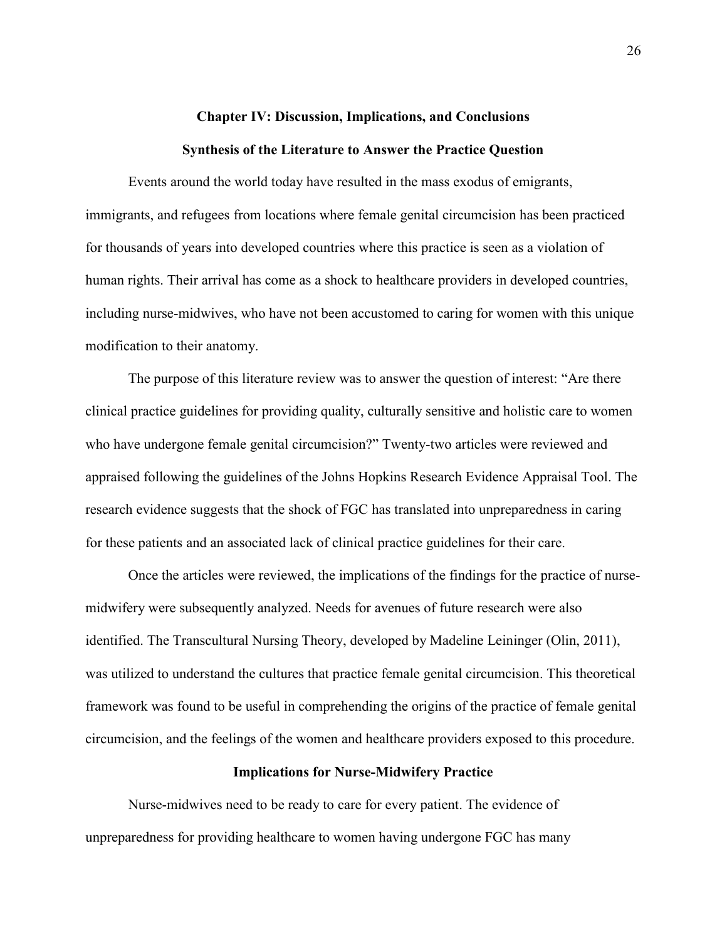# **Chapter IV: Discussion, Implications, and Conclusions Synthesis of the Literature to Answer the Practice Question**

Events around the world today have resulted in the mass exodus of emigrants, immigrants, and refugees from locations where female genital circumcision has been practiced for thousands of years into developed countries where this practice is seen as a violation of human rights. Their arrival has come as a shock to healthcare providers in developed countries, including nurse-midwives, who have not been accustomed to caring for women with this unique modification to their anatomy.

The purpose of this literature review was to answer the question of interest: "Are there clinical practice guidelines for providing quality, culturally sensitive and holistic care to women who have undergone female genital circumcision?" Twenty-two articles were reviewed and appraised following the guidelines of the Johns Hopkins Research Evidence Appraisal Tool. The research evidence suggests that the shock of FGC has translated into unpreparedness in caring for these patients and an associated lack of clinical practice guidelines for their care.

Once the articles were reviewed, the implications of the findings for the practice of nursemidwifery were subsequently analyzed. Needs for avenues of future research were also identified. The Transcultural Nursing Theory, developed by Madeline Leininger (Olin, 2011), was utilized to understand the cultures that practice female genital circumcision. This theoretical framework was found to be useful in comprehending the origins of the practice of female genital circumcision, and the feelings of the women and healthcare providers exposed to this procedure.

# **Implications for Nurse-Midwifery Practice**

Nurse-midwives need to be ready to care for every patient. The evidence of unpreparedness for providing healthcare to women having undergone FGC has many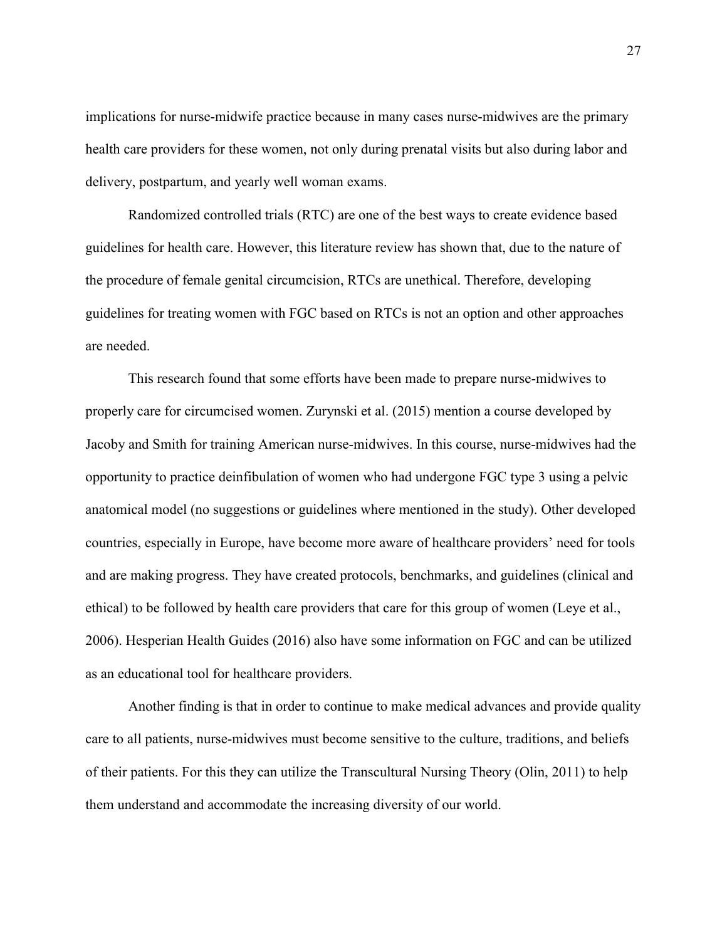implications for nurse-midwife practice because in many cases nurse-midwives are the primary health care providers for these women, not only during prenatal visits but also during labor and delivery, postpartum, and yearly well woman exams.

Randomized controlled trials (RTC) are one of the best ways to create evidence based guidelines for health care. However, this literature review has shown that, due to the nature of the procedure of female genital circumcision, RTCs are unethical. Therefore, developing guidelines for treating women with FGC based on RTCs is not an option and other approaches are needed.

This research found that some efforts have been made to prepare nurse-midwives to properly care for circumcised women. Zurynski et al. (2015) mention a course developed by Jacoby and Smith for training American nurse-midwives. In this course, nurse-midwives had the opportunity to practice deinfibulation of women who had undergone FGC type 3 using a pelvic anatomical model (no suggestions or guidelines where mentioned in the study). Other developed countries, especially in Europe, have become more aware of healthcare providers' need for tools and are making progress. They have created protocols, benchmarks, and guidelines (clinical and ethical) to be followed by health care providers that care for this group of women (Leye et al., 2006). Hesperian Health Guides (2016) also have some information on FGC and can be utilized as an educational tool for healthcare providers.

Another finding is that in order to continue to make medical advances and provide quality care to all patients, nurse-midwives must become sensitive to the culture, traditions, and beliefs of their patients. For this they can utilize the Transcultural Nursing Theory (Olin, 2011) to help them understand and accommodate the increasing diversity of our world.

27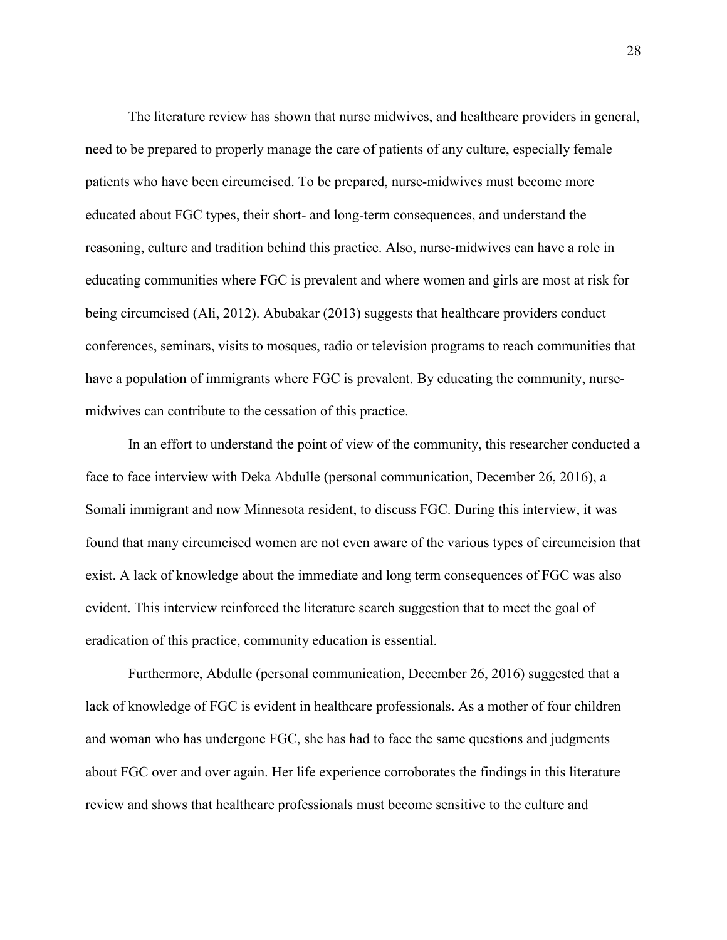The literature review has shown that nurse midwives, and healthcare providers in general, need to be prepared to properly manage the care of patients of any culture, especially female patients who have been circumcised. To be prepared, nurse-midwives must become more educated about FGC types, their short- and long-term consequences, and understand the reasoning, culture and tradition behind this practice. Also, nurse-midwives can have a role in educating communities where FGC is prevalent and where women and girls are most at risk for being circumcised (Ali, 2012). Abubakar (2013) suggests that healthcare providers conduct conferences, seminars, visits to mosques, radio or television programs to reach communities that have a population of immigrants where FGC is prevalent. By educating the community, nursemidwives can contribute to the cessation of this practice.

In an effort to understand the point of view of the community, this researcher conducted a face to face interview with Deka Abdulle (personal communication, December 26, 2016), a Somali immigrant and now Minnesota resident, to discuss FGC. During this interview, it was found that many circumcised women are not even aware of the various types of circumcision that exist. A lack of knowledge about the immediate and long term consequences of FGC was also evident. This interview reinforced the literature search suggestion that to meet the goal of eradication of this practice, community education is essential.

Furthermore, Abdulle (personal communication, December 26, 2016) suggested that a lack of knowledge of FGC is evident in healthcare professionals. As a mother of four children and woman who has undergone FGC, she has had to face the same questions and judgments about FGC over and over again. Her life experience corroborates the findings in this literature review and shows that healthcare professionals must become sensitive to the culture and

28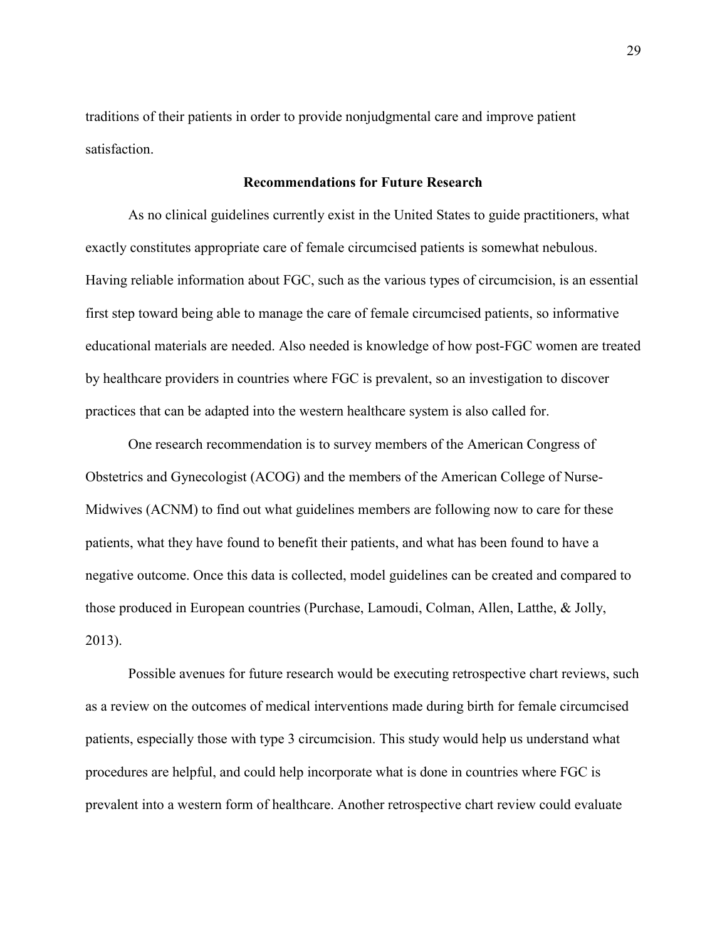traditions of their patients in order to provide nonjudgmental care and improve patient satisfaction.

### **Recommendations for Future Research**

As no clinical guidelines currently exist in the United States to guide practitioners, what exactly constitutes appropriate care of female circumcised patients is somewhat nebulous. Having reliable information about FGC, such as the various types of circumcision, is an essential first step toward being able to manage the care of female circumcised patients, so informative educational materials are needed. Also needed is knowledge of how post-FGC women are treated by healthcare providers in countries where FGC is prevalent, so an investigation to discover practices that can be adapted into the western healthcare system is also called for.

One research recommendation is to survey members of the American Congress of Obstetrics and Gynecologist (ACOG) and the members of the American College of Nurse-Midwives (ACNM) to find out what guidelines members are following now to care for these patients, what they have found to benefit their patients, and what has been found to have a negative outcome. Once this data is collected, model guidelines can be created and compared to those produced in European countries (Purchase, Lamoudi, Colman, Allen, Latthe, & Jolly, 2013).

Possible avenues for future research would be executing retrospective chart reviews, such as a review on the outcomes of medical interventions made during birth for female circumcised patients, especially those with type 3 circumcision. This study would help us understand what procedures are helpful, and could help incorporate what is done in countries where FGC is prevalent into a western form of healthcare. Another retrospective chart review could evaluate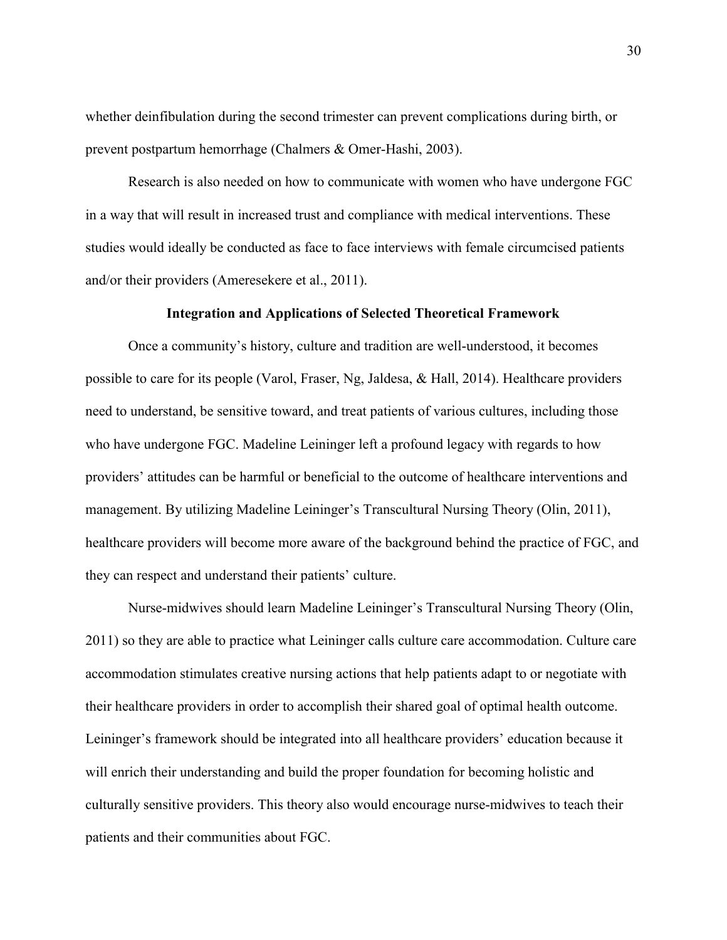whether deinfibulation during the second trimester can prevent complications during birth, or prevent postpartum hemorrhage (Chalmers & Omer-Hashi, 2003).

Research is also needed on how to communicate with women who have undergone FGC in a way that will result in increased trust and compliance with medical interventions. These studies would ideally be conducted as face to face interviews with female circumcised patients and/or their providers (Ameresekere et al., 2011).

#### **Integration and Applications of Selected Theoretical Framework**

Once a community's history, culture and tradition are well-understood, it becomes possible to care for its people (Varol, Fraser, Ng, Jaldesa,  $\&$  Hall, 2014). Healthcare providers need to understand, be sensitive toward, and treat patients of various cultures, including those who have undergone FGC. Madeline Leininger left a profound legacy with regards to how providers' attitudes can be harmful or beneficial to the outcome of healthcare interventions and management. By utilizing Madeline Leininger's Transcultural Nursing Theory (Olin, 2011), healthcare providers will become more aware of the background behind the practice of FGC, and they can respect and understand their patients' culture.

Nurse-midwives should learn Madeline Leininger's Transcultural Nursing Theory (Olin, 2011) so they are able to practice what Leininger calls culture care accommodation. Culture care accommodation stimulates creative nursing actions that help patients adapt to or negotiate with their healthcare providers in order to accomplish their shared goal of optimal health outcome. Leininger's framework should be integrated into all healthcare providers' education because it will enrich their understanding and build the proper foundation for becoming holistic and culturally sensitive providers. This theory also would encourage nurse-midwives to teach their patients and their communities about FGC.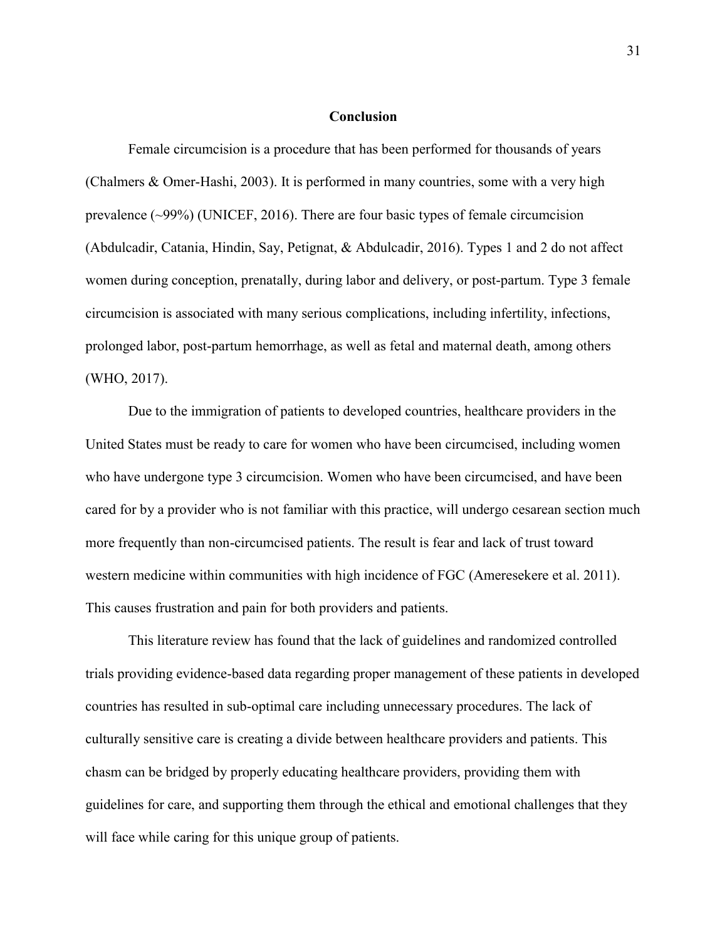#### **Conclusion**

Female circumcision is a procedure that has been performed for thousands of years (Chalmers & Omer-Hashi, 2003). It is performed in many countries, some with a very high prevalence (~99%) (UNICEF, 2016). There are four basic types of female circumcision (Abdulcadir, Catania, Hindin, Say, Petignat, & Abdulcadir, 2016). Types 1 and 2 do not affect women during conception, prenatally, during labor and delivery, or post-partum. Type 3 female circumcision is associated with many serious complications, including infertility, infections, prolonged labor, post-partum hemorrhage, as well as fetal and maternal death, among others (WHO, 2017).

Due to the immigration of patients to developed countries, healthcare providers in the United States must be ready to care for women who have been circumcised, including women who have undergone type 3 circumcision. Women who have been circumcised, and have been cared for by a provider who is not familiar with this practice, will undergo cesarean section much more frequently than non-circumcised patients. The result is fear and lack of trust toward western medicine within communities with high incidence of FGC (Ameresekere et al. 2011). This causes frustration and pain for both providers and patients.

This literature review has found that the lack of guidelines and randomized controlled trials providing evidence-based data regarding proper management of these patients in developed countries has resulted in sub-optimal care including unnecessary procedures. The lack of culturally sensitive care is creating a divide between healthcare providers and patients. This chasm can be bridged by properly educating healthcare providers, providing them with guidelines for care, and supporting them through the ethical and emotional challenges that they will face while caring for this unique group of patients.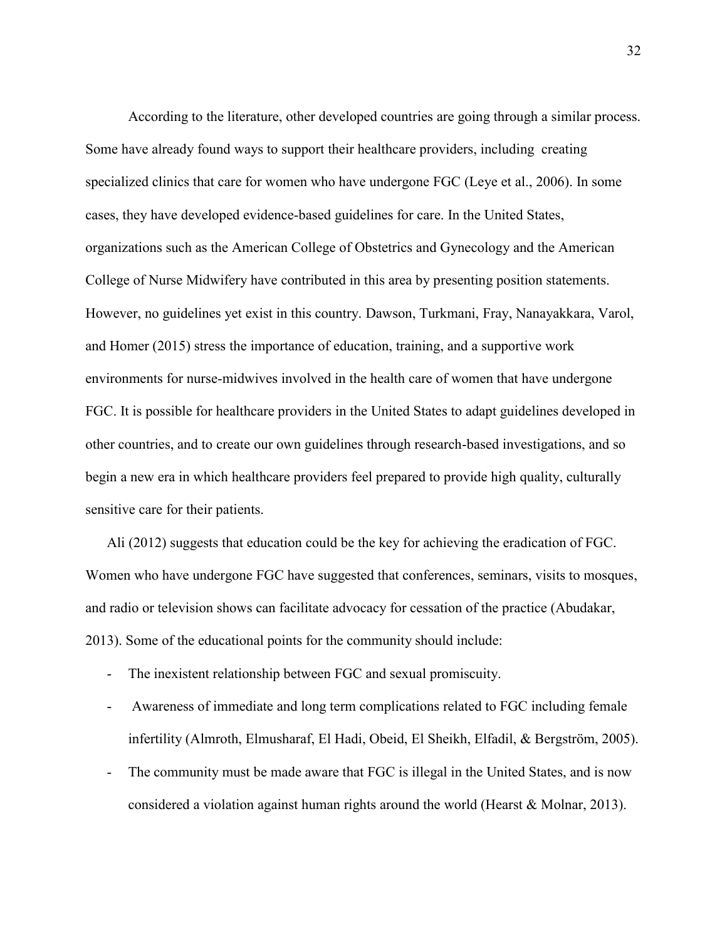According to the literature, other developed countries are going through a similar process. Some have already found ways to support their healthcare providers, including creating specialized clinics that care for women who have undergone FGC (Leye et al., 2006). In some cases, they have developed evidence-based guidelines for care. In the United States, organizations such as the American College of Obstetrics and Gynecology and the American College of Nurse Midwifery have contributed in this area by presenting position statements. However, no guidelines yet exist in this country. Dawson, Turkmani, Fray, Nanayakkara, Varol, and Homer (2015) stress the importance of education, training, and a supportive work environments for nurse-midwives involved in the health care of women that have undergone FGC. It is possible for healthcare providers in the United States to adapt guidelines developed in other countries, and to create our own guidelines through research-based investigations, and so begin a new era in which healthcare providers feel prepared to provide high quality, culturally sensitive care for their patients.

Ali (2012) suggests that education could be the key for achieving the eradication of FGC. Women who have undergone FGC have suggested that conferences, seminars, visits to mosques, and radio or television shows can facilitate advocacy for cessation of the practice (Abudakar, 2013). Some of the educational points for the community should include:

- The inexistent relationship between FGC and sexual promiscuity.
- Awareness of immediate and long term complications related to FGC including female infertility (Almroth, Elmusharaf, El Hadi, Obeid, El Sheikh, Elfadil, & Bergström, 2005).
- The community must be made aware that FGC is illegal in the United States, and is now considered a violation against human rights around the world (Hearst & Molnar, 2013).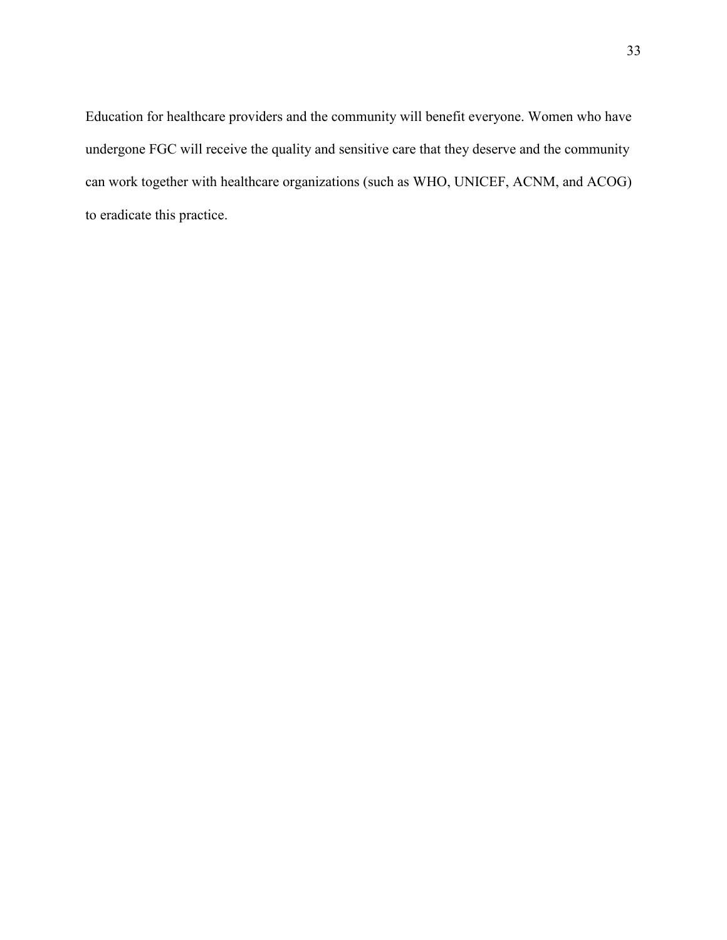Education for healthcare providers and the community will benefit everyone. Women who have undergone FGC will receive the quality and sensitive care that they deserve and the community can work together with healthcare organizations (such as WHO, UNICEF, ACNM, and ACOG) to eradicate this practice.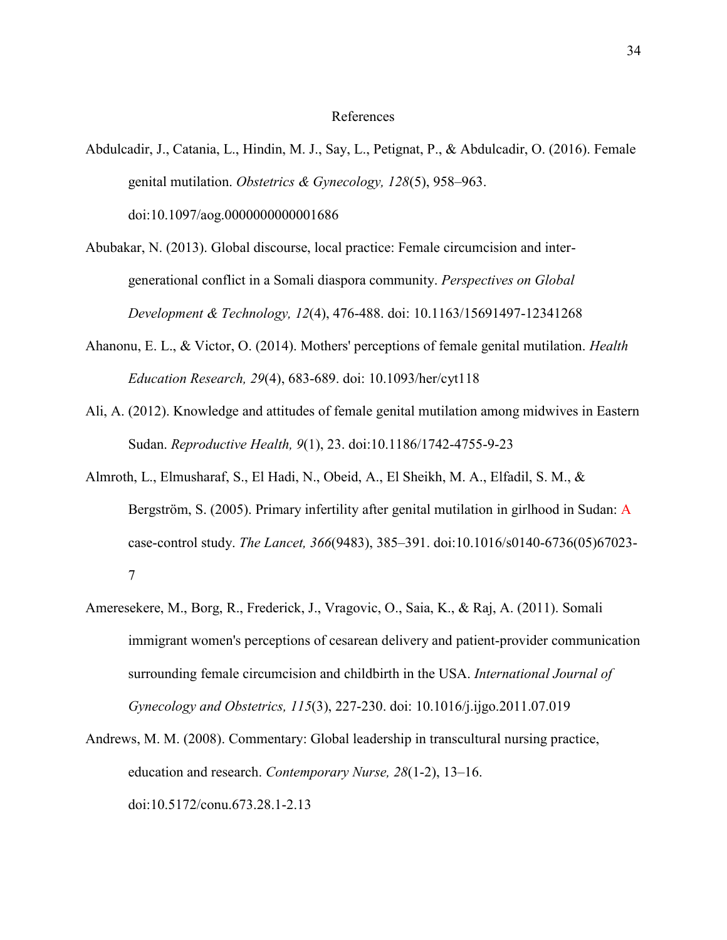#### References

- Abdulcadir, J., Catania, L., Hindin, M. J., Say, L., Petignat, P., & Abdulcadir, O. (2016). Female genital mutilation. *Obstetrics & Gynecology, 128*(5), 958–963. doi:10.1097/aog.0000000000001686
- Abubakar, N. (2013). Global discourse, local practice: Female circumcision and intergenerational conflict in a Somali diaspora community. *Perspectives on Global Development & Technology, 12*(4), 476-488. doi: 10.1163/15691497-12341268
- Ahanonu, E. L., & Victor, O. (2014). Mothers' perceptions of female genital mutilation. *Health Education Research, 29*(4), 683-689. doi: 10.1093/her/cyt118
- Ali, A. (2012). Knowledge and attitudes of female genital mutilation among midwives in Eastern Sudan. *Reproductive Health, 9*(1), 23. doi:10.1186/1742-4755-9-23
- Almroth, L., Elmusharaf, S., El Hadi, N., Obeid, A., El Sheikh, M. A., Elfadil, S. M., & Bergström, S. (2005). Primary infertility after genital mutilation in girlhood in Sudan: A case-control study. *The Lancet, 366*(9483), 385–391. doi:10.1016/s0140-6736(05)67023- 7
- Ameresekere, M., Borg, R., Frederick, J., Vragovic, O., Saia, K., & Raj, A. (2011). Somali immigrant women's perceptions of cesarean delivery and patient-provider communication surrounding female circumcision and childbirth in the USA. *International Journal of Gynecology and Obstetrics, 115*(3), 227-230. doi: 10.1016/j.ijgo.2011.07.019
- Andrews, M. M. (2008). Commentary: Global leadership in transcultural nursing practice, education and research. *Contemporary Nurse, 28*(1-2), 13–16. doi:10.5172/conu.673.28.1-2.13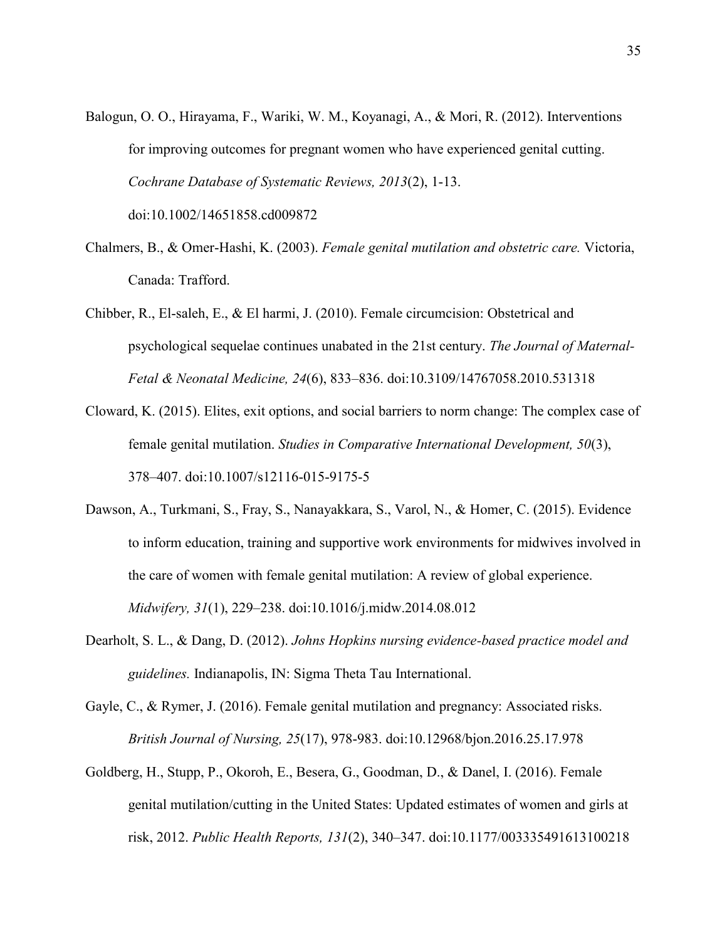Balogun, O. O., Hirayama, F., Wariki, W. M., Koyanagi, A., & Mori, R. (2012). Interventions for improving outcomes for pregnant women who have experienced genital cutting. *Cochrane Database of Systematic Reviews, 2013*(2), 1-13. doi:10.1002/14651858.cd009872

Chalmers, B., & Omer-Hashi, K. (2003). *Female genital mutilation and obstetric care.* Victoria,

Canada: Trafford.

- Chibber, R., El-saleh, E., & El harmi, J. (2010). Female circumcision: Obstetrical and psychological sequelae continues unabated in the 21st century. *The Journal of Maternal-Fetal & Neonatal Medicine, 24*(6), 833–836. doi:10.3109/14767058.2010.531318
- Cloward, K. (2015). Elites, exit options, and social barriers to norm change: The complex case of female genital mutilation. *Studies in Comparative International Development, 50*(3), 378–407. doi:10.1007/s12116-015-9175-5
- Dawson, A., Turkmani, S., Fray, S., Nanayakkara, S., Varol, N., & Homer, C. (2015). Evidence to inform education, training and supportive work environments for midwives involved in the care of women with female genital mutilation: A review of global experience. *Midwifery, 31*(1), 229–238. doi:10.1016/j.midw.2014.08.012
- Dearholt, S. L., & Dang, D. (2012). *Johns Hopkins nursing evidence-based practice model and guidelines.* Indianapolis, IN: Sigma Theta Tau International.
- Gayle, C., & Rymer, J. (2016). Female genital mutilation and pregnancy: Associated risks. *British Journal of Nursing, 25*(17), 978-983. doi:10.12968/bjon.2016.25.17.978
- Goldberg, H., Stupp, P., Okoroh, E., Besera, G., Goodman, D., & Danel, I. (2016). Female genital mutilation/cutting in the United States: Updated estimates of women and girls at risk, 2012. *Public Health Reports, 131*(2), 340–347. doi:10.1177/003335491613100218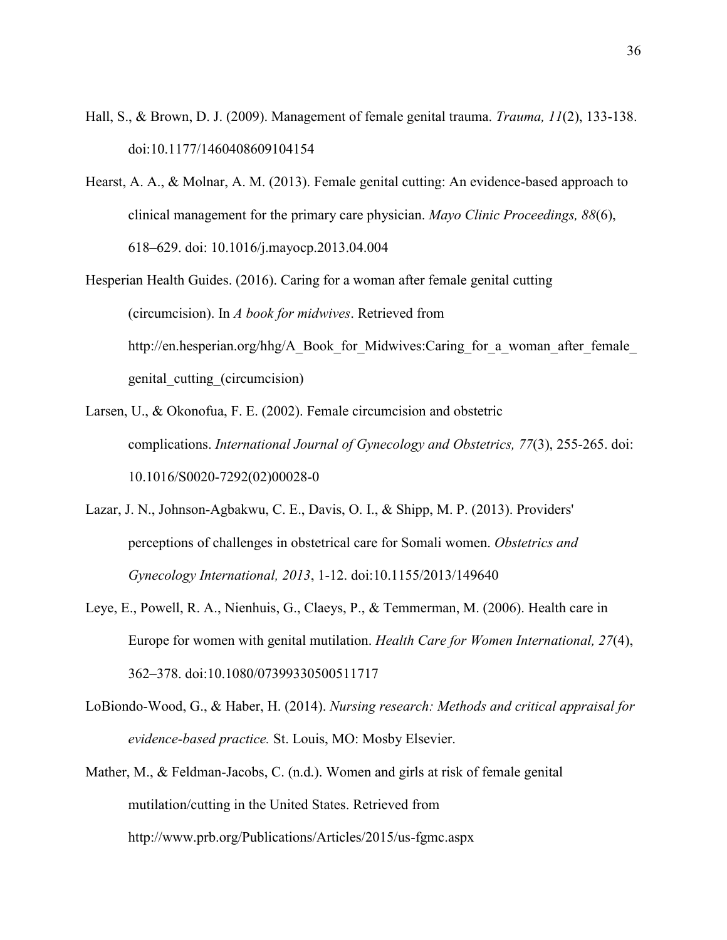- Hall, S., & Brown, D. J. (2009). Management of female genital trauma. *Trauma, 11*(2), 133-138. doi:10.1177/1460408609104154
- Hearst, A. A., & Molnar, A. M. (2013). Female genital cutting: An evidence-based approach to clinical management for the primary care physician. *Mayo Clinic Proceedings, 88*(6), 618–629. doi: 10.1016/j.mayocp.2013.04.004
- Hesperian Health Guides. (2016). Caring for a woman after female genital cutting (circumcision). In *A book for midwives*. Retrieved from http://en.hesperian.org/hhg/A\_Book\_for\_Midwives:Caring\_for\_a\_woman\_after\_female genital\_cutting\_(circumcision)
- Larsen, U., & Okonofua, F. E. (2002). Female circumcision and obstetric complications. *International Journal of Gynecology and Obstetrics, 77*(3), 255-265. doi: 10.1016/S0020-7292(02)00028-0
- Lazar, J. N., Johnson-Agbakwu, C. E., Davis, O. I., & Shipp, M. P. (2013). Providers' perceptions of challenges in obstetrical care for Somali women. *Obstetrics and Gynecology International, 2013*, 1-12. doi:10.1155/2013/149640
- Leye, E., Powell, R. A., Nienhuis, G., Claeys, P., & Temmerman, M. (2006). Health care in Europe for women with genital mutilation. *Health Care for Women International, 27*(4), 362–378. doi:10.1080/07399330500511717
- LoBiondo-Wood, G., & Haber, H. (2014). *Nursing research: Methods and critical appraisal for evidence-based practice.* St. Louis, MO: Mosby Elsevier.
- Mather, M., & Feldman-Jacobs, C. (n.d.). Women and girls at risk of female genital mutilation/cutting in the United States. Retrieved from http://www.prb.org/Publications/Articles/2015/us-fgmc.aspx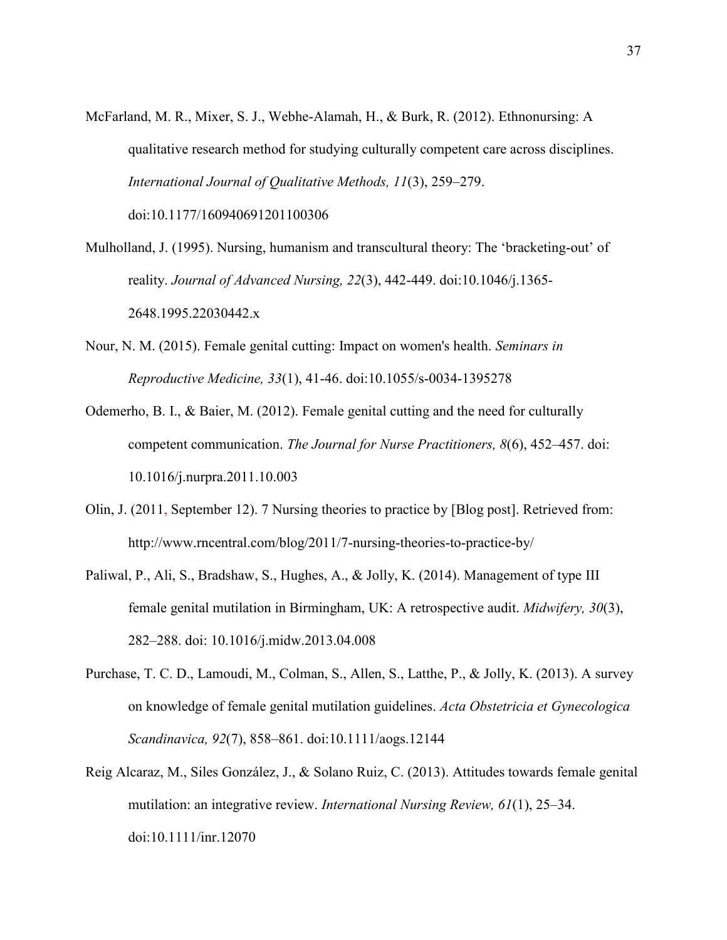- McFarland, M. R., Mixer, S. J., Webhe-Alamah, H., & Burk, R. (2012). Ethnonursing: A qualitative research method for studying culturally competent care across disciplines. *International Journal of Qualitative Methods, 11*(3), 259–279. doi:10.1177/160940691201100306
- Mulholland, J. (1995). Nursing, humanism and transcultural theory: The 'bracketing-out' of reality. *Journal of Advanced Nursing, 22*(3), 442-449. doi:10.1046/j.1365- 2648.1995.22030442.x
- Nour, N. M. (2015). Female genital cutting: Impact on women's health. *Seminars in Reproductive Medicine, 33*(1), 41-46. doi:10.1055/s-0034-1395278
- Odemerho, B. I., & Baier, M. (2012). Female genital cutting and the need for culturally competent communication. *The Journal for Nurse Practitioners, 8*(6), 452–457. doi: 10.1016/j.nurpra.2011.10.003
- Olin, J. (2011, September 12). 7 Nursing theories to practice by [Blog post]. Retrieved from: http://www.rncentral.com/blog/2011/7-nursing-theories-to-practice-by/
- Paliwal, P., Ali, S., Bradshaw, S., Hughes, A., & Jolly, K. (2014). Management of type III female genital mutilation in Birmingham, UK: A retrospective audit. *Midwifery, 30*(3), 282–288. doi: 10.1016/j.midw.2013.04.008
- Purchase, T. C. D., Lamoudi, M., Colman, S., Allen, S., Latthe, P., & Jolly, K. (2013). A survey on knowledge of female genital mutilation guidelines. *Acta Obstetricia et Gynecologica Scandinavica, 92*(7), 858–861. doi:10.1111/aogs.12144
- Reig Alcaraz, M., Siles González, J., & Solano Ruiz, C. (2013). Attitudes towards female genital mutilation: an integrative review. *International Nursing Review, 61*(1), 25–34. doi:10.1111/inr.12070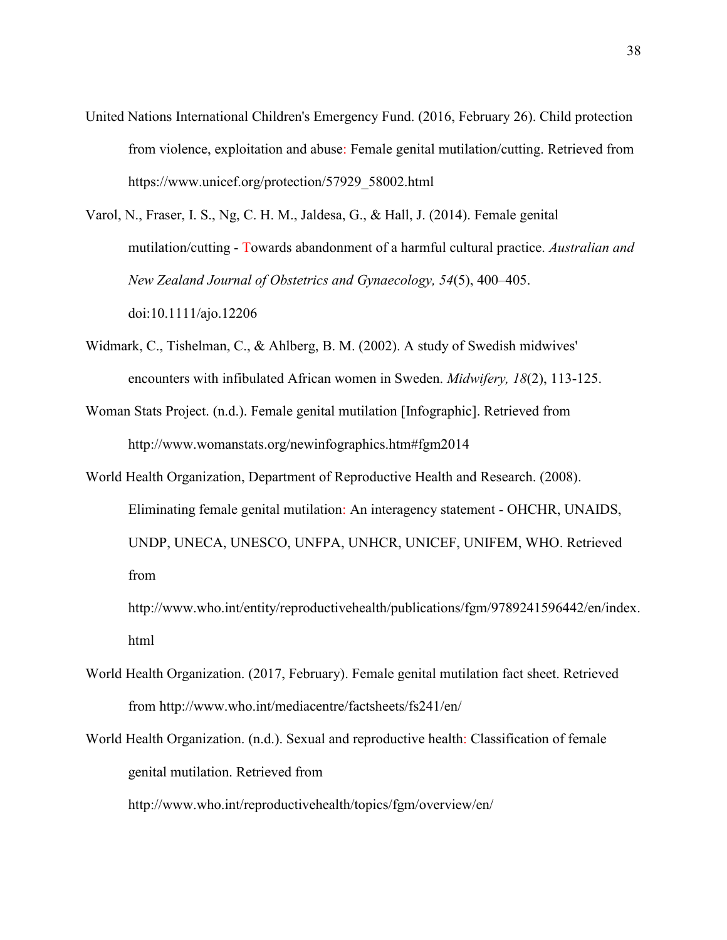- United Nations International Children's Emergency Fund. (2016, February 26). Child protection from violence, exploitation and abuse: Female genital mutilation/cutting. Retrieved from https://www.unicef.org/protection/57929\_58002.html
- Varol, N., Fraser, I. S., Ng, C. H. M., Jaldesa, G., & Hall, J. (2014). Female genital mutilation/cutting - Towards abandonment of a harmful cultural practice. *Australian and New Zealand Journal of Obstetrics and Gynaecology, 54*(5), 400–405. doi:10.1111/ajo.12206
- Widmark, C., Tishelman, C., & Ahlberg, B. M. (2002). A study of Swedish midwives' encounters with infibulated African women in Sweden. *Midwifery, 18*(2), 113-125.
- Woman Stats Project. (n.d.). Female genital mutilation [Infographic]. Retrieved from http://www.womanstats.org/newinfographics.htm#fgm2014
- World Health Organization, Department of Reproductive Health and Research. (2008). Eliminating female genital mutilation: An interagency statement - OHCHR, UNAIDS, UNDP, UNECA, UNESCO, UNFPA, UNHCR, UNICEF, UNIFEM, WHO. Retrieved from

http://www.who.int/entity/reproductivehealth/publications/fgm/9789241596442/en/index. html

- World Health Organization. (2017, February). Female genital mutilation fact sheet. Retrieved from http://www.who.int/mediacentre/factsheets/fs241/en/
- World Health Organization. (n.d.). Sexual and reproductive health: Classification of female genital mutilation. Retrieved from http://www.who.int/reproductivehealth/topics/fgm/overview/en/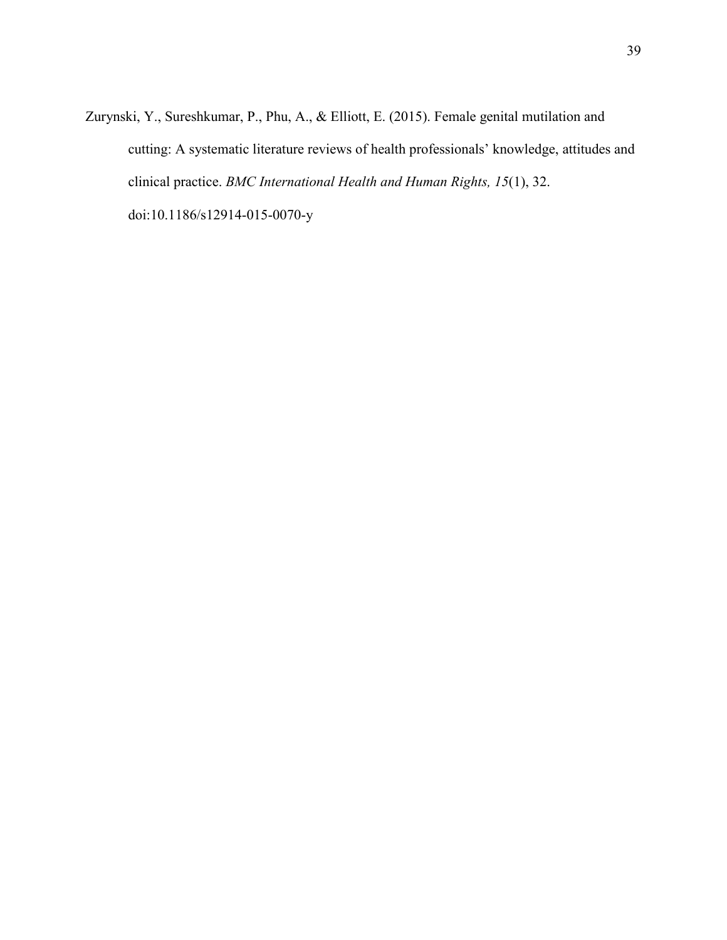Zurynski, Y., Sureshkumar, P., Phu, A., & Elliott, E. (2015). Female genital mutilation and cutting: A systematic literature reviews of health professionals' knowledge, attitudes and clinical practice. *BMC International Health and Human Rights, 15*(1), 32. doi:10.1186/s12914-015-0070-y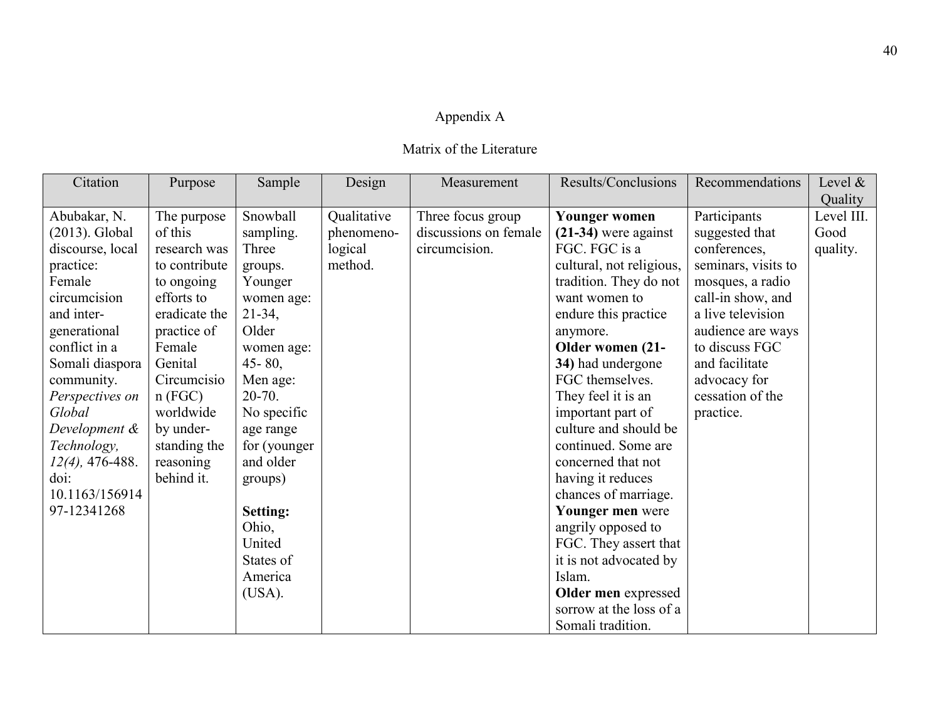# Appendix A

# Matrix of the Literature

| Citation           | Purpose       | Sample          | Design      | Measurement           | Results/Conclusions      | Recommendations     | Level &    |
|--------------------|---------------|-----------------|-------------|-----------------------|--------------------------|---------------------|------------|
|                    |               |                 |             |                       |                          |                     | Quality    |
| Abubakar, N.       | The purpose   | Snowball        | Qualitative | Three focus group     | <b>Younger women</b>     | Participants        | Level III. |
| (2013). Global     | of this       | sampling.       | phenomeno-  | discussions on female | $(21-34)$ were against   | suggested that      | Good       |
| discourse, local   | research was  | Three           | logical     | circumcision.         | FGC. FGC is a            | conferences,        | quality.   |
| practice:          | to contribute | groups.         | method.     |                       | cultural, not religious, | seminars, visits to |            |
| Female             | to ongoing    | Younger         |             |                       | tradition. They do not   | mosques, a radio    |            |
| circumcision       | efforts to    | women age:      |             |                       | want women to            | call-in show, and   |            |
| and inter-         | eradicate the | $21-34,$        |             |                       | endure this practice.    | a live television   |            |
| generational       | practice of   | Older           |             |                       | anymore.                 | audience are ways   |            |
| conflict in a      | Female        | women age:      |             |                       | Older women (21-         | to discuss FGC      |            |
| Somali diaspora    | Genital       | $45 - 80$ ,     |             |                       | 34) had undergone        | and facilitate      |            |
| community.         | Circumcisio   | Men age:        |             |                       | FGC themselves.          | advocacy for        |            |
| Perspectives on    | n(FGC)        | $20 - 70$ .     |             |                       | They feel it is an       | cessation of the    |            |
| Global             | worldwide     | No specific     |             |                       | important part of        | practice.           |            |
| Development &      | by under-     | age range       |             |                       | culture and should be    |                     |            |
| Technology,        | standing the  | for (younger    |             |                       | continued. Some are      |                     |            |
| $12(4)$ , 476-488. | reasoning     | and older       |             |                       | concerned that not       |                     |            |
| doi:               | behind it.    | groups)         |             |                       | having it reduces        |                     |            |
| 10.1163/156914     |               |                 |             |                       | chances of marriage.     |                     |            |
| 97-12341268        |               | <b>Setting:</b> |             |                       | Younger men were         |                     |            |
|                    |               | Ohio,           |             |                       | angrily opposed to       |                     |            |
|                    |               | United          |             |                       | FGC. They assert that    |                     |            |
|                    |               | States of       |             |                       | it is not advocated by   |                     |            |
|                    |               | America         |             |                       | Islam.                   |                     |            |
|                    |               | (USA).          |             |                       | Older men expressed      |                     |            |
|                    |               |                 |             |                       | sorrow at the loss of a  |                     |            |
|                    |               |                 |             |                       | Somali tradition.        |                     |            |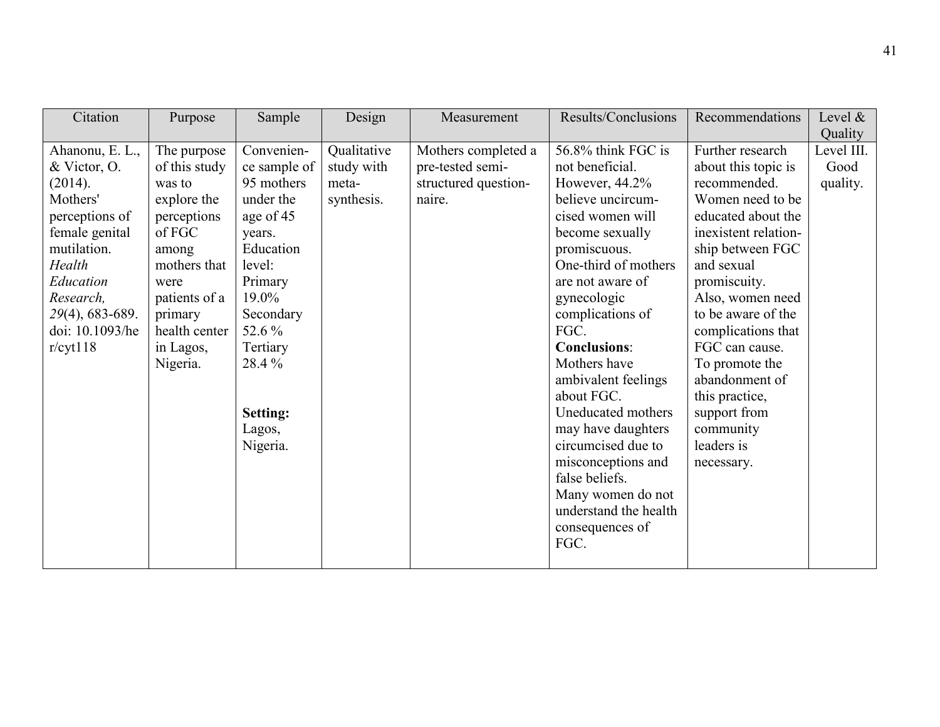| Citation                                                                                                                                                                                        | Purpose                                                                                                                                                                               | Sample                                                                                                                                                                                                       | Design                                           | Measurement                                                               | Results/Conclusions                                                                                                                                                                                                                                                                                                                                                                                                                                                                       | Recommendations                                                                                                                                                                                                                                                                                                                                                              | Level &<br>Quality             |
|-------------------------------------------------------------------------------------------------------------------------------------------------------------------------------------------------|---------------------------------------------------------------------------------------------------------------------------------------------------------------------------------------|--------------------------------------------------------------------------------------------------------------------------------------------------------------------------------------------------------------|--------------------------------------------------|---------------------------------------------------------------------------|-------------------------------------------------------------------------------------------------------------------------------------------------------------------------------------------------------------------------------------------------------------------------------------------------------------------------------------------------------------------------------------------------------------------------------------------------------------------------------------------|------------------------------------------------------------------------------------------------------------------------------------------------------------------------------------------------------------------------------------------------------------------------------------------------------------------------------------------------------------------------------|--------------------------------|
| Ahanonu, E. L.,<br>& Victor, O.<br>(2014).<br>Mothers'<br>perceptions of<br>female genital<br>mutilation.<br>Health<br>Education<br>Research,<br>29(4), 683-689.<br>doi: 10.1093/he<br>r/cyt118 | The purpose<br>of this study<br>was to<br>explore the<br>perceptions<br>of FGC<br>among<br>mothers that<br>were<br>patients of a<br>primary<br>health center<br>in Lagos,<br>Nigeria. | Convenien-<br>ce sample of<br>95 mothers<br>under the<br>age of 45<br>years.<br>Education<br>level:<br>Primary<br>19.0%<br>Secondary<br>52.6 %<br>Tertiary<br>28.4%<br><b>Setting:</b><br>Lagos,<br>Nigeria. | Qualitative<br>study with<br>meta-<br>synthesis. | Mothers completed a<br>pre-tested semi-<br>structured question-<br>naire. | 56.8% think FGC is<br>not beneficial.<br>However, 44.2%<br>believe uncircum-<br>cised women will<br>become sexually<br>promiscuous.<br>One-third of mothers<br>are not aware of<br>gynecologic<br>complications of<br>FGC.<br><b>Conclusions:</b><br>Mothers have<br>ambivalent feelings<br>about FGC.<br>Uneducated mothers<br>may have daughters<br>circumcised due to<br>misconceptions and<br>false beliefs.<br>Many women do not<br>understand the health<br>consequences of<br>FGC. | Further research<br>about this topic is<br>recommended.<br>Women need to be<br>educated about the<br>inexistent relation-<br>ship between FGC<br>and sexual<br>promiscuity.<br>Also, women need<br>to be aware of the<br>complications that<br>FGC can cause.<br>To promote the<br>abandonment of<br>this practice,<br>support from<br>community<br>leaders is<br>necessary. | Level III.<br>Good<br>quality. |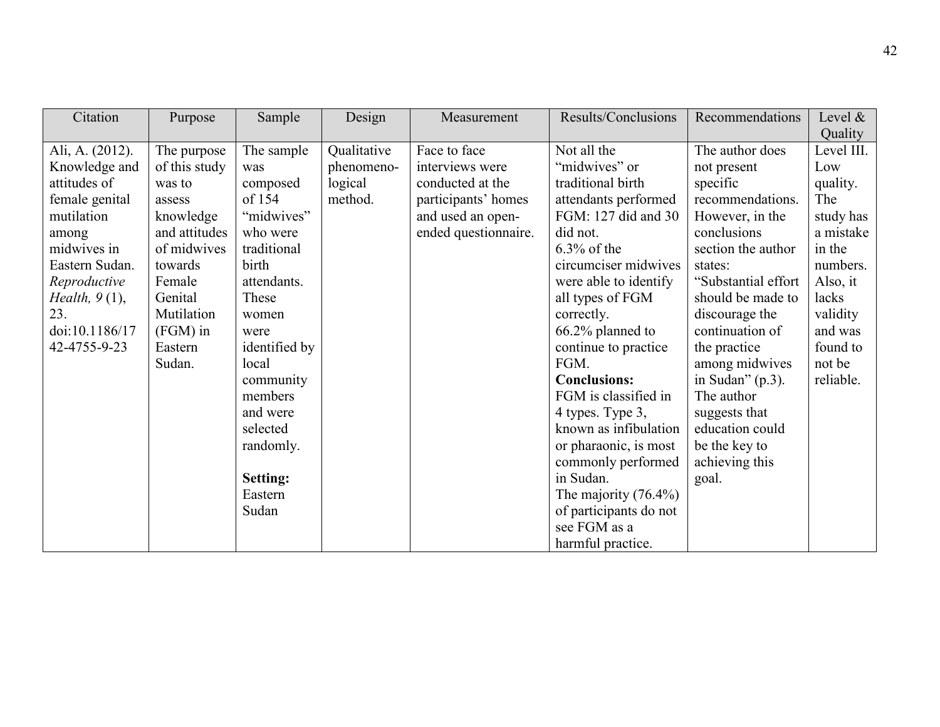| Citation         | Purpose       | Sample        | Design      | Measurement          | Results/Conclusions     | Recommendations     | Level &    |
|------------------|---------------|---------------|-------------|----------------------|-------------------------|---------------------|------------|
|                  |               |               |             |                      |                         |                     | Quality    |
| Ali, A. (2012).  | The purpose   | The sample    | Qualitative | Face to face         | Not all the             | The author does     | Level III. |
| Knowledge and    | of this study | was           | phenomeno-  | interviews were      | "midwives" or           | not present         | Low        |
| attitudes of     | was to        | composed      | logical     | conducted at the     | traditional birth       | specific            | quality.   |
| female genital   | assess        | of 154        | method.     | participants' homes  | attendants performed    | recommendations.    | The        |
| mutilation       | knowledge     | "midwives"    |             | and used an open-    | FGM: 127 did and 30     | However, in the     | study has  |
| among            | and attitudes | who were      |             | ended questionnaire. | did not.                | conclusions         | a mistake  |
| midwives in      | of midwives   | traditional   |             |                      | $6.3\%$ of the          | section the author  | in the     |
| Eastern Sudan.   | towards       | birth         |             |                      | circumciser midwives    | states:             | numbers.   |
| Reproductive     | Female        | attendants.   |             |                      | were able to identify   | "Substantial effort | Also, it   |
| Health, $9(1)$ , | Genital       | These         |             |                      | all types of FGM        | should be made to   | lacks      |
| 23.              | Mutilation    | women         |             |                      | correctly.              | discourage the      | validity   |
| doi:10.1186/17   | (FGM) in      | were          |             |                      | 66.2% planned to        | continuation of     | and was    |
| 42-4755-9-23     | Eastern       | identified by |             |                      | continue to practice    | the practice        | found to   |
|                  | Sudan.        | local         |             |                      | FGM.                    | among midwives      | not be     |
|                  |               | community     |             |                      | <b>Conclusions:</b>     | in Sudan" $(p.3)$ . | reliable.  |
|                  |               | members       |             |                      | FGM is classified in    | The author          |            |
|                  |               | and were      |             |                      | 4 types. Type 3,        | suggests that       |            |
|                  |               | selected      |             |                      | known as infibulation   | education could     |            |
|                  |               | randomly.     |             |                      | or pharaonic, is most   | be the key to       |            |
|                  |               |               |             |                      | commonly performed      | achieving this      |            |
|                  |               | Setting:      |             |                      | in Sudan.               | goal.               |            |
|                  |               | Eastern       |             |                      | The majority $(76.4\%)$ |                     |            |
|                  |               | Sudan         |             |                      | of participants do not  |                     |            |
|                  |               |               |             |                      | see FGM as a            |                     |            |
|                  |               |               |             |                      | harmful practice.       |                     |            |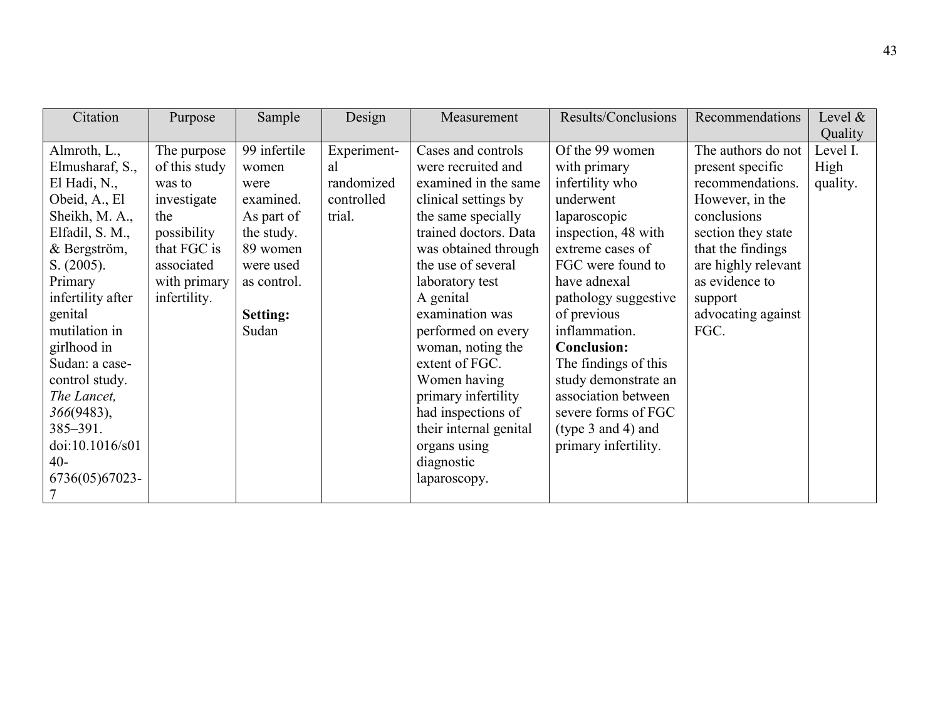| Citation          | Purpose       | Sample       | Design      | Measurement            | Results/Conclusions     | Recommendations     | Level $\&$ |
|-------------------|---------------|--------------|-------------|------------------------|-------------------------|---------------------|------------|
|                   |               |              |             |                        |                         |                     | Quality    |
| Almroth, L.,      | The purpose   | 99 infertile | Experiment- | Cases and controls     | Of the 99 women         | The authors do not  | Level I.   |
| Elmusharaf, S.,   | of this study | women        | al          | were recruited and     | with primary            | present specific    | High       |
| El Hadi, N.,      | was to        | were         | randomized  | examined in the same   | infertility who         | recommendations.    | quality.   |
| Obeid, A., El     | investigate   | examined.    | controlled  | clinical settings by   | underwent               | However, in the     |            |
| Sheikh, M. A.,    | the           | As part of   | trial.      | the same specially     | laparoscopic            | conclusions         |            |
| Elfadil, S. M.,   | possibility   | the study.   |             | trained doctors. Data  | inspection, 48 with     | section they state  |            |
| & Bergström,      | that FGC is   | 89 women     |             | was obtained through   | extreme cases of        | that the findings   |            |
| S. (2005).        | associated    | were used    |             | the use of several     | FGC were found to       | are highly relevant |            |
| Primary           | with primary  | as control.  |             | laboratory test        | have adnexal            | as evidence to      |            |
| infertility after | infertility.  |              |             | A genital              | pathology suggestive    | support             |            |
| genital           |               | Setting:     |             | examination was        | of previous             | advocating against  |            |
| mutilation in     |               | Sudan        |             | performed on every     | inflammation.           | FGC.                |            |
| girlhood in       |               |              |             | woman, noting the      | <b>Conclusion:</b>      |                     |            |
| Sudan: a case-    |               |              |             | extent of FGC.         | The findings of this    |                     |            |
| control study.    |               |              |             | Women having           | study demonstrate an    |                     |            |
| The Lancet,       |               |              |             | primary infertility    | association between     |                     |            |
| 366(9483),        |               |              |             | had inspections of     | severe forms of FGC     |                     |            |
| 385-391.          |               |              |             | their internal genital | (type $3$ and $4$ ) and |                     |            |
| doi:10.1016/s01   |               |              |             | organs using           | primary infertility.    |                     |            |
| 40-               |               |              |             | diagnostic             |                         |                     |            |
| 6736(05)67023-    |               |              |             | laparoscopy.           |                         |                     |            |
| 7                 |               |              |             |                        |                         |                     |            |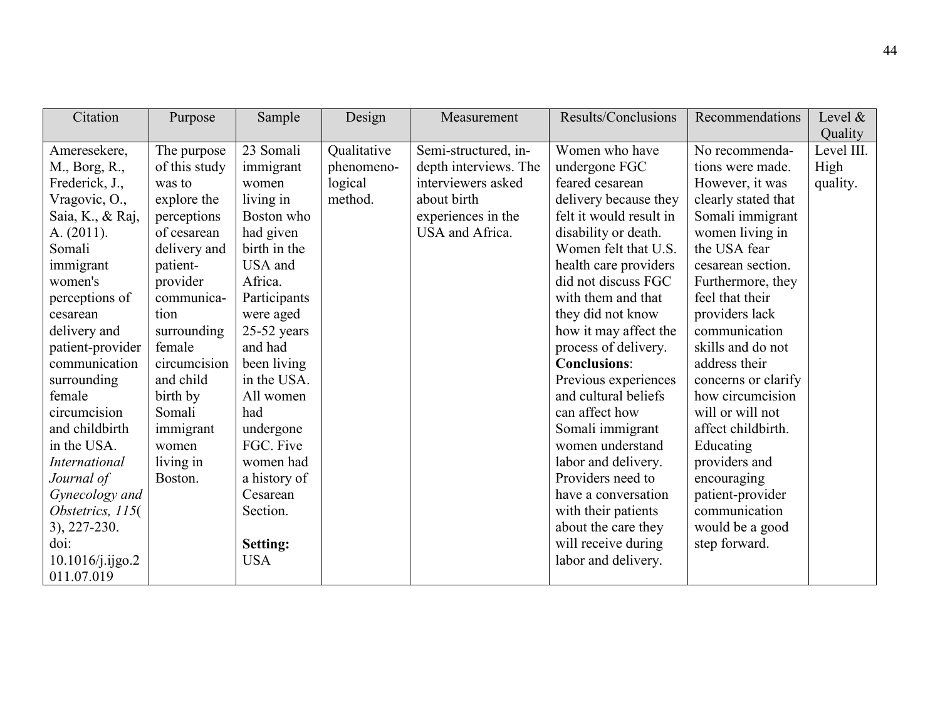| Citation             | Purpose       | Sample          | Design      | Measurement           | Results/Conclusions     | Recommendations     | Level $\&$ |
|----------------------|---------------|-----------------|-------------|-----------------------|-------------------------|---------------------|------------|
|                      |               |                 |             |                       |                         |                     | Quality    |
| Ameresekere,         | The purpose   | 23 Somali       | Qualitative | Semi-structured, in-  | Women who have          | No recommenda-      | Level III. |
| M., Borg, R.,        | of this study | immigrant       | phenomeno-  | depth interviews. The | undergone FGC           | tions were made.    | High       |
| Frederick, J.,       | was to        | women           | logical     | interviewers asked    | feared cesarean         | However, it was     | quality.   |
| Vragovic, O.,        | explore the   | living in       | method.     | about birth           | delivery because they   | clearly stated that |            |
| Saia, K., & Raj,     | perceptions   | Boston who      |             | experiences in the    | felt it would result in | Somali immigrant    |            |
| A. $(2011)$ .        | of cesarean   | had given       |             | USA and Africa.       | disability or death.    | women living in     |            |
| Somali               | delivery and  | birth in the    |             |                       | Women felt that U.S.    | the USA fear        |            |
| immigrant            | patient-      | USA and         |             |                       | health care providers   | cesarean section.   |            |
| women's              | provider      | Africa.         |             |                       | did not discuss FGC     | Furthermore, they   |            |
| perceptions of       | communica-    | Participants    |             |                       | with them and that      | feel that their     |            |
| cesarean             | tion          | were aged       |             |                       | they did not know       | providers lack      |            |
| delivery and         | surrounding   | $25-52$ years   |             |                       | how it may affect the   | communication       |            |
| patient-provider     | female        | and had         |             |                       | process of delivery.    | skills and do not   |            |
| communication        | circumcision  | been living     |             |                       | <b>Conclusions:</b>     | address their       |            |
| surrounding          | and child     | in the USA.     |             |                       | Previous experiences    | concerns or clarify |            |
| female               | birth by      | All women       |             |                       | and cultural beliefs    | how circumcision    |            |
| circumcision         | Somali        | had             |             |                       | can affect how          | will or will not    |            |
| and childbirth       | immigrant     | undergone       |             |                       | Somali immigrant        | affect childbirth.  |            |
| in the USA.          | women         | FGC. Five       |             |                       | women understand        | Educating           |            |
| <i>International</i> | living in     | women had       |             |                       | labor and delivery.     | providers and       |            |
| Journal of           | Boston.       | a history of    |             |                       | Providers need to       | encouraging         |            |
| Gynecology and       |               | Cesarean        |             |                       | have a conversation     | patient-provider    |            |
| Obstetrics, 115(     |               | Section.        |             |                       | with their patients     | communication       |            |
| 3), 227-230.         |               |                 |             |                       | about the care they     | would be a good     |            |
| doi:                 |               | <b>Setting:</b> |             |                       | will receive during     | step forward.       |            |
| $10.1016$ /j.ijgo.2  |               | <b>USA</b>      |             |                       | labor and delivery.     |                     |            |
| 011.07.019           |               |                 |             |                       |                         |                     |            |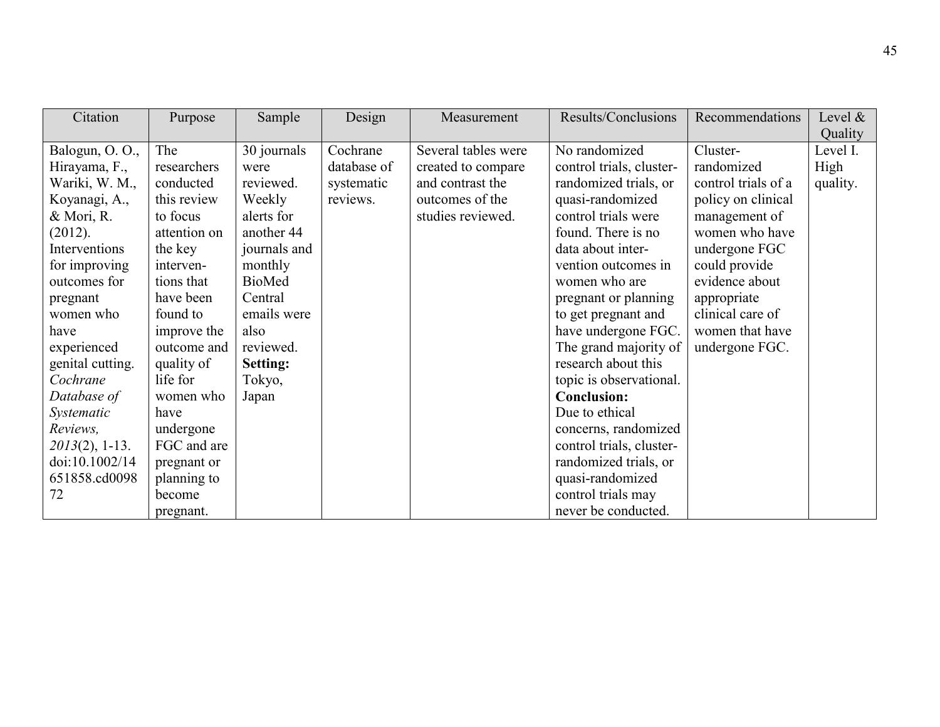| Citation          | Purpose      | Sample          | Design      | Measurement         | Results/Conclusions      | Recommendations     | Level $\&$ |
|-------------------|--------------|-----------------|-------------|---------------------|--------------------------|---------------------|------------|
|                   |              |                 |             |                     |                          |                     | Quality    |
| Balogun, O.O.,    | The          | 30 journals     | Cochrane    | Several tables were | No randomized            | Cluster-            | Level I.   |
| Hirayama, F.,     | researchers  | were            | database of | created to compare  | control trials, cluster- | randomized          | High       |
| Wariki, W. M.,    | conducted    | reviewed.       | systematic  | and contrast the    | randomized trials, or    | control trials of a | quality.   |
| Koyanagi, A.,     | this review  | Weekly          | reviews.    | outcomes of the     | quasi-randomized         | policy on clinical  |            |
| & Mori, R.        | to focus     | alerts for      |             | studies reviewed.   | control trials were      | management of       |            |
| (2012).           | attention on | another 44      |             |                     | found. There is no       | women who have      |            |
| Interventions     | the key      | journals and    |             |                     | data about inter-        | undergone FGC       |            |
| for improving     | interven-    | monthly         |             |                     | vention outcomes in      | could provide       |            |
| outcomes for      | tions that   | <b>BioMed</b>   |             |                     | women who are            | evidence about      |            |
| pregnant          | have been    | Central         |             |                     | pregnant or planning     | appropriate         |            |
| women who         | found to     | emails were     |             |                     | to get pregnant and      | clinical care of    |            |
| have              | improve the  | also            |             |                     | have undergone FGC.      | women that have     |            |
| experienced       | outcome and  | reviewed.       |             |                     | The grand majority of    | undergone FGC.      |            |
| genital cutting.  | quality of   | <b>Setting:</b> |             |                     | research about this      |                     |            |
| Cochrane          | life for     | Tokyo,          |             |                     | topic is observational.  |                     |            |
| Database of       | women who    | Japan           |             |                     | <b>Conclusion:</b>       |                     |            |
| Systematic        | have         |                 |             |                     | Due to ethical           |                     |            |
| Reviews,          | undergone    |                 |             |                     | concerns, randomized     |                     |            |
| $2013(2)$ , 1-13. | FGC and are  |                 |             |                     | control trials, cluster- |                     |            |
| doi:10.1002/14    | pregnant or  |                 |             |                     | randomized trials, or    |                     |            |
| 651858.cd0098     | planning to  |                 |             |                     | quasi-randomized         |                     |            |
| 72                | become       |                 |             |                     | control trials may       |                     |            |
|                   | pregnant.    |                 |             |                     | never be conducted.      |                     |            |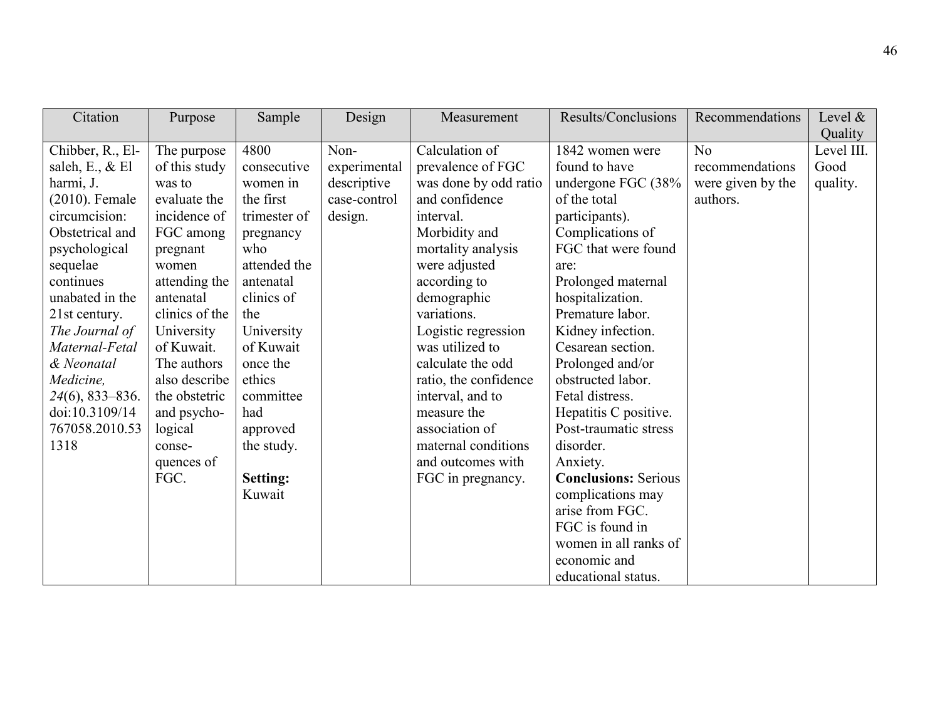| Citation           | Purpose        | Sample          | Design       | Measurement           | Results/Conclusions         | Recommendations   | Level $\&$ |
|--------------------|----------------|-----------------|--------------|-----------------------|-----------------------------|-------------------|------------|
|                    |                |                 |              |                       |                             |                   | Quality    |
| Chibber, R., El-   | The purpose    | 4800            | Non-         | Calculation of        | 1842 women were             | N <sub>0</sub>    | Level III. |
| saleh, E., $&$ El  | of this study  | consecutive     | experimental | prevalence of FGC     | found to have               | recommendations   | Good       |
| harmi, J.          | was to         | women in        | descriptive  | was done by odd ratio | undergone FGC (38%          | were given by the | quality.   |
| $(2010)$ . Female  | evaluate the   | the first       | case-control | and confidence        | of the total                | authors.          |            |
| circumcision:      | incidence of   | trimester of    | design.      | interval.             | participants).              |                   |            |
| Obstetrical and    | FGC among      | pregnancy       |              | Morbidity and         | Complications of            |                   |            |
| psychological      | pregnant       | who             |              | mortality analysis    | FGC that were found         |                   |            |
| sequelae           | women          | attended the    |              | were adjusted         | are:                        |                   |            |
| continues          | attending the  | antenatal       |              | according to          | Prolonged maternal          |                   |            |
| unabated in the    | antenatal      | clinics of      |              | demographic           | hospitalization.            |                   |            |
| 21st century.      | clinics of the | the             |              | variations.           | Premature labor.            |                   |            |
| The Journal of     | University     | University      |              | Logistic regression   | Kidney infection.           |                   |            |
| Maternal-Fetal     | of Kuwait.     | of Kuwait       |              | was utilized to       | Cesarean section.           |                   |            |
| & Neonatal         | The authors    | once the        |              | calculate the odd     | Prolonged and/or            |                   |            |
| Medicine,          | also describe  | ethics          |              | ratio, the confidence | obstructed labor.           |                   |            |
| $24(6)$ , 833–836. | the obstetric  | committee       |              | interval, and to      | Fetal distress.             |                   |            |
| doi:10.3109/14     | and psycho-    | had             |              | measure the           | Hepatitis C positive.       |                   |            |
| 767058.2010.53     | logical        | approved        |              | association of        | Post-traumatic stress       |                   |            |
| 1318               | conse-         | the study.      |              | maternal conditions   | disorder.                   |                   |            |
|                    | quences of     |                 |              | and outcomes with     | Anxiety.                    |                   |            |
|                    | FGC.           | <b>Setting:</b> |              | FGC in pregnancy.     | <b>Conclusions: Serious</b> |                   |            |
|                    |                | Kuwait          |              |                       | complications may           |                   |            |
|                    |                |                 |              |                       | arise from FGC.             |                   |            |
|                    |                |                 |              |                       | FGC is found in             |                   |            |
|                    |                |                 |              |                       | women in all ranks of       |                   |            |
|                    |                |                 |              |                       | economic and                |                   |            |
|                    |                |                 |              |                       | educational status.         |                   |            |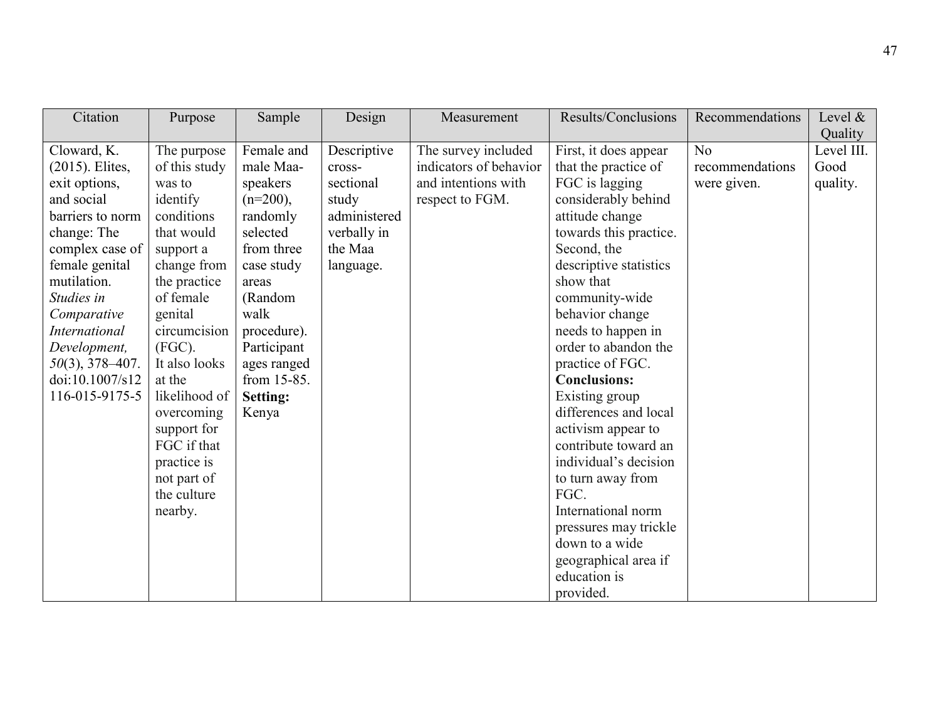| Citation<br>Design<br>Sample<br>Purpose<br>Measurement                                                                                                                                                                                                                                                                                                                                                                                                                                                                                                                                                                                                                                                                                                                                                                                                                                                                                                                                                                                                                                                                                                                                                                                                                 | Results/Conclusions<br>Recommendations<br>Level $\&$                                                                                                                                                                                                                                                                                                                                                                                                    |
|------------------------------------------------------------------------------------------------------------------------------------------------------------------------------------------------------------------------------------------------------------------------------------------------------------------------------------------------------------------------------------------------------------------------------------------------------------------------------------------------------------------------------------------------------------------------------------------------------------------------------------------------------------------------------------------------------------------------------------------------------------------------------------------------------------------------------------------------------------------------------------------------------------------------------------------------------------------------------------------------------------------------------------------------------------------------------------------------------------------------------------------------------------------------------------------------------------------------------------------------------------------------|---------------------------------------------------------------------------------------------------------------------------------------------------------------------------------------------------------------------------------------------------------------------------------------------------------------------------------------------------------------------------------------------------------------------------------------------------------|
| Cloward, K.<br>Female and<br>Descriptive<br>The survey included<br>The purpose<br>of this study<br>indicators of behavior<br>$(2015)$ . Elites,<br>male Maa-<br>cross-<br>and intentions with<br>sectional<br>FGC is lagging<br>exit options,<br>was to<br>speakers<br>and social<br>identify<br>$(n=200)$ ,<br>respect to FGM.<br>study<br>conditions<br>randomly<br>administered<br>attitude change<br>barriers to norm<br>change: The<br>selected<br>that would<br>verbally in<br>from three<br>the Maa<br>Second, the<br>complex case of<br>support a<br>female genital<br>change from<br>case study<br>language.<br>mutilation.<br>show that<br>the practice<br>areas<br>Studies in<br>of female<br>(Random<br>community-wide<br>walk<br>behavior change<br>Comparative<br>genital<br>circumcision<br><b>International</b><br>procedure).<br>Development,<br>$(FGC)$ .<br>Participant<br>It also looks<br>$50(3)$ , 378-407.<br>ages ranged<br>practice of FGC.<br>doi:10.1007/s12<br>from 15-85.<br>at the<br><b>Conclusions:</b><br>116-015-9175-5<br>likelihood of<br>Existing group<br><b>Setting:</b><br>Kenya<br>overcoming<br>support for<br>FGC if that<br>practice is<br>not part of<br>the culture<br>FGC.<br>nearby.<br>down to a wide<br>education is | Quality<br>Level III.<br>No<br>First, it does appear<br>Good<br>that the practice of<br>recommendations<br>quality.<br>were given.<br>considerably behind<br>towards this practice.<br>descriptive statistics<br>needs to happen in<br>order to abandon the<br>differences and local<br>activism appear to<br>contribute toward an<br>individual's decision<br>to turn away from<br>International norm<br>pressures may trickle<br>geographical area if |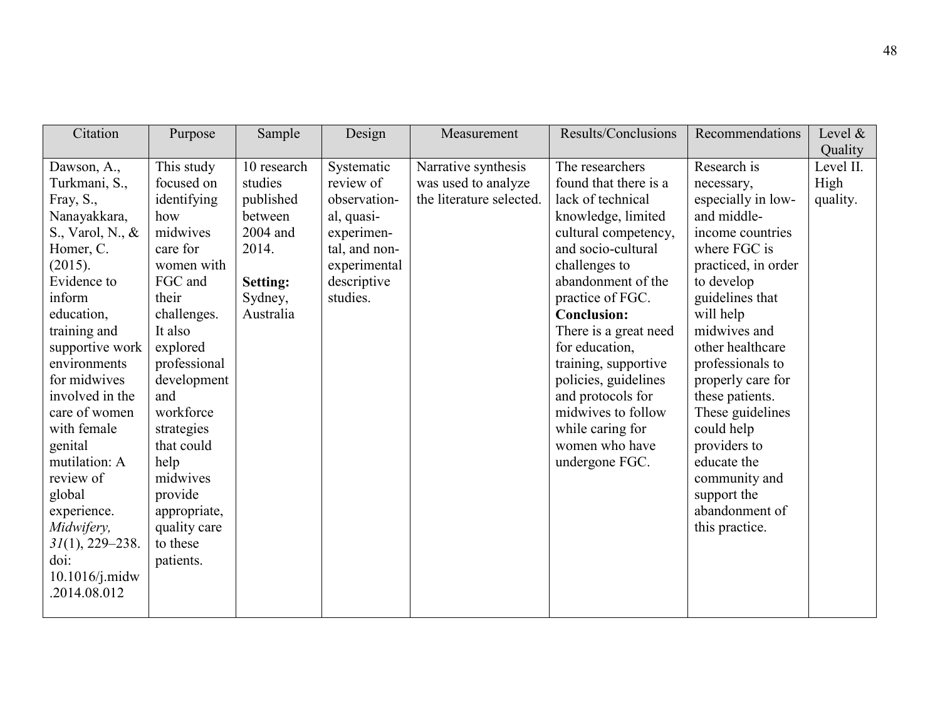| Citation                                                                                                                                                                                                                                                                                                                                                                                                               | Purpose                                                                                                                                                                                                                                                                                                               | Sample                                                                                                         | Design                                                                                                                          | Measurement                                                            | Results/Conclusions                                                                                                                                                                                                                                                                                                                                                                                              | Recommendations                                                                                                                                                                                                                                                                                                                                                                                              | Level $\&$<br>Quality         |
|------------------------------------------------------------------------------------------------------------------------------------------------------------------------------------------------------------------------------------------------------------------------------------------------------------------------------------------------------------------------------------------------------------------------|-----------------------------------------------------------------------------------------------------------------------------------------------------------------------------------------------------------------------------------------------------------------------------------------------------------------------|----------------------------------------------------------------------------------------------------------------|---------------------------------------------------------------------------------------------------------------------------------|------------------------------------------------------------------------|------------------------------------------------------------------------------------------------------------------------------------------------------------------------------------------------------------------------------------------------------------------------------------------------------------------------------------------------------------------------------------------------------------------|--------------------------------------------------------------------------------------------------------------------------------------------------------------------------------------------------------------------------------------------------------------------------------------------------------------------------------------------------------------------------------------------------------------|-------------------------------|
| Dawson, A.,<br>Turkmani, S.,<br>Fray, S.,<br>Nanayakkara,<br>S., Varol, N., &<br>Homer, C.<br>(2015).<br>Evidence to<br>inform<br>education,<br>training and<br>supportive work<br>environments<br>for midwives<br>involved in the<br>care of women<br>with female<br>genital<br>mutilation: A<br>review of<br>global<br>experience.<br>Midwifery,<br>$31(1), 229 - 238.$<br>doi:<br>$10.1016$ /j.midw<br>.2014.08.012 | This study<br>focused on<br>identifying<br>how<br>midwives<br>care for<br>women with<br>FGC and<br>their<br>challenges.<br>It also<br>explored<br>professional<br>development<br>and<br>workforce<br>strategies<br>that could<br>help<br>midwives<br>provide<br>appropriate,<br>quality care<br>to these<br>patients. | 10 research<br>studies<br>published<br>between<br>2004 and<br>2014.<br><b>Setting:</b><br>Sydney,<br>Australia | Systematic<br>review of<br>observation-<br>al, quasi-<br>experimen-<br>tal, and non-<br>experimental<br>descriptive<br>studies. | Narrative synthesis<br>was used to analyze<br>the literature selected. | The researchers<br>found that there is a<br>lack of technical<br>knowledge, limited<br>cultural competency,<br>and socio-cultural<br>challenges to<br>abandonment of the<br>practice of FGC.<br><b>Conclusion:</b><br>There is a great need<br>for education,<br>training, supportive<br>policies, guidelines<br>and protocols for<br>midwives to follow<br>while caring for<br>women who have<br>undergone FGC. | Research is<br>necessary,<br>especially in low-<br>and middle-<br>income countries<br>where FGC is<br>practiced, in order<br>to develop<br>guidelines that<br>will help<br>midwives and<br>other healthcare<br>professionals to<br>properly care for<br>these patients.<br>These guidelines<br>could help<br>providers to<br>educate the<br>community and<br>support the<br>abandonment of<br>this practice. | Level II.<br>High<br>quality. |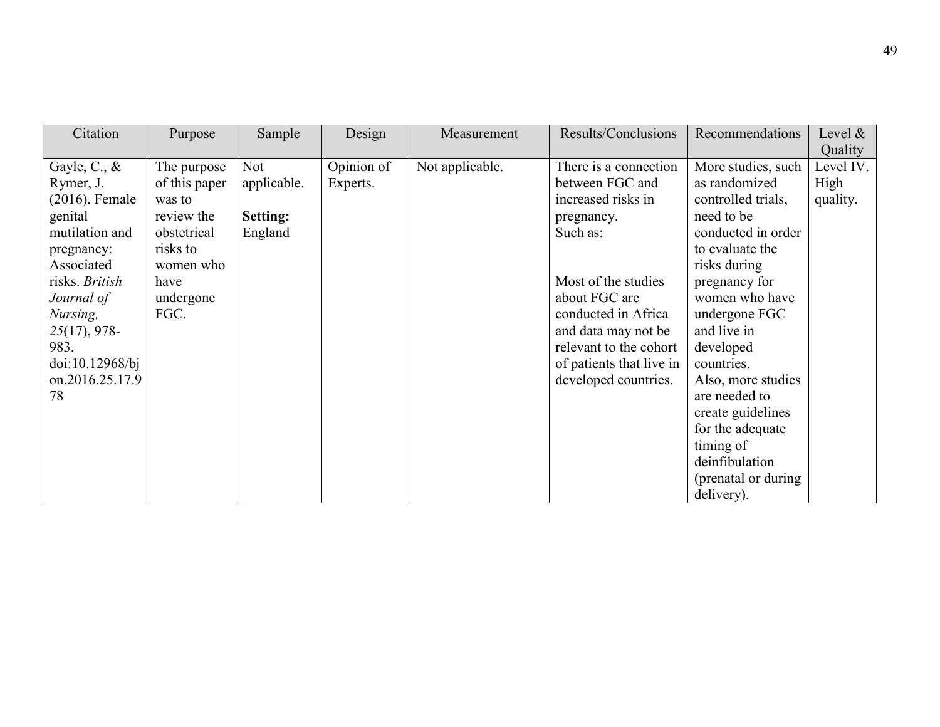| Citation                                                                                                                                                                                                                      | Purpose                                                                                                                   | Sample                                                  | Design                 | Measurement     | Results/Conclusions                                                                                                                                                                                                                                          | Recommendations                                                                                                                                                                                                                                                                                                                                                                     | Level $\&$<br>Quality         |
|-------------------------------------------------------------------------------------------------------------------------------------------------------------------------------------------------------------------------------|---------------------------------------------------------------------------------------------------------------------------|---------------------------------------------------------|------------------------|-----------------|--------------------------------------------------------------------------------------------------------------------------------------------------------------------------------------------------------------------------------------------------------------|-------------------------------------------------------------------------------------------------------------------------------------------------------------------------------------------------------------------------------------------------------------------------------------------------------------------------------------------------------------------------------------|-------------------------------|
| Gayle, C., $\&$<br>Rymer, J.<br>$(2016)$ . Female<br>genital<br>mutilation and<br>pregnancy:<br>Associated<br>risks. British<br>Journal of<br>Nursing,<br>$25(17)$ , 978-<br>983.<br>doi:10.12968/bj<br>on.2016.25.17.9<br>78 | The purpose<br>of this paper<br>was to<br>review the<br>obstetrical<br>risks to<br>women who<br>have<br>undergone<br>FGC. | <b>Not</b><br>applicable.<br><b>Setting:</b><br>England | Opinion of<br>Experts. | Not applicable. | There is a connection<br>between FGC and<br>increased risks in<br>pregnancy.<br>Such as:<br>Most of the studies<br>about FGC are<br>conducted in Africa<br>and data may not be<br>relevant to the cohort<br>of patients that live in<br>developed countries. | More studies, such<br>as randomized<br>controlled trials,<br>need to be<br>conducted in order<br>to evaluate the<br>risks during<br>pregnancy for<br>women who have<br>undergone FGC<br>and live in<br>developed<br>countries.<br>Also, more studies<br>are needed to<br>create guidelines<br>for the adequate<br>timing of<br>deinfibulation<br>(prenatal or during)<br>delivery). | Level IV.<br>High<br>quality. |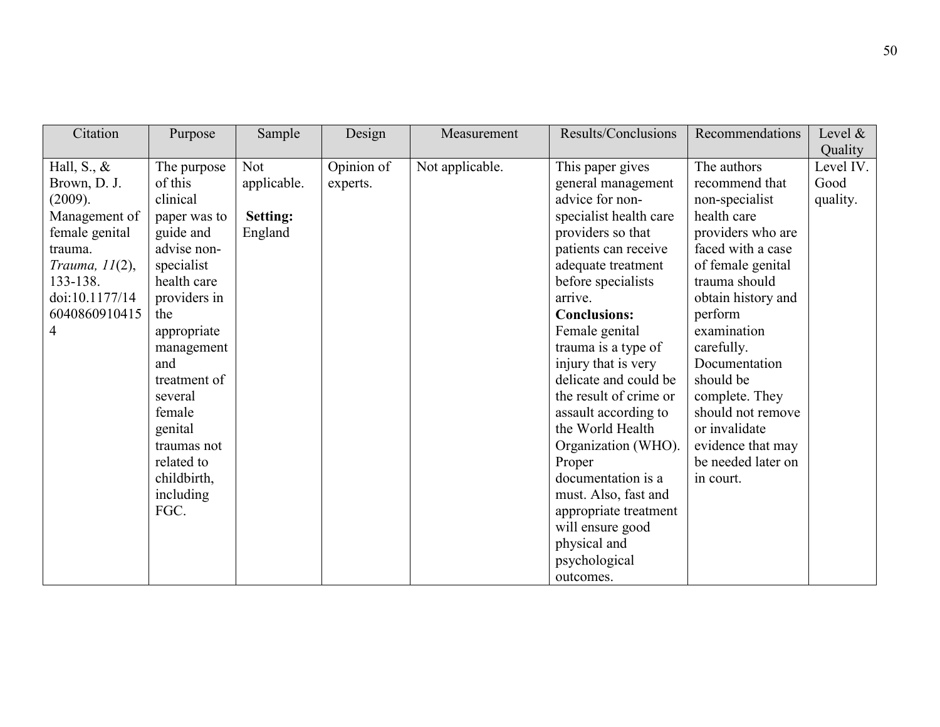| Citation          | Purpose      | Sample          | Design     | Measurement     | Results/Conclusions    | Recommendations    | Level $\&$ |
|-------------------|--------------|-----------------|------------|-----------------|------------------------|--------------------|------------|
|                   |              |                 |            |                 |                        |                    | Quality    |
| Hall, S., $\&$    | The purpose  | <b>Not</b>      | Opinion of | Not applicable. | This paper gives       | The authors        | Level IV.  |
| Brown, D. J.      | of this      | applicable.     | experts.   |                 | general management     | recommend that     | Good       |
| (2009).           | clinical     |                 |            |                 | advice for non-        | non-specialist     | quality.   |
| Management of     | paper was to | <b>Setting:</b> |            |                 | specialist health care | health care        |            |
| female genital    | guide and    | England         |            |                 | providers so that      | providers who are  |            |
| trauma.           | advise non-  |                 |            |                 | patients can receive   | faced with a case  |            |
| Trauma, $11(2)$ , | specialist   |                 |            |                 | adequate treatment     | of female genital  |            |
| 133-138.          | health care  |                 |            |                 | before specialists     | trauma should      |            |
| doi:10.1177/14    | providers in |                 |            |                 | arrive.                | obtain history and |            |
| 6040860910415     | the          |                 |            |                 | <b>Conclusions:</b>    | perform            |            |
| 4                 | appropriate  |                 |            |                 | Female genital         | examination        |            |
|                   | management   |                 |            |                 | trauma is a type of    | carefully.         |            |
|                   | and          |                 |            |                 | injury that is very    | Documentation      |            |
|                   | treatment of |                 |            |                 | delicate and could be  | should be          |            |
|                   | several      |                 |            |                 | the result of crime or | complete. They     |            |
|                   | female       |                 |            |                 | assault according to   | should not remove  |            |
|                   | genital      |                 |            |                 | the World Health       | or invalidate      |            |
|                   | traumas not  |                 |            |                 | Organization (WHO).    | evidence that may  |            |
|                   | related to   |                 |            |                 | Proper                 | be needed later on |            |
|                   | childbirth,  |                 |            |                 | documentation is a     | in court.          |            |
|                   | including    |                 |            |                 | must. Also, fast and   |                    |            |
|                   | FGC.         |                 |            |                 | appropriate treatment  |                    |            |
|                   |              |                 |            |                 | will ensure good       |                    |            |
|                   |              |                 |            |                 | physical and           |                    |            |
|                   |              |                 |            |                 | psychological          |                    |            |
|                   |              |                 |            |                 | outcomes.              |                    |            |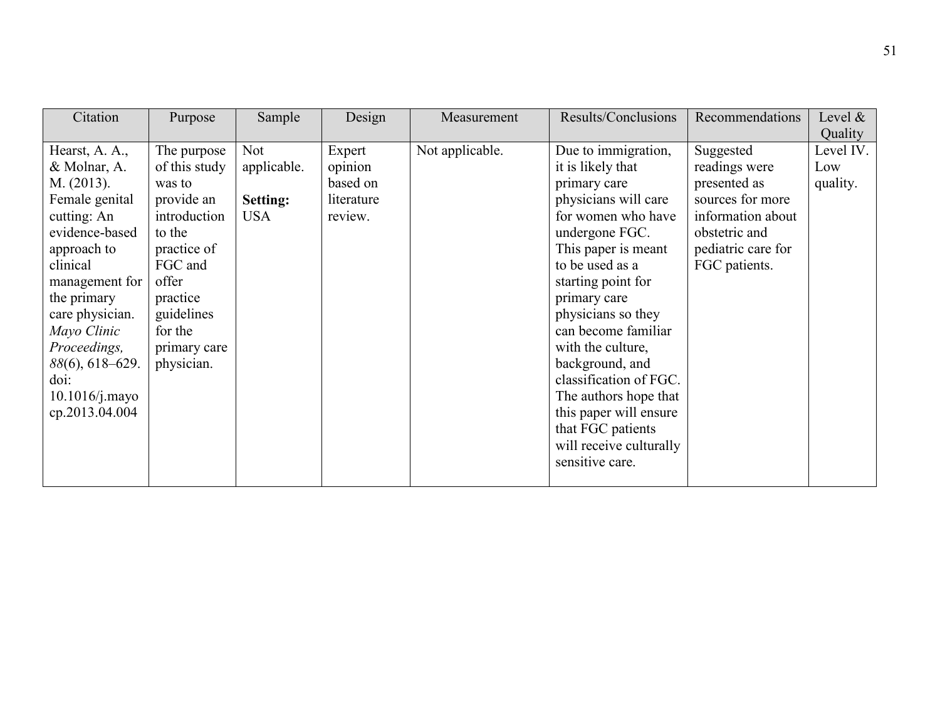| Citation                                                                                                                                                                                                                                                                        | Purpose                                                                                                                                                                              | Sample                                                     | Design                                                 | Measurement     | Results/Conclusions                                                                                                                                                                                                                                                                                                                                                                                                                           | Recommendations                                                                                                                             | Level $\&$<br>Quality        |
|---------------------------------------------------------------------------------------------------------------------------------------------------------------------------------------------------------------------------------------------------------------------------------|--------------------------------------------------------------------------------------------------------------------------------------------------------------------------------------|------------------------------------------------------------|--------------------------------------------------------|-----------------|-----------------------------------------------------------------------------------------------------------------------------------------------------------------------------------------------------------------------------------------------------------------------------------------------------------------------------------------------------------------------------------------------------------------------------------------------|---------------------------------------------------------------------------------------------------------------------------------------------|------------------------------|
| Hearst, A. A.,<br>& Molnar, A.<br>M. (2013).<br>Female genital<br>cutting: An<br>evidence-based<br>approach to<br>clinical<br>management for<br>the primary<br>care physician.<br>Mayo Clinic<br>Proceedings,<br>88(6), 618-629.<br>doi:<br>$10.1016$ /j.mayo<br>cp.2013.04.004 | The purpose<br>of this study<br>was to<br>provide an<br>introduction<br>to the<br>practice of<br>FGC and<br>offer<br>practice<br>guidelines<br>for the<br>primary care<br>physician. | <b>Not</b><br>applicable.<br><b>Setting:</b><br><b>USA</b> | Expert<br>opinion<br>based on<br>literature<br>review. | Not applicable. | Due to immigration,<br>it is likely that<br>primary care<br>physicians will care<br>for women who have<br>undergone FGC.<br>This paper is meant<br>to be used as a<br>starting point for<br>primary care<br>physicians so they<br>can become familiar<br>with the culture,<br>background, and<br>classification of FGC.<br>The authors hope that<br>this paper will ensure<br>that FGC patients<br>will receive culturally<br>sensitive care. | Suggested<br>readings were<br>presented as<br>sources for more<br>information about<br>obstetric and<br>pediatric care for<br>FGC patients. | Level IV.<br>Low<br>quality. |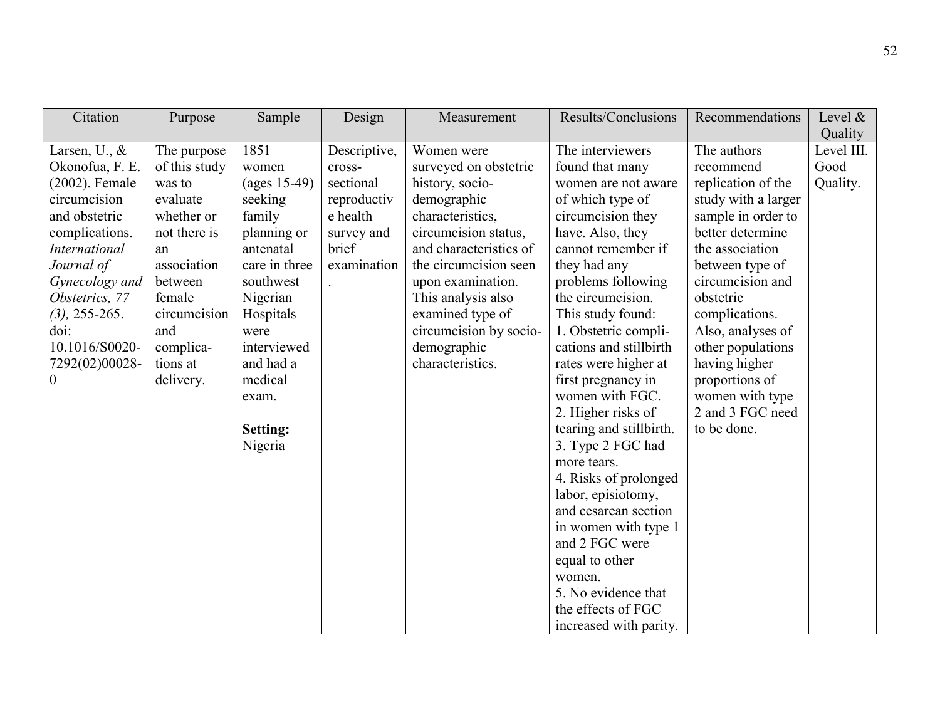| Citation                                                                                                                                                                                                                                                | Purpose                                                                                                                                                                                 | Sample                                                                                                                                                                                                                                               | Design                                                                                               | Measurement                                                                                                                                                                                                                                                                                      | Results/Conclusions                                                                                                                                                                                                                                                                                                                                                                                                                                                                                                                                                                                                                                       | Recommendations                                                                                                                                                                                                                                                                                                                             | Level $\&$<br>Quality          |
|---------------------------------------------------------------------------------------------------------------------------------------------------------------------------------------------------------------------------------------------------------|-----------------------------------------------------------------------------------------------------------------------------------------------------------------------------------------|------------------------------------------------------------------------------------------------------------------------------------------------------------------------------------------------------------------------------------------------------|------------------------------------------------------------------------------------------------------|--------------------------------------------------------------------------------------------------------------------------------------------------------------------------------------------------------------------------------------------------------------------------------------------------|-----------------------------------------------------------------------------------------------------------------------------------------------------------------------------------------------------------------------------------------------------------------------------------------------------------------------------------------------------------------------------------------------------------------------------------------------------------------------------------------------------------------------------------------------------------------------------------------------------------------------------------------------------------|---------------------------------------------------------------------------------------------------------------------------------------------------------------------------------------------------------------------------------------------------------------------------------------------------------------------------------------------|--------------------------------|
| Larsen, U., $\&$<br>Okonofua, F. E.<br>(2002). Female<br>circumcision<br>and obstetric<br>complications.<br><b>International</b><br>Journal of<br>Gynecology and<br>Obstetrics, 77<br>$(3)$ , 255-265.<br>doi:<br>10.1016/S0020-<br>7292(02)00028-<br>0 | The purpose<br>of this study<br>was to<br>evaluate<br>whether or<br>not there is<br>an<br>association<br>between<br>female<br>circumcision<br>and<br>complica-<br>tions at<br>delivery. | 1851<br>women<br>$\left( \text{ages } 15 - 49 \right)$<br>seeking<br>family<br>planning or<br>antenatal<br>care in three<br>southwest<br>Nigerian<br>Hospitals<br>were<br>interviewed<br>and had a<br>medical<br>exam.<br><b>Setting:</b><br>Nigeria | Descriptive,<br>cross-<br>sectional<br>reproductiv<br>e health<br>survey and<br>brief<br>examination | Women were<br>surveyed on obstetric<br>history, socio-<br>demographic<br>characteristics,<br>circumcision status,<br>and characteristics of<br>the circumcision seen<br>upon examination.<br>This analysis also<br>examined type of<br>circumcision by socio-<br>demographic<br>characteristics. | The interviewers<br>found that many<br>women are not aware<br>of which type of<br>circumcision they<br>have. Also, they<br>cannot remember if<br>they had any<br>problems following<br>the circumcision.<br>This study found:<br>1. Obstetric compli-<br>cations and stillbirth<br>rates were higher at<br>first pregnancy in<br>women with FGC.<br>2. Higher risks of<br>tearing and stillbirth.<br>3. Type 2 FGC had<br>more tears.<br>4. Risks of prolonged<br>labor, episiotomy,<br>and cesarean section<br>in women with type 1<br>and 2 FGC were<br>equal to other<br>women.<br>5. No evidence that<br>the effects of FGC<br>increased with parity. | The authors<br>recommend<br>replication of the<br>study with a larger<br>sample in order to<br>better determine<br>the association<br>between type of<br>circumcision and<br>obstetric<br>complications.<br>Also, analyses of<br>other populations<br>having higher<br>proportions of<br>women with type<br>2 and 3 FGC need<br>to be done. | Level III.<br>Good<br>Quality. |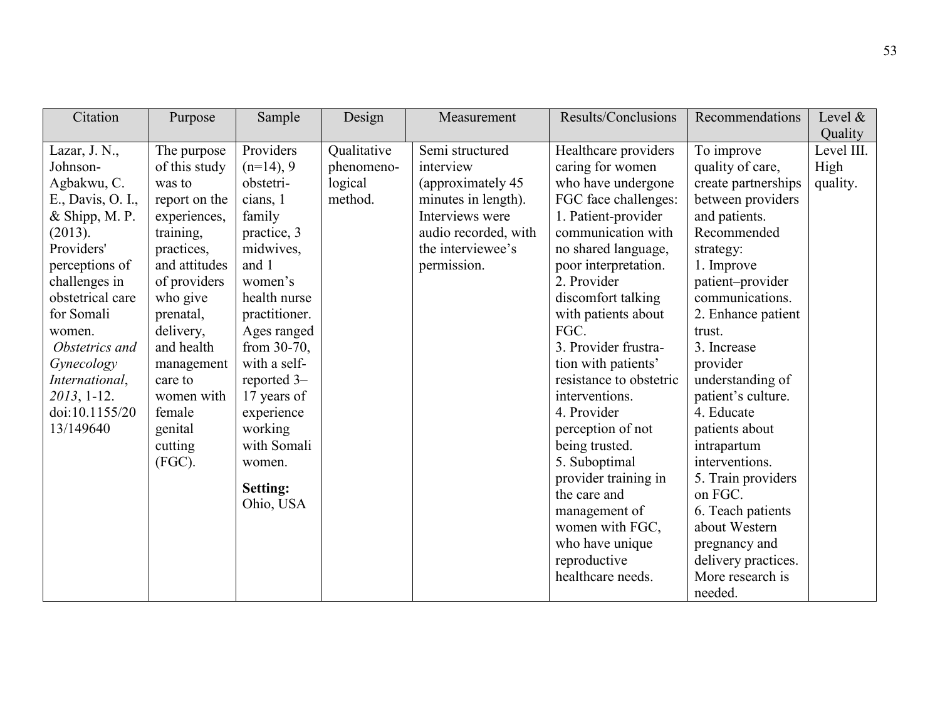| Citation                                                                                                                                                                                                                                                     | Purpose                                                                                                                                                                                                                                     | Sample                                                                                                                                                                                                                                            | Design                    | Measurement                                                                                                              | Results/Conclusions                                                                                                                                                                                                                                                                                                                                                                                   | Recommendations                                                                                                                                                                                                                                                                                                                        | Level $\&$                    |
|--------------------------------------------------------------------------------------------------------------------------------------------------------------------------------------------------------------------------------------------------------------|---------------------------------------------------------------------------------------------------------------------------------------------------------------------------------------------------------------------------------------------|---------------------------------------------------------------------------------------------------------------------------------------------------------------------------------------------------------------------------------------------------|---------------------------|--------------------------------------------------------------------------------------------------------------------------|-------------------------------------------------------------------------------------------------------------------------------------------------------------------------------------------------------------------------------------------------------------------------------------------------------------------------------------------------------------------------------------------------------|----------------------------------------------------------------------------------------------------------------------------------------------------------------------------------------------------------------------------------------------------------------------------------------------------------------------------------------|-------------------------------|
| Lazar, J. N.,<br>Johnson-                                                                                                                                                                                                                                    | The purpose<br>of this study                                                                                                                                                                                                                | Providers<br>$(n=14)$ , 9                                                                                                                                                                                                                         | Qualitative<br>phenomeno- | Semi structured<br>interview                                                                                             | Healthcare providers<br>caring for women                                                                                                                                                                                                                                                                                                                                                              | To improve<br>quality of care,                                                                                                                                                                                                                                                                                                         | Quality<br>Level III.<br>High |
| Agbakwu, C.<br>E., Davis, O. I.,<br>$&$ Shipp, M. P.<br>(2013).<br>Providers'<br>perceptions of<br>challenges in<br>obstetrical care<br>for Somali<br>women.<br>Obstetrics and<br>Gynecology<br>International,<br>2013, 1-12.<br>doi:10.1155/20<br>13/149640 | was to<br>report on the<br>experiences,<br>training.<br>practices,<br>and attitudes<br>of providers<br>who give<br>prenatal,<br>delivery,<br>and health<br>management<br>care to<br>women with<br>female<br>genital<br>cutting<br>$(FGC)$ . | obstetri-<br>cians, 1<br>family<br>practice, 3<br>midwives,<br>and 1<br>women's<br>health nurse<br>practitioner.<br>Ages ranged<br>from $30-70$ ,<br>with a self-<br>reported 3-<br>17 years of<br>experience<br>working<br>with Somali<br>women. | logical<br>method.        | (approximately 45)<br>minutes in length).<br>Interviews were<br>audio recorded, with<br>the interviewee's<br>permission. | who have undergone<br>FGC face challenges:<br>1. Patient-provider<br>communication with<br>no shared language,<br>poor interpretation.<br>2. Provider<br>discomfort talking<br>with patients about<br>FGC.<br>3. Provider frustra-<br>tion with patients'<br>resistance to obstetric<br>interventions.<br>4. Provider<br>perception of not<br>being trusted.<br>5. Suboptimal<br>provider training in | create partnerships<br>between providers<br>and patients.<br>Recommended<br>strategy:<br>1. Improve<br>patient-provider<br>communications.<br>2. Enhance patient<br>trust.<br>3. Increase<br>provider<br>understanding of<br>patient's culture.<br>4. Educate<br>patients about<br>intrapartum<br>interventions.<br>5. Train providers | quality.                      |
|                                                                                                                                                                                                                                                              |                                                                                                                                                                                                                                             | <b>Setting:</b><br>Ohio, USA                                                                                                                                                                                                                      |                           |                                                                                                                          | the care and<br>management of<br>women with FGC,<br>who have unique<br>reproductive<br>healthcare needs.                                                                                                                                                                                                                                                                                              | on FGC.<br>6. Teach patients<br>about Western<br>pregnancy and<br>delivery practices.<br>More research is<br>needed.                                                                                                                                                                                                                   |                               |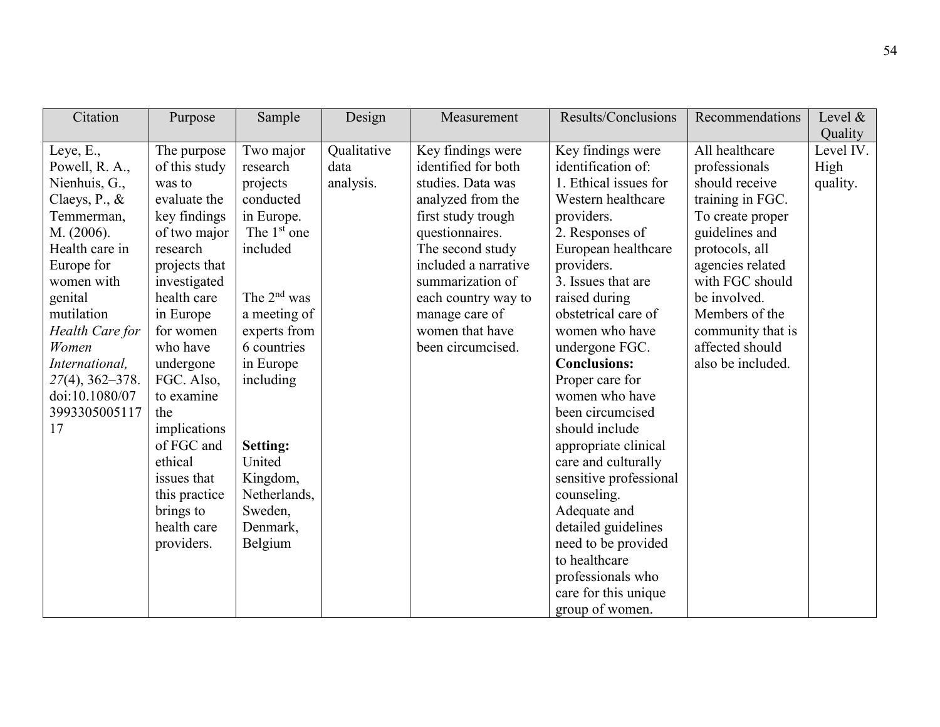| Citation                                                                                                                                                                                                                                                                                             | Purpose                                                                                                                                                                                                                                                                                                                                                     | Sample                                                                                                                                                                                                                                                                            | Design                           | Measurement                                                                                                                                                                                                                                                                  | Results/Conclusions                                                                                                                                                                                                                                                                                                                                                                                                                                                                                                                                                                                     | Recommendations                                                                                                                                                                                                                                                     | Level $\&$<br>Quality         |
|------------------------------------------------------------------------------------------------------------------------------------------------------------------------------------------------------------------------------------------------------------------------------------------------------|-------------------------------------------------------------------------------------------------------------------------------------------------------------------------------------------------------------------------------------------------------------------------------------------------------------------------------------------------------------|-----------------------------------------------------------------------------------------------------------------------------------------------------------------------------------------------------------------------------------------------------------------------------------|----------------------------------|------------------------------------------------------------------------------------------------------------------------------------------------------------------------------------------------------------------------------------------------------------------------------|---------------------------------------------------------------------------------------------------------------------------------------------------------------------------------------------------------------------------------------------------------------------------------------------------------------------------------------------------------------------------------------------------------------------------------------------------------------------------------------------------------------------------------------------------------------------------------------------------------|---------------------------------------------------------------------------------------------------------------------------------------------------------------------------------------------------------------------------------------------------------------------|-------------------------------|
| Leye, $E_{\cdot}$ ,<br>Powell, R. A.,<br>Nienhuis, G.,<br>Claeys, $P_{\cdot}$ , $\&$<br>Temmerman,<br>M. (2006).<br>Health care in<br>Europe for<br>women with<br>genital<br>mutilation<br>Health Care for<br>Women<br>International,<br>$27(4)$ , 362–378.<br>doi:10.1080/07<br>3993305005117<br>17 | The purpose<br>of this study<br>was to<br>evaluate the<br>key findings<br>of two major<br>research<br>projects that<br>investigated<br>health care<br>in Europe<br>for women<br>who have<br>undergone<br>FGC. Also,<br>to examine<br>the<br>implications<br>of FGC and<br>ethical<br>issues that<br>this practice<br>brings to<br>health care<br>providers. | Two major<br>research<br>projects<br>conducted<br>in Europe.<br>The 1 <sup>st</sup> one<br>included<br>The $2nd$ was<br>a meeting of<br>experts from<br>6 countries<br>in Europe<br>including<br>Setting:<br>United<br>Kingdom,<br>Netherlands,<br>Sweden,<br>Denmark,<br>Belgium | Qualitative<br>data<br>analysis. | Key findings were<br>identified for both<br>studies. Data was<br>analyzed from the<br>first study trough<br>questionnaires.<br>The second study<br>included a narrative<br>summarization of<br>each country way to<br>manage care of<br>women that have<br>been circumcised. | Key findings were<br>identification of:<br>1. Ethical issues for<br>Western healthcare<br>providers.<br>2. Responses of<br>European healthcare<br>providers.<br>3. Issues that are<br>raised during<br>obstetrical care of<br>women who have<br>undergone FGC.<br><b>Conclusions:</b><br>Proper care for<br>women who have<br>been circumcised<br>should include<br>appropriate clinical<br>care and culturally<br>sensitive professional<br>counseling.<br>Adequate and<br>detailed guidelines<br>need to be provided<br>to healthcare<br>professionals who<br>care for this unique<br>group of women. | All healthcare<br>professionals<br>should receive<br>training in FGC.<br>To create proper<br>guidelines and<br>protocols, all<br>agencies related<br>with FGC should<br>be involved.<br>Members of the<br>community that is<br>affected should<br>also be included. | Level IV.<br>High<br>quality. |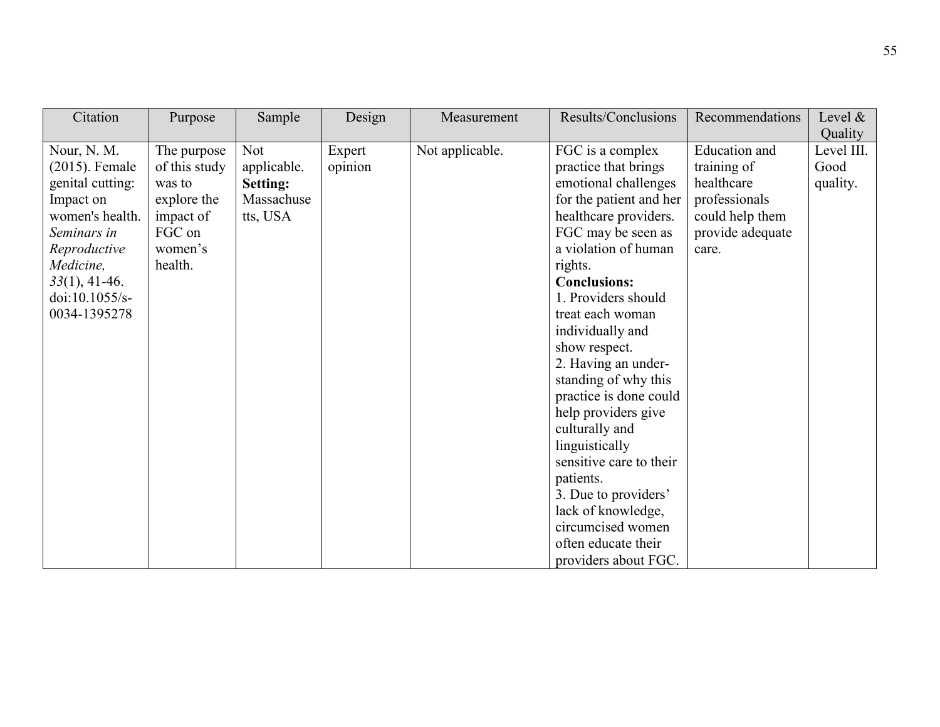| Citation           | Purpose       | Sample      | Design  | Measurement     | Results/Conclusions     | Recommendations  | Level &    |
|--------------------|---------------|-------------|---------|-----------------|-------------------------|------------------|------------|
|                    |               |             |         |                 |                         |                  | Quality    |
| Nour, N. M.        | The purpose   | Not         | Expert  | Not applicable. | FGC is a complex        | Education and    | Level III. |
| $(2015)$ . Female  | of this study | applicable. | opinion |                 | practice that brings    | training of      | Good       |
| genital cutting:   | was to        | Setting:    |         |                 | emotional challenges    | healthcare       | quality.   |
| Impact on          | explore the   | Massachuse  |         |                 | for the patient and her | professionals    |            |
| women's health.    | impact of     | tts, USA    |         |                 | healthcare providers.   | could help them  |            |
| Seminars in        | FGC on        |             |         |                 | FGC may be seen as      | provide adequate |            |
| Reproductive       | women's       |             |         |                 | a violation of human    | care.            |            |
| Medicine,          | health.       |             |         |                 | rights.                 |                  |            |
| $33(1)$ , 41-46.   |               |             |         |                 | <b>Conclusions:</b>     |                  |            |
| doi: $10.1055/s$ - |               |             |         |                 | 1. Providers should     |                  |            |
| 0034-1395278       |               |             |         |                 | treat each woman        |                  |            |
|                    |               |             |         |                 | individually and        |                  |            |
|                    |               |             |         |                 | show respect.           |                  |            |
|                    |               |             |         |                 | 2. Having an under-     |                  |            |
|                    |               |             |         |                 | standing of why this    |                  |            |
|                    |               |             |         |                 | practice is done could  |                  |            |
|                    |               |             |         |                 | help providers give     |                  |            |
|                    |               |             |         |                 | culturally and          |                  |            |
|                    |               |             |         |                 | linguistically          |                  |            |
|                    |               |             |         |                 | sensitive care to their |                  |            |
|                    |               |             |         |                 | patients.               |                  |            |
|                    |               |             |         |                 | 3. Due to providers'    |                  |            |
|                    |               |             |         |                 | lack of knowledge,      |                  |            |
|                    |               |             |         |                 | circumcised women       |                  |            |
|                    |               |             |         |                 | often educate their     |                  |            |
|                    |               |             |         |                 | providers about FGC.    |                  |            |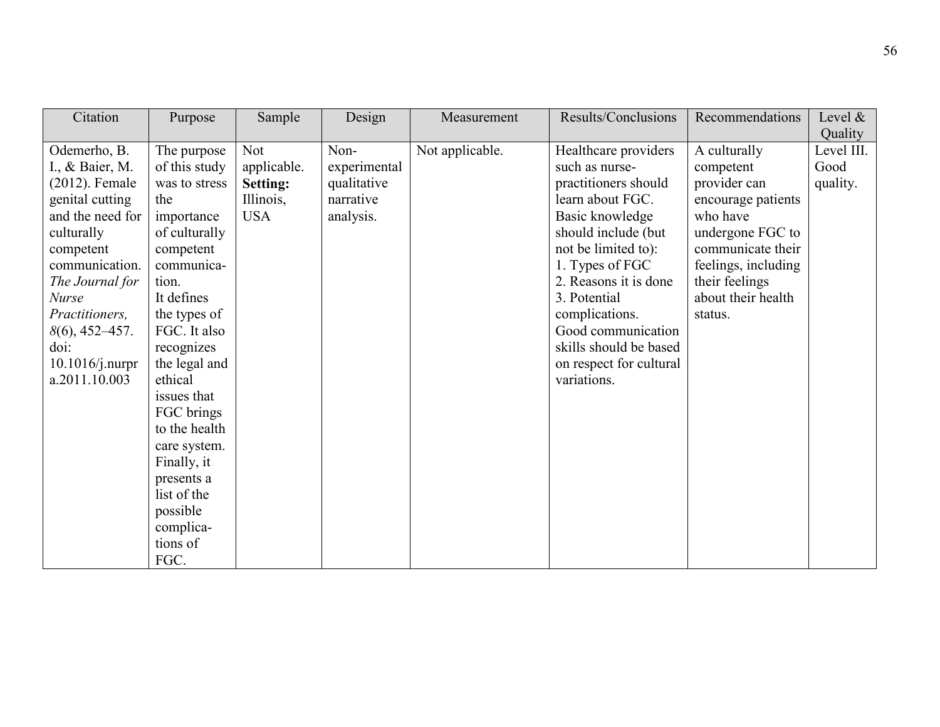| Citation                                                                                                                                                                                                                                                        | Purpose                                                                                                                                                                                              | Sample                                                    | Design                                                        | Measurement     | Results/Conclusions                                                                                                                                                                                                                                                                                          | Recommendations                                                                                                                                                                                | Level &                                   |
|-----------------------------------------------------------------------------------------------------------------------------------------------------------------------------------------------------------------------------------------------------------------|------------------------------------------------------------------------------------------------------------------------------------------------------------------------------------------------------|-----------------------------------------------------------|---------------------------------------------------------------|-----------------|--------------------------------------------------------------------------------------------------------------------------------------------------------------------------------------------------------------------------------------------------------------------------------------------------------------|------------------------------------------------------------------------------------------------------------------------------------------------------------------------------------------------|-------------------------------------------|
| Odemerho, B.<br>I., & Baier, M.<br>$(2012)$ . Female<br>genital cutting<br>and the need for<br>culturally<br>competent<br>communication.<br>The Journal for<br><b>Nurse</b><br>Practitioners,<br>$8(6)$ , 452–457.<br>$\dot{\text{doi:}}$<br>$10.1016$ /j.nurpr | The purpose<br>of this study<br>was to stress<br>the<br>importance<br>of culturally<br>competent<br>communica-<br>tion.<br>It defines<br>the types of<br>FGC. It also<br>recognizes<br>the legal and | Not<br>applicable.<br>Setting:<br>Illinois,<br><b>USA</b> | Non-<br>experimental<br>qualitative<br>narrative<br>analysis. | Not applicable. | Healthcare providers<br>such as nurse-<br>practitioners should<br>learn about FGC.<br>Basic knowledge<br>should include (but<br>not be limited to):<br>1. Types of FGC<br>2. Reasons it is done<br>3. Potential<br>complications.<br>Good communication<br>skills should be based<br>on respect for cultural | A culturally<br>competent<br>provider can<br>encourage patients<br>who have<br>undergone FGC to<br>communicate their<br>feelings, including<br>their feelings<br>about their health<br>status. | Quality<br>Level III.<br>Good<br>quality. |
| a.2011.10.003                                                                                                                                                                                                                                                   | ethical<br>issues that<br>FGC brings<br>to the health<br>care system.<br>Finally, it<br>presents a<br>list of the<br>possible<br>complica-<br>tions of<br>FGC.                                       |                                                           |                                                               |                 | variations.                                                                                                                                                                                                                                                                                                  |                                                                                                                                                                                                |                                           |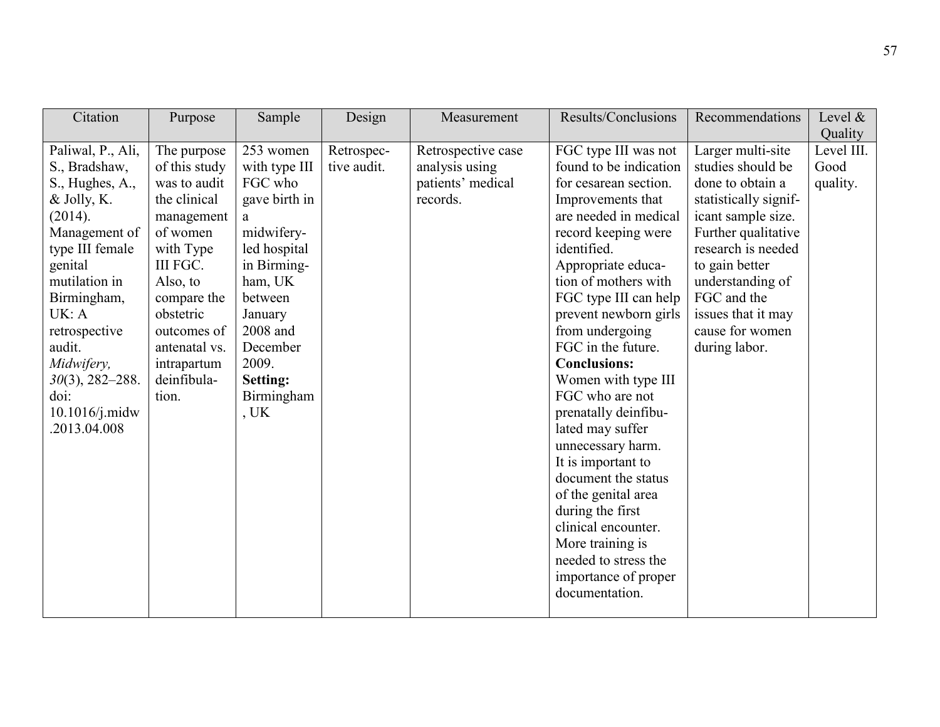| Citation                                                                                                                                                                                                                                                                           | Purpose                                                                                                                                                                                                                        | Sample                                                                                                                                                                                                                | Design                    | Measurement                                                           | Results/Conclusions                                                                                                                                                                                                                                                                                                                                                                                                                                                                                                                                                                                                                         | Recommendations                                                                                                                                                                                                                                                       | Level $\&$<br>Quality          |
|------------------------------------------------------------------------------------------------------------------------------------------------------------------------------------------------------------------------------------------------------------------------------------|--------------------------------------------------------------------------------------------------------------------------------------------------------------------------------------------------------------------------------|-----------------------------------------------------------------------------------------------------------------------------------------------------------------------------------------------------------------------|---------------------------|-----------------------------------------------------------------------|---------------------------------------------------------------------------------------------------------------------------------------------------------------------------------------------------------------------------------------------------------------------------------------------------------------------------------------------------------------------------------------------------------------------------------------------------------------------------------------------------------------------------------------------------------------------------------------------------------------------------------------------|-----------------------------------------------------------------------------------------------------------------------------------------------------------------------------------------------------------------------------------------------------------------------|--------------------------------|
| Paliwal, P., Ali,<br>S., Bradshaw,<br>S., Hughes, A.,<br>& Jolly, K.<br>(2014).<br>Management of<br>type III female<br>genital<br>mutilation in<br>Birmingham,<br>UK: A<br>retrospective<br>audit.<br>Midwifery,<br>$30(3)$ , 282-288.<br>doi:<br>$10.1016$ /j.midw<br>2013.04.008 | The purpose<br>of this study<br>was to audit<br>the clinical<br>management<br>of women<br>with Type<br>III FGC.<br>Also, to<br>compare the<br>obstetric<br>outcomes of<br>antenatal vs.<br>intrapartum<br>deinfibula-<br>tion. | 253 women<br>with type III<br>FGC who<br>gave birth in<br>a<br>midwifery-<br>led hospital<br>in Birming-<br>ham, UK<br>between<br>January<br>2008 and<br>December<br>2009.<br><b>Setting:</b><br>Birmingham<br>$,$ UK | Retrospec-<br>tive audit. | Retrospective case<br>analysis using<br>patients' medical<br>records. | FGC type III was not<br>found to be indication<br>for cesarean section.<br>Improvements that<br>are needed in medical<br>record keeping were<br>identified.<br>Appropriate educa-<br>tion of mothers with<br>FGC type III can help<br>prevent newborn girls<br>from undergoing<br>FGC in the future.<br><b>Conclusions:</b><br>Women with type III<br>FGC who are not<br>prenatally deinfibu-<br>lated may suffer<br>unnecessary harm.<br>It is important to<br>document the status<br>of the genital area<br>during the first<br>clinical encounter.<br>More training is<br>needed to stress the<br>importance of proper<br>documentation. | Larger multi-site<br>studies should be<br>done to obtain a<br>statistically signif-<br>icant sample size.<br>Further qualitative<br>research is needed<br>to gain better<br>understanding of<br>FGC and the<br>issues that it may<br>cause for women<br>during labor. | Level III.<br>Good<br>quality. |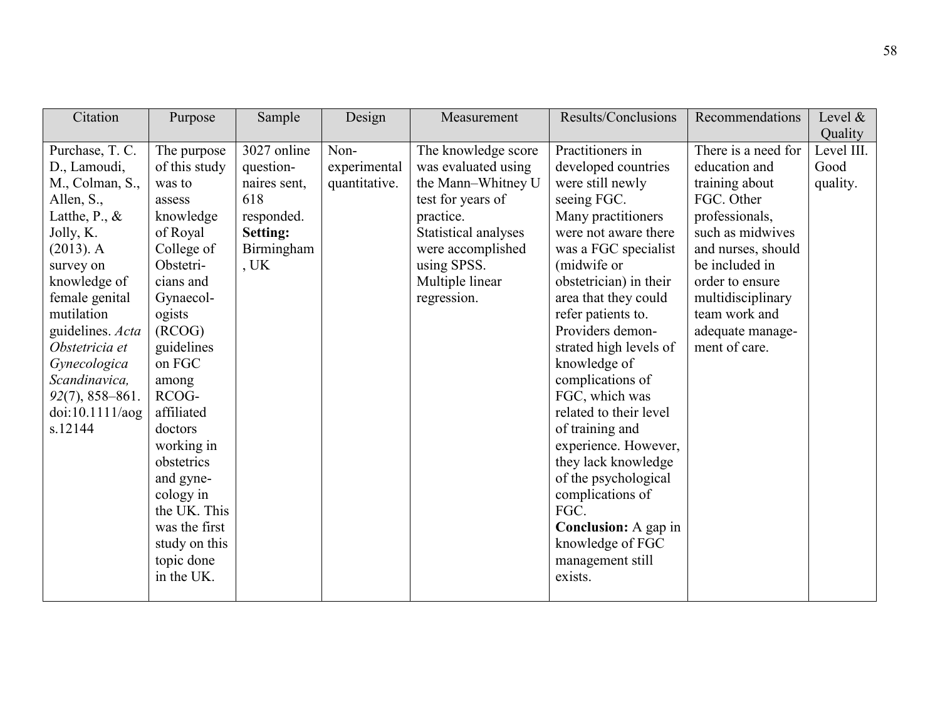| Citation                                                                                                                                                                                                                                                                                                  | Purpose                                                                                                                                                                                                                                                                                                                                                   | Sample                                                                                            | Design                                | Measurement                                                                                                                                                                                      | Results/Conclusions                                                                                                                                                                                                                                                                                                                                                                                                                                                                                                                                                           | Recommendations                                                                                                                                                                                                                                  | Level $&$<br>Quality           |
|-----------------------------------------------------------------------------------------------------------------------------------------------------------------------------------------------------------------------------------------------------------------------------------------------------------|-----------------------------------------------------------------------------------------------------------------------------------------------------------------------------------------------------------------------------------------------------------------------------------------------------------------------------------------------------------|---------------------------------------------------------------------------------------------------|---------------------------------------|--------------------------------------------------------------------------------------------------------------------------------------------------------------------------------------------------|-------------------------------------------------------------------------------------------------------------------------------------------------------------------------------------------------------------------------------------------------------------------------------------------------------------------------------------------------------------------------------------------------------------------------------------------------------------------------------------------------------------------------------------------------------------------------------|--------------------------------------------------------------------------------------------------------------------------------------------------------------------------------------------------------------------------------------------------|--------------------------------|
| Purchase, T. C.<br>D., Lamoudi,<br>M., Colman, S.,<br>Allen, S.,<br>Latthe, P., $\&$<br>Jolly, K.<br>$(2013)$ . A<br>survey on<br>knowledge of<br>female genital<br>mutilation<br>guidelines. Acta<br>Obstetricia et<br>Gynecologica<br>Scandinavica,<br>$92(7)$ , 858-861.<br>doi:10.1111/aog<br>s.12144 | The purpose<br>of this study<br>was to<br>assess<br>knowledge<br>of Royal<br>College of<br>Obstetri-<br>cians and<br>Gynaecol-<br>ogists<br>(RCOG)<br>guidelines<br>on FGC<br>among<br>RCOG-<br>affiliated<br>doctors<br>working in<br>obstetrics<br>and gyne-<br>cology in<br>the UK. This<br>was the first<br>study on this<br>topic done<br>in the UK. | 3027 online<br>question-<br>naires sent,<br>618<br>responded.<br>Setting:<br>Birmingham<br>$,$ UK | Non-<br>experimental<br>quantitative. | The knowledge score<br>was evaluated using<br>the Mann-Whitney U<br>test for years of<br>practice.<br>Statistical analyses<br>were accomplished<br>using SPSS.<br>Multiple linear<br>regression. | Practitioners in<br>developed countries<br>were still newly<br>seeing FGC.<br>Many practitioners<br>were not aware there<br>was a FGC specialist<br>(midwife or<br>obstetrician) in their<br>area that they could<br>refer patients to.<br>Providers demon-<br>strated high levels of<br>knowledge of<br>complications of<br>FGC, which was<br>related to their level<br>of training and<br>experience. However,<br>they lack knowledge<br>of the psychological<br>complications of<br>FGC.<br><b>Conclusion:</b> A gap in<br>knowledge of FGC<br>management still<br>exists. | There is a need for<br>education and<br>training about<br>FGC. Other<br>professionals,<br>such as midwives<br>and nurses, should<br>be included in<br>order to ensure<br>multidisciplinary<br>team work and<br>adequate manage-<br>ment of care. | Level III.<br>Good<br>quality. |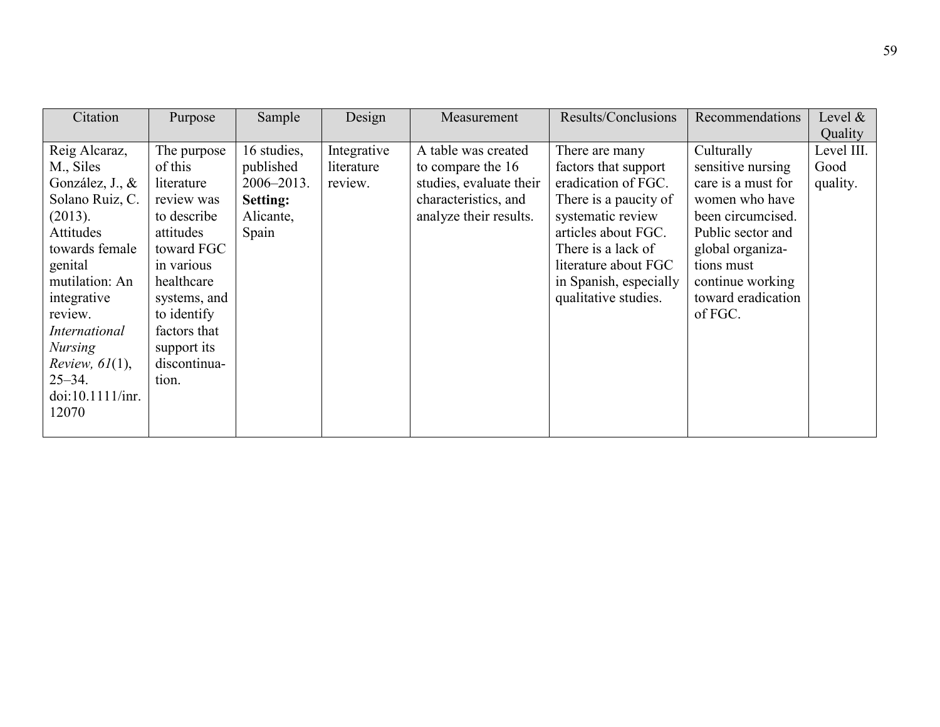| Citation             | Purpose      | Sample      | Design      | Measurement             | Results/Conclusions    | Recommendations    | Level $\&$ |
|----------------------|--------------|-------------|-------------|-------------------------|------------------------|--------------------|------------|
|                      |              |             |             |                         |                        |                    | Quality    |
| Reig Alcaraz,        | The purpose  | 16 studies, | Integrative | A table was created     | There are many         | Culturally         | Level III. |
| M., Siles            | of this      | published   | literature  | to compare the 16       | factors that support   | sensitive nursing  | Good       |
| González, J., &      | literature   | 2006-2013.  | review.     | studies, evaluate their | eradication of FGC.    | care is a must for | quality.   |
| Solano Ruiz, C.      | review was   | Setting:    |             | characteristics, and    | There is a paucity of  | women who have     |            |
| (2013).              | to describe  | Alicante,   |             | analyze their results.  | systematic review      | been circumcised.  |            |
| Attitudes            | attitudes    | Spain       |             |                         | articles about FGC.    | Public sector and  |            |
| towards female       | toward FGC   |             |             |                         | There is a lack of     | global organiza-   |            |
| genital              | in various   |             |             |                         | literature about FGC   | tions must         |            |
| mutilation: An       | healthcare   |             |             |                         | in Spanish, especially | continue working   |            |
| integrative          | systems, and |             |             |                         | qualitative studies.   | toward eradication |            |
| review.              | to identify  |             |             |                         |                        | of FGC.            |            |
| <i>International</i> | factors that |             |             |                         |                        |                    |            |
| <b>Nursing</b>       | support its  |             |             |                         |                        |                    |            |
| Review, $61(1)$ ,    | discontinua- |             |             |                         |                        |                    |            |
| $25 - 34$ .          | tion.        |             |             |                         |                        |                    |            |
| doi:10.1111/inr.     |              |             |             |                         |                        |                    |            |
| 12070                |              |             |             |                         |                        |                    |            |
|                      |              |             |             |                         |                        |                    |            |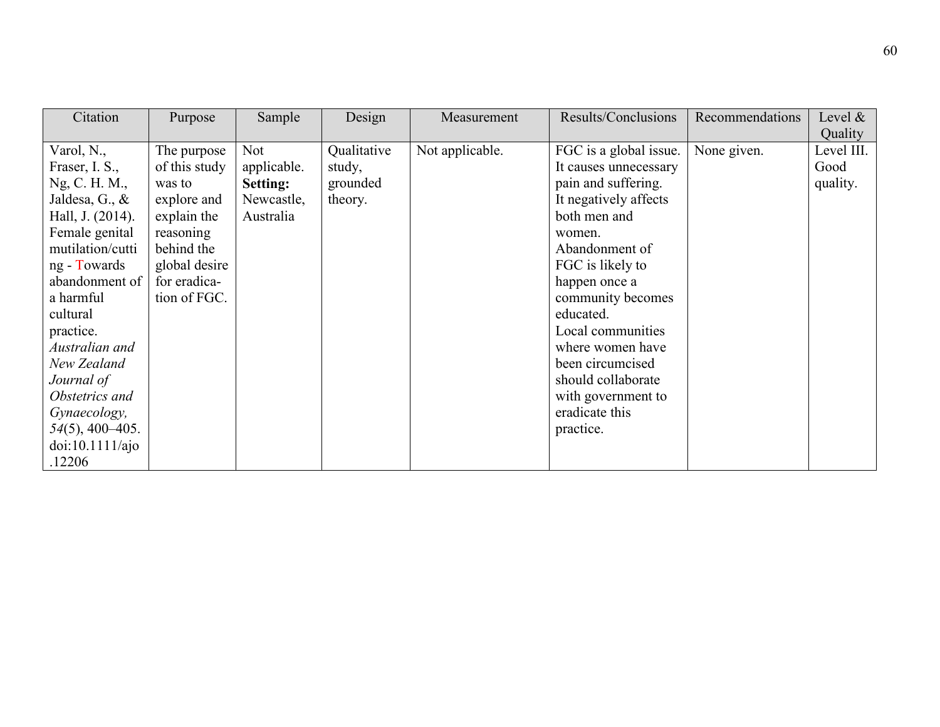| Citation                                                                                                                                                                                                                                                                                                                                 | Purpose                                                                                                                                          | Sample                                                           | Design                                       | Measurement     | Results/Conclusions                                                                                                                                                                                                                                                                                                                                        | Recommendations | Level $\&$<br>Quality          |
|------------------------------------------------------------------------------------------------------------------------------------------------------------------------------------------------------------------------------------------------------------------------------------------------------------------------------------------|--------------------------------------------------------------------------------------------------------------------------------------------------|------------------------------------------------------------------|----------------------------------------------|-----------------|------------------------------------------------------------------------------------------------------------------------------------------------------------------------------------------------------------------------------------------------------------------------------------------------------------------------------------------------------------|-----------------|--------------------------------|
| Varol, N.,<br>Fraser, I. S.,<br>Ng, C. H. M.,<br>Jaldesa, G., $\&$<br>Hall, J. (2014).<br>Female genital<br>mutilation/cutti<br>ng - Towards<br>abandonment of<br>a harmful<br>cultural<br>practice.<br>Australian and<br>New Zealand<br>Journal of<br>Obstetrics and<br>Gynaecology,<br>$54(5)$ , 400-405.<br>doi:10.1111/ajo<br>.12206 | The purpose<br>of this study<br>was to<br>explore and<br>explain the<br>reasoning<br>behind the<br>global desire<br>for eradica-<br>tion of FGC. | Not<br>applicable.<br><b>Setting:</b><br>Newcastle,<br>Australia | Qualitative<br>study,<br>grounded<br>theory. | Not applicable. | FGC is a global issue.<br>It causes unnecessary<br>pain and suffering.<br>It negatively affects<br>both men and<br>women.<br>Abandonment of<br>FGC is likely to<br>happen once a<br>community becomes<br>educated.<br>Local communities<br>where women have<br>been circumcised<br>should collaborate<br>with government to<br>eradicate this<br>practice. | None given.     | Level III.<br>Good<br>quality. |